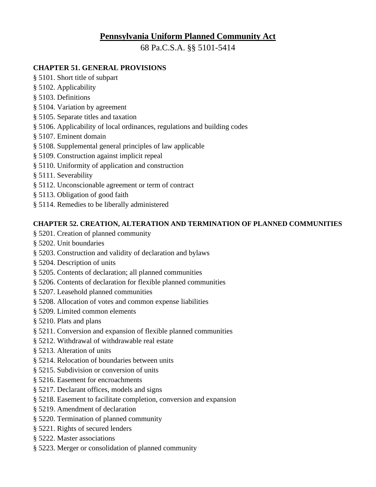# **Pennsylvania Uniform Planned Community Act**

68 Pa.C.S.A. §§ 5101-5414

# **CHAPTER 51. GENERAL PROVISIONS**

- § 5101. Short title of subpart
- § 5102. Applicability
- § 5103. Definitions
- § 5104. Variation by agreement
- § 5105. Separate titles and taxation
- § 5106. Applicability of local ordinances, regulations and building codes
- § 5107. Eminent domain
- § 5108. Supplemental general principles of law applicable
- § 5109. Construction against implicit repeal
- § 5110. Uniformity of application and construction
- § 5111. Severability
- § 5112. Unconscionable agreement or term of contract
- § 5113. Obligation of good faith
- § 5114. Remedies to be liberally administered

# **CHAPTER 52. CREATION, ALTERATION AND TERMINATION OF PLANNED COMMUNITIES**

- § 5201. Creation of planned community
- § 5202. Unit boundaries
- § 5203. Construction and validity of declaration and bylaws
- § 5204. Description of units
- § 5205. Contents of declaration; all planned communities
- § 5206. Contents of declaration for flexible planned communities
- § 5207. Leasehold planned communities
- § 5208. Allocation of votes and common expense liabilities
- § 5209. Limited common elements
- § 5210. Plats and plans
- § 5211. Conversion and expansion of flexible planned communities
- § 5212. Withdrawal of withdrawable real estate
- § 5213. Alteration of units
- § 5214. Relocation of boundaries between units
- § 5215. Subdivision or conversion of units
- § 5216. Easement for encroachments
- § 5217. Declarant offices, models and signs
- § 5218. Easement to facilitate completion, conversion and expansion
- § 5219. Amendment of declaration
- § 5220. Termination of planned community
- § 5221. Rights of secured lenders
- § 5222. Master associations
- § 5223. Merger or consolidation of planned community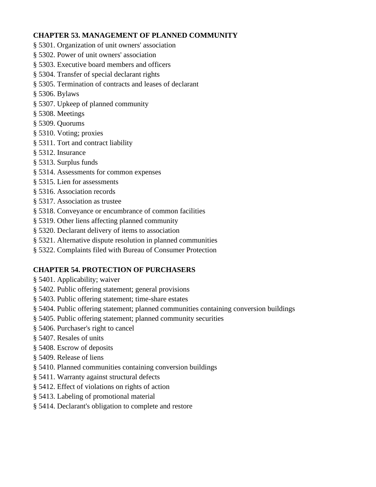# **CHAPTER 53. MANAGEMENT OF PLANNED COMMUNITY**

- § 5301. Organization of unit owners' association
- § 5302. Power of unit owners' association
- § 5303. Executive board members and officers
- § 5304. Transfer of special declarant rights
- § 5305. Termination of contracts and leases of declarant
- § 5306. Bylaws
- § 5307. Upkeep of planned community
- § 5308. Meetings
- § 5309. Quorums
- § 5310. Voting; proxies
- § 5311. Tort and contract liability
- § 5312. Insurance
- § 5313. Surplus funds
- § 5314. Assessments for common expenses
- § 5315. Lien for assessments
- § 5316. Association records
- § 5317. Association as trustee
- § 5318. Conveyance or encumbrance of common facilities
- § 5319. Other liens affecting planned community
- § 5320. Declarant delivery of items to association
- § 5321. Alternative dispute resolution in planned communities
- § 5322. Complaints filed with Bureau of Consumer Protection

#### **CHAPTER 54. PROTECTION OF PURCHASERS**

- § 5401. Applicability; waiver
- § 5402. Public offering statement; general provisions
- § 5403. Public offering statement; time-share estates
- § 5404. Public offering statement; planned communities containing conversion buildings
- § 5405. Public offering statement; planned community securities
- § 5406. Purchaser's right to cancel
- § 5407. Resales of units
- § 5408. Escrow of deposits
- § 5409. Release of liens
- § 5410. Planned communities containing conversion buildings
- § 5411. Warranty against structural defects
- § 5412. Effect of violations on rights of action
- § 5413. Labeling of promotional material
- § 5414. Declarant's obligation to complete and restore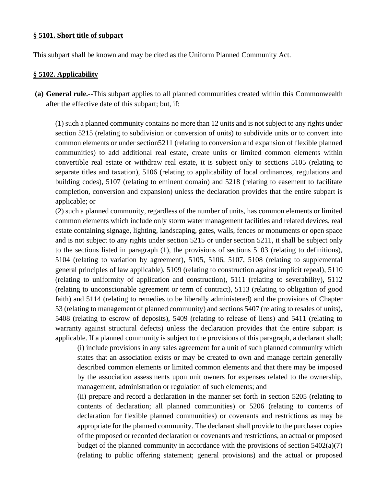#### **§ 5101. Short title of subpart**

This subpart shall be known and may be cited as the Uniform Planned Community Act.

#### **§ 5102. Applicability**

**(a) General rule.--**This subpart applies to all planned communities created within this Commonwealth after the effective date of this subpart; but, if:

(1) such a planned community contains no more than 12 units and is not subject to any rights under section 5215 (relating to subdivision or conversion of units) to subdivide units or to convert into common elements or under section5211 (relating to conversion and expansion of flexible planned communities) to add additional real estate, create units or limited common elements within convertible real estate or withdraw real estate, it is subject only to sections 5105 (relating to separate titles and taxation), 5106 (relating to applicability of local ordinances, regulations and building codes), 5107 (relating to eminent domain) and 5218 (relating to easement to facilitate completion, conversion and expansion) unless the declaration provides that the entire subpart is applicable; or

(2) such a planned community, regardless of the number of units, has common elements or limited common elements which include only storm water management facilities and related devices, real estate containing signage, lighting, landscaping, gates, walls, fences or monuments or open space and is not subject to any rights under section 5215 or under section 5211, it shall be subject only to the sections listed in paragraph (1), the provisions of sections 5103 (relating to definitions), 5104 (relating to variation by agreement), 5105, 5106, 5107, 5108 (relating to supplemental general principles of law applicable), 5109 (relating to construction against implicit repeal), 5110 (relating to uniformity of application and construction), 5111 (relating to severability), 5112 (relating to unconscionable agreement or term of contract), 5113 (relating to obligation of good faith) and 5114 (relating to remedies to be liberally administered) and the provisions of Chapter 53 (relating to management of planned community) and sections 5407 (relating to resales of units), 5408 (relating to escrow of deposits), 5409 (relating to release of liens) and 5411 (relating to warranty against structural defects) unless the declaration provides that the entire subpart is applicable. If a planned community is subject to the provisions of this paragraph, a declarant shall:

(i) include provisions in any sales agreement for a unit of such planned community which states that an association exists or may be created to own and manage certain generally described common elements or limited common elements and that there may be imposed by the association assessments upon unit owners for expenses related to the ownership, management, administration or regulation of such elements; and

(ii) prepare and record a declaration in the manner set forth in section 5205 (relating to contents of declaration; all planned communities) or 5206 (relating to contents of declaration for flexible planned communities) or covenants and restrictions as may be appropriate for the planned community. The declarant shall provide to the purchaser copies of the proposed or recorded declaration or covenants and restrictions, an actual or proposed budget of the planned community in accordance with the provisions of section 5402(a)(7) (relating to public offering statement; general provisions) and the actual or proposed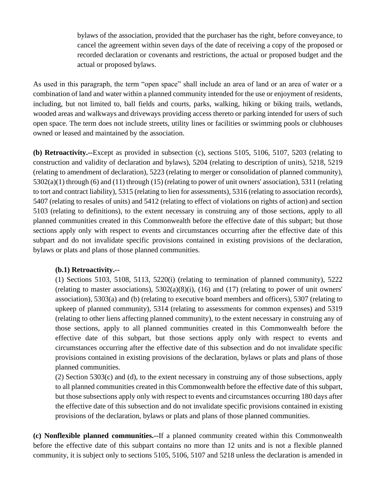bylaws of the association, provided that the purchaser has the right, before conveyance, to cancel the agreement within seven days of the date of receiving a copy of the proposed or recorded declaration or covenants and restrictions, the actual or proposed budget and the actual or proposed bylaws.

As used in this paragraph, the term "open space" shall include an area of land or an area of water or a combination of land and water within a planned community intended for the use or enjoyment of residents, including, but not limited to, ball fields and courts, parks, walking, hiking or biking trails, wetlands, wooded areas and walkways and driveways providing access thereto or parking intended for users of such open space. The term does not include streets, utility lines or facilities or swimming pools or clubhouses owned or leased and maintained by the association.

**(b) Retroactivity.--**Except as provided in subsection (c), sections 5105, 5106, 5107, 5203 (relating to construction and validity of declaration and bylaws), 5204 (relating to description of units), 5218, 5219 (relating to amendment of declaration), 5223 (relating to merger or consolidation of planned community), 5302(a)(1) through (6) and (11) through (15) (relating to power of unit owners' association), 5311 (relating to tort and contract liability), 5315 (relating to lien for assessments), 5316 (relating to association records), 5407 (relating to resales of units) and 5412 (relating to effect of violations on rights of action) and section 5103 (relating to definitions), to the extent necessary in construing any of those sections, apply to all planned communities created in this Commonwealth before the effective date of this subpart; but those sections apply only with respect to events and circumstances occurring after the effective date of this subpart and do not invalidate specific provisions contained in existing provisions of the declaration, bylaws or plats and plans of those planned communities.

#### **(b.1) Retroactivity.--**

(1) Sections 5103, 5108, 5113, 5220(i) (relating to termination of planned community), 5222 (relating to master associations),  $5302(a)(8)(i)$ ,  $(16)$  and  $(17)$  (relating to power of unit owners' association), 5303(a) and (b) (relating to executive board members and officers), 5307 (relating to upkeep of planned community), 5314 (relating to assessments for common expenses) and 5319 (relating to other liens affecting planned community), to the extent necessary in construing any of those sections, apply to all planned communities created in this Commonwealth before the effective date of this subpart, but those sections apply only with respect to events and circumstances occurring after the effective date of this subsection and do not invalidate specific provisions contained in existing provisions of the declaration, bylaws or plats and plans of those planned communities.

(2) Section 5303(c) and (d), to the extent necessary in construing any of those subsections, apply to all planned communities created in this Commonwealth before the effective date of this subpart, but those subsections apply only with respect to events and circumstances occurring 180 days after the effective date of this subsection and do not invalidate specific provisions contained in existing provisions of the declaration, bylaws or plats and plans of those planned communities.

**(c) Nonflexible planned communities.--**If a planned community created within this Commonwealth before the effective date of this subpart contains no more than 12 units and is not a flexible planned community, it is subject only to sections 5105, 5106, 5107 and 5218 unless the declaration is amended in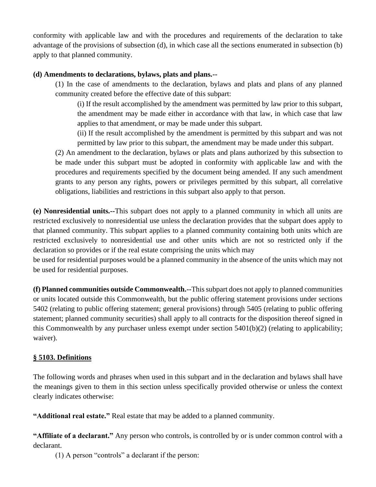conformity with applicable law and with the procedures and requirements of the declaration to take advantage of the provisions of subsection (d), in which case all the sections enumerated in subsection (b) apply to that planned community.

#### **(d) Amendments to declarations, bylaws, plats and plans.--**

(1) In the case of amendments to the declaration, bylaws and plats and plans of any planned community created before the effective date of this subpart:

(i) If the result accomplished by the amendment was permitted by law prior to this subpart, the amendment may be made either in accordance with that law, in which case that law applies to that amendment, or may be made under this subpart.

(ii) If the result accomplished by the amendment is permitted by this subpart and was not permitted by law prior to this subpart, the amendment may be made under this subpart.

(2) An amendment to the declaration, bylaws or plats and plans authorized by this subsection to be made under this subpart must be adopted in conformity with applicable law and with the procedures and requirements specified by the document being amended. If any such amendment grants to any person any rights, powers or privileges permitted by this subpart, all correlative obligations, liabilities and restrictions in this subpart also apply to that person.

**(e) Nonresidential units.--**This subpart does not apply to a planned community in which all units are restricted exclusively to nonresidential use unless the declaration provides that the subpart does apply to that planned community. This subpart applies to a planned community containing both units which are restricted exclusively to nonresidential use and other units which are not so restricted only if the declaration so provides or if the real estate comprising the units which may

be used for residential purposes would be a planned community in the absence of the units which may not be used for residential purposes.

**(f) Planned communities outside Commonwealth.--**This subpart does not apply to planned communities or units located outside this Commonwealth, but the public offering statement provisions under sections 5402 (relating to public offering statement; general provisions) through 5405 (relating to public offering statement; planned community securities) shall apply to all contracts for the disposition thereof signed in this Commonwealth by any purchaser unless exempt under section 5401(b)(2) (relating to applicability; waiver).

#### **§ 5103. Definitions**

The following words and phrases when used in this subpart and in the declaration and bylaws shall have the meanings given to them in this section unless specifically provided otherwise or unless the context clearly indicates otherwise:

**"Additional real estate."** Real estate that may be added to a planned community.

**"Affiliate of a declarant."** Any person who controls, is controlled by or is under common control with a declarant.

(1) A person "controls" a declarant if the person: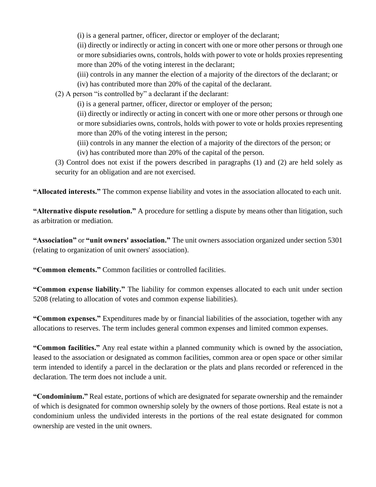(i) is a general partner, officer, director or employer of the declarant;

(ii) directly or indirectly or acting in concert with one or more other persons or through one or more subsidiaries owns, controls, holds with power to vote or holds proxies representing more than 20% of the voting interest in the declarant;

(iii) controls in any manner the election of a majority of the directors of the declarant; or

(iv) has contributed more than 20% of the capital of the declarant.

(2) A person "is controlled by" a declarant if the declarant:

(i) is a general partner, officer, director or employer of the person;

(ii) directly or indirectly or acting in concert with one or more other persons or through one or more subsidiaries owns, controls, holds with power to vote or holds proxies representing more than 20% of the voting interest in the person;

(iii) controls in any manner the election of a majority of the directors of the person; or

(iv) has contributed more than 20% of the capital of the person.

(3) Control does not exist if the powers described in paragraphs (1) and (2) are held solely as security for an obligation and are not exercised.

**"Allocated interests."** The common expense liability and votes in the association allocated to each unit.

**"Alternative dispute resolution."** A procedure for settling a dispute by means other than litigation, such as arbitration or mediation.

**"Association"** or **"unit owners' association."** The unit owners association organized under section 5301 (relating to organization of unit owners' association).

**"Common elements."** Common facilities or controlled facilities.

**"Common expense liability."** The liability for common expenses allocated to each unit under section 5208 (relating to allocation of votes and common expense liabilities).

**"Common expenses."** Expenditures made by or financial liabilities of the association, together with any allocations to reserves. The term includes general common expenses and limited common expenses.

**"Common facilities."** Any real estate within a planned community which is owned by the association, leased to the association or designated as common facilities, common area or open space or other similar term intended to identify a parcel in the declaration or the plats and plans recorded or referenced in the declaration. The term does not include a unit.

**"Condominium."** Real estate, portions of which are designated for separate ownership and the remainder of which is designated for common ownership solely by the owners of those portions. Real estate is not a condominium unless the undivided interests in the portions of the real estate designated for common ownership are vested in the unit owners.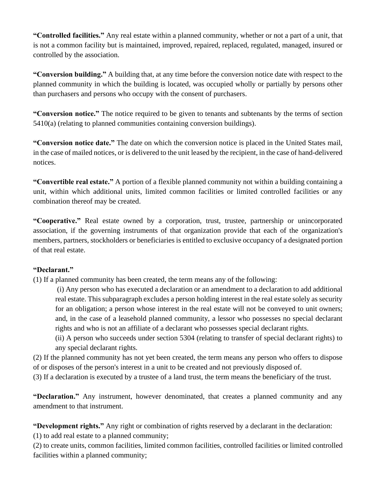**"Controlled facilities."** Any real estate within a planned community, whether or not a part of a unit, that is not a common facility but is maintained, improved, repaired, replaced, regulated, managed, insured or controlled by the association.

**"Conversion building."** A building that, at any time before the conversion notice date with respect to the planned community in which the building is located, was occupied wholly or partially by persons other than purchasers and persons who occupy with the consent of purchasers.

**"Conversion notice."** The notice required to be given to tenants and subtenants by the terms of section 5410(a) (relating to planned communities containing conversion buildings).

**"Conversion notice date."** The date on which the conversion notice is placed in the United States mail, in the case of mailed notices, or is delivered to the unit leased by the recipient, in the case of hand-delivered notices.

**"Convertible real estate."** A portion of a flexible planned community not within a building containing a unit, within which additional units, limited common facilities or limited controlled facilities or any combination thereof may be created.

**"Cooperative."** Real estate owned by a corporation, trust, trustee, partnership or unincorporated association, if the governing instruments of that organization provide that each of the organization's members, partners, stockholders or beneficiaries is entitled to exclusive occupancy of a designated portion of that real estate.

#### **"Declarant."**

(1) If a planned community has been created, the term means any of the following:

(i) Any person who has executed a declaration or an amendment to a declaration to add additional real estate. This subparagraph excludes a person holding interest in the real estate solely as security for an obligation; a person whose interest in the real estate will not be conveyed to unit owners; and, in the case of a leasehold planned community, a lessor who possesses no special declarant rights and who is not an affiliate of a declarant who possesses special declarant rights.

(ii) A person who succeeds under section 5304 (relating to transfer of special declarant rights) to any special declarant rights.

(2) If the planned community has not yet been created, the term means any person who offers to dispose of or disposes of the person's interest in a unit to be created and not previously disposed of.

(3) If a declaration is executed by a trustee of a land trust, the term means the beneficiary of the trust.

**"Declaration."** Any instrument, however denominated, that creates a planned community and any amendment to that instrument.

**"Development rights."** Any right or combination of rights reserved by a declarant in the declaration:

(1) to add real estate to a planned community;

(2) to create units, common facilities, limited common facilities, controlled facilities or limited controlled facilities within a planned community;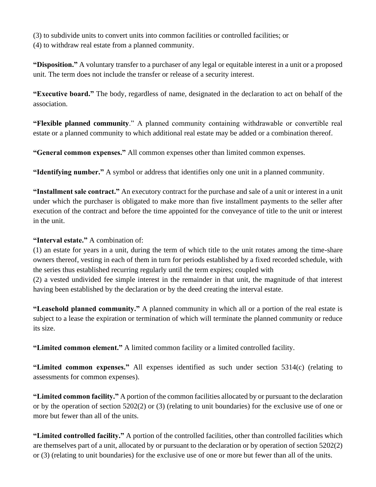(3) to subdivide units to convert units into common facilities or controlled facilities; or (4) to withdraw real estate from a planned community.

**"Disposition."** A voluntary transfer to a purchaser of any legal or equitable interest in a unit or a proposed unit. The term does not include the transfer or release of a security interest.

**"Executive board."** The body, regardless of name, designated in the declaration to act on behalf of the association.

**"Flexible planned community**." A planned community containing withdrawable or convertible real estate or a planned community to which additional real estate may be added or a combination thereof.

**"General common expenses."** All common expenses other than limited common expenses.

**"Identifying number."** A symbol or address that identifies only one unit in a planned community.

**"Installment sale contract."** An executory contract for the purchase and sale of a unit or interest in a unit under which the purchaser is obligated to make more than five installment payments to the seller after execution of the contract and before the time appointed for the conveyance of title to the unit or interest in the unit.

## **"Interval estate."** A combination of:

(1) an estate for years in a unit, during the term of which title to the unit rotates among the time-share owners thereof, vesting in each of them in turn for periods established by a fixed recorded schedule, with the series thus established recurring regularly until the term expires; coupled with

(2) a vested undivided fee simple interest in the remainder in that unit, the magnitude of that interest having been established by the declaration or by the deed creating the interval estate.

**"Leasehold planned community."** A planned community in which all or a portion of the real estate is subject to a lease the expiration or termination of which will terminate the planned community or reduce its size.

**"Limited common element."** A limited common facility or a limited controlled facility.

**"Limited common expenses."** All expenses identified as such under section 5314(c) (relating to assessments for common expenses).

**"Limited common facility."** A portion of the common facilities allocated by or pursuant to the declaration or by the operation of section 5202(2) or (3) (relating to unit boundaries) for the exclusive use of one or more but fewer than all of the units.

**"Limited controlled facility."** A portion of the controlled facilities, other than controlled facilities which are themselves part of a unit, allocated by or pursuant to the declaration or by operation of section 5202(2) or (3) (relating to unit boundaries) for the exclusive use of one or more but fewer than all of the units.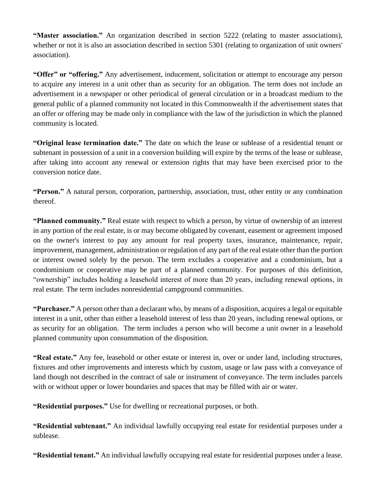**"Master association."** An organization described in section 5222 (relating to master associations), whether or not it is also an association described in section 5301 (relating to organization of unit owners' association).

**"Offer" or "offering."** Any advertisement, inducement, solicitation or attempt to encourage any person to acquire any interest in a unit other than as security for an obligation. The term does not include an advertisement in a newspaper or other periodical of general circulation or in a broadcast medium to the general public of a planned community not located in this Commonwealth if the advertisement states that an offer or offering may be made only in compliance with the law of the jurisdiction in which the planned community is located.

**"Original lease termination date."** The date on which the lease or sublease of a residential tenant or subtenant in possession of a unit in a conversion building will expire by the terms of the lease or sublease, after taking into account any renewal or extension rights that may have been exercised prior to the conversion notice date.

**"Person."** A natural person, corporation, partnership, association, trust, other entity or any combination thereof.

**"Planned community."** Real estate with respect to which a person, by virtue of ownership of an interest in any portion of the real estate, is or may become obligated by covenant, easement or agreement imposed on the owner's interest to pay any amount for real property taxes, insurance, maintenance, repair, improvement, management, administration or regulation of any part of the real estate other than the portion or interest owned solely by the person. The term excludes a cooperative and a condominium, but a condominium or cooperative may be part of a planned community. For purposes of this definition, "ownership" includes holding a leasehold interest of more than 20 years, including renewal options, in real estate. The term includes nonresidential campground communities.

**"Purchaser."** A person other than a declarant who, by means of a disposition, acquires a legal or equitable interest in a unit, other than either a leasehold interest of less than 20 years, including renewal options, or as security for an obligation. The term includes a person who will become a unit owner in a leasehold planned community upon consummation of the disposition.

**"Real estate."** Any fee, leasehold or other estate or interest in, over or under land, including structures, fixtures and other improvements and interests which by custom, usage or law pass with a conveyance of land though not described in the contract of sale or instrument of conveyance. The term includes parcels with or without upper or lower boundaries and spaces that may be filled with air or water.

**"Residential purposes."** Use for dwelling or recreational purposes, or both.

**"Residential subtenant."** An individual lawfully occupying real estate for residential purposes under a sublease.

**"Residential tenant."** An individual lawfully occupying real estate for residential purposes under a lease.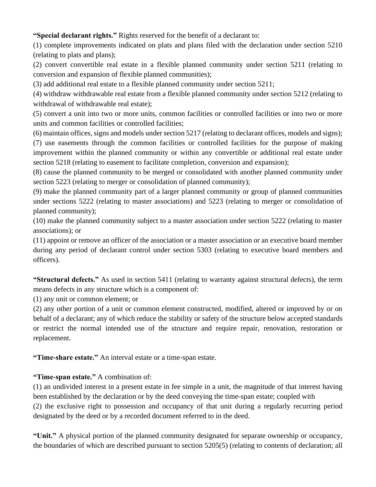**"Special declarant rights."** Rights reserved for the benefit of a declarant to:

(1) complete improvements indicated on plats and plans filed with the declaration under section 5210 (relating to plats and plans);

(2) convert convertible real estate in a flexible planned community under section 5211 (relating to conversion and expansion of flexible planned communities);

(3) add additional real estate to a flexible planned community under section 5211;

(4) withdraw withdrawable real estate from a flexible planned community under section 5212 (relating to withdrawal of withdrawable real estate);

(5) convert a unit into two or more units, common facilities or controlled facilities or into two or more units and common facilities or controlled facilities;

(6) maintain offices, signs and models under section 5217 (relating to declarant offices, models and signs);

(7) use easements through the common facilities or controlled facilities for the purpose of making improvement within the planned community or within any convertible or additional real estate under section 5218 (relating to easement to facilitate completion, conversion and expansion);

(8) cause the planned community to be merged or consolidated with another planned community under section 5223 (relating to merger or consolidation of planned community);

(9) make the planned community part of a larger planned community or group of planned communities under sections 5222 (relating to master associations) and 5223 (relating to merger or consolidation of planned community);

(10) make the planned community subject to a master association under section 5222 (relating to master associations); or

(11) appoint or remove an officer of the association or a master association or an executive board member during any period of declarant control under section 5303 (relating to executive board members and officers).

**"Structural defects."** As used in section 5411 (relating to warranty against structural defects), the term means defects in any structure which is a component of:

(1) any unit or common element; or

(2) any other portion of a unit or common element constructed, modified, altered or improved by or on behalf of a declarant; any of which reduce the stability or safety of the structure below accepted standards or restrict the normal intended use of the structure and require repair, renovation, restoration or replacement.

**"Time-share estate."** An interval estate or a time-span estate.

# **"Time-span estate."** A combination of:

(1) an undivided interest in a present estate in fee simple in a unit, the magnitude of that interest having been established by the declaration or by the deed conveying the time-span estate; coupled with (2) the exclusive right to possession and occupancy of that unit during a regularly recurring period designated by the deed or by a recorded document referred to in the deed.

**"Unit."** A physical portion of the planned community designated for separate ownership or occupancy, the boundaries of which are described pursuant to section 5205(5) (relating to contents of declaration; all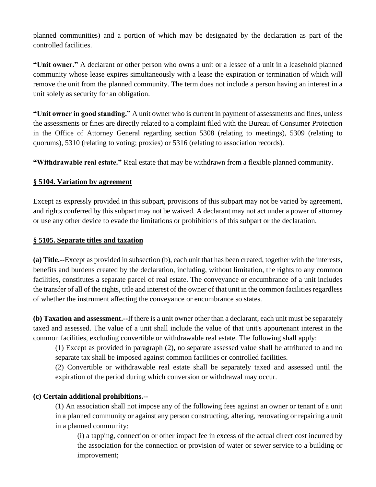planned communities) and a portion of which may be designated by the declaration as part of the controlled facilities.

**"Unit owner."** A declarant or other person who owns a unit or a lessee of a unit in a leasehold planned community whose lease expires simultaneously with a lease the expiration or termination of which will remove the unit from the planned community. The term does not include a person having an interest in a unit solely as security for an obligation.

**"Unit owner in good standing."** A unit owner who is current in payment of assessments and fines, unless the assessments or fines are directly related to a complaint filed with the Bureau of Consumer Protection in the Office of Attorney General regarding section 5308 (relating to meetings), 5309 (relating to quorums), 5310 (relating to voting; proxies) or 5316 (relating to association records).

**"Withdrawable real estate."** Real estate that may be withdrawn from a flexible planned community.

## **§ 5104. Variation by agreement**

Except as expressly provided in this subpart, provisions of this subpart may not be varied by agreement, and rights conferred by this subpart may not be waived. A declarant may not act under a power of attorney or use any other device to evade the limitations or prohibitions of this subpart or the declaration.

### **§ 5105. Separate titles and taxation**

**(a) Title.--**Except as provided in subsection (b), each unit that has been created, together with the interests, benefits and burdens created by the declaration, including, without limitation, the rights to any common facilities, constitutes a separate parcel of real estate. The conveyance or encumbrance of a unit includes the transfer of all of the rights, title and interest of the owner of that unit in the common facilities regardless of whether the instrument affecting the conveyance or encumbrance so states.

**(b) Taxation and assessment.--**If there is a unit owner other than a declarant, each unit must be separately taxed and assessed. The value of a unit shall include the value of that unit's appurtenant interest in the common facilities, excluding convertible or withdrawable real estate. The following shall apply:

(1) Except as provided in paragraph (2), no separate assessed value shall be attributed to and no separate tax shall be imposed against common facilities or controlled facilities.

(2) Convertible or withdrawable real estate shall be separately taxed and assessed until the expiration of the period during which conversion or withdrawal may occur.

#### **(c) Certain additional prohibitions.--**

(1) An association shall not impose any of the following fees against an owner or tenant of a unit in a planned community or against any person constructing, altering, renovating or repairing a unit in a planned community:

(i) a tapping, connection or other impact fee in excess of the actual direct cost incurred by the association for the connection or provision of water or sewer service to a building or improvement;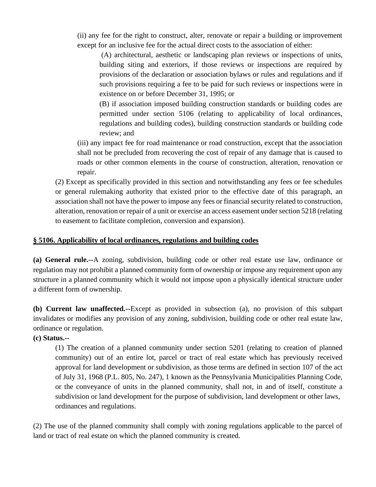(ii) any fee for the right to construct, alter, renovate or repair a building or improvement except for an inclusive fee for the actual direct costs to the association of either:

(A) architectural, aesthetic or landscaping plan reviews or inspections of units, building siting and exteriors, if those reviews or inspections are required by provisions of the declaration or association bylaws or rules and regulations and if such provisions requiring a fee to be paid for such reviews or inspections were in existence on or before December 31, 1995; or

(B) if association imposed building construction standards or building codes are permitted under section 5106 (relating to applicability of local ordinances, regulations and building codes), building construction standards or building code review; and

(iii) any impact fee for road maintenance or road construction, except that the association shall not be precluded from recovering the cost of repair of any damage that is caused to roads or other common elements in the course of construction, alteration, renovation or repair.

(2) Except as specifically provided in this section and notwithstanding any fees or fee schedules or general rulemaking authority that existed prior to the effective date of this paragraph, an association shall not have the power to impose any fees or financial security related to construction, alteration, renovation or repair of a unit or exercise an access easement under section 5218 (relating to easement to facilitate completion, conversion and expansion).

### **§ 5106. Applicability of local ordinances, regulations and building codes**

**(a) General rule.--**A zoning, subdivision, building code or other real estate use law, ordinance or regulation may not prohibit a planned community form of ownership or impose any requirement upon any structure in a planned community which it would not impose upon a physically identical structure under a different form of ownership.

**(b) Current law unaffected.--**Except as provided in subsection (a), no provision of this subpart invalidates or modifies any provision of any zoning, subdivision, building code or other real estate law, ordinance or regulation.

#### **(c) Status.--**

(1) The creation of a planned community under section 5201 (relating to creation of planned community) out of an entire lot, parcel or tract of real estate which has previously received approval for land development or subdivision, as those terms are defined in section 107 of the act of July 31, 1968 (P.L. 805, No. 247), 1 known as the Pennsylvania Municipalities Planning Code, or the conveyance of units in the planned community, shall not, in and of itself, constitute a subdivision or land development for the purpose of subdivision, land development or other laws, ordinances and regulations.

(2) The use of the planned community shall comply with zoning regulations applicable to the parcel of land or tract of real estate on which the planned community is created.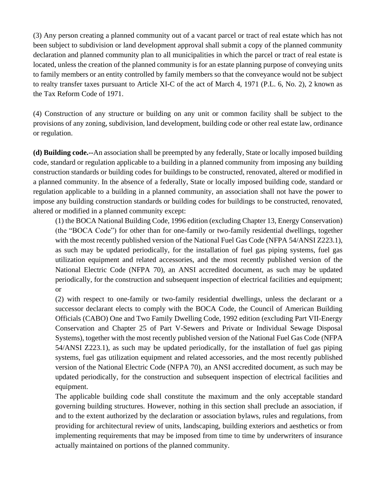(3) Any person creating a planned community out of a vacant parcel or tract of real estate which has not been subject to subdivision or land development approval shall submit a copy of the planned community declaration and planned community plan to all municipalities in which the parcel or tract of real estate is located, unless the creation of the planned community is for an estate planning purpose of conveying units to family members or an entity controlled by family members so that the conveyance would not be subject to realty transfer taxes pursuant to Article XI-C of the act of March 4, 1971 (P.L. 6, No. 2), 2 known as the Tax Reform Code of 1971.

(4) Construction of any structure or building on any unit or common facility shall be subject to the provisions of any zoning, subdivision, land development, building code or other real estate law, ordinance or regulation.

**(d) Building code.--**An association shall be preempted by any federally, State or locally imposed building code, standard or regulation applicable to a building in a planned community from imposing any building construction standards or building codes for buildings to be constructed, renovated, altered or modified in a planned community. In the absence of a federally, State or locally imposed building code, standard or regulation applicable to a building in a planned community, an association shall not have the power to impose any building construction standards or building codes for buildings to be constructed, renovated, altered or modified in a planned community except:

(1) the BOCA National Building Code, 1996 edition (excluding Chapter 13, Energy Conservation) (the "BOCA Code") for other than for one-family or two-family residential dwellings, together with the most recently published version of the National Fuel Gas Code (NFPA 54/ANSI Z223.1), as such may be updated periodically, for the installation of fuel gas piping systems, fuel gas utilization equipment and related accessories, and the most recently published version of the National Electric Code (NFPA 70), an ANSI accredited document, as such may be updated periodically, for the construction and subsequent inspection of electrical facilities and equipment; or

(2) with respect to one-family or two-family residential dwellings, unless the declarant or a successor declarant elects to comply with the BOCA Code, the Council of American Building Officials (CABO) One and Two Family Dwelling Code, 1992 edition (excluding Part VII-Energy Conservation and Chapter 25 of Part V-Sewers and Private or Individual Sewage Disposal Systems), together with the most recently published version of the National Fuel Gas Code (NFPA 54/ANSI Z223.1), as such may be updated periodically, for the installation of fuel gas piping systems, fuel gas utilization equipment and related accessories, and the most recently published version of the National Electric Code (NFPA 70), an ANSI accredited document, as such may be updated periodically, for the construction and subsequent inspection of electrical facilities and equipment.

The applicable building code shall constitute the maximum and the only acceptable standard governing building structures. However, nothing in this section shall preclude an association, if and to the extent authorized by the declaration or association bylaws, rules and regulations, from providing for architectural review of units, landscaping, building exteriors and aesthetics or from implementing requirements that may be imposed from time to time by underwriters of insurance actually maintained on portions of the planned community.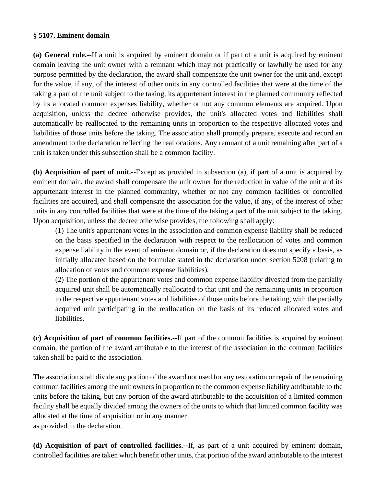#### **§ 5107. Eminent domain**

**(a) General rule.--**If a unit is acquired by eminent domain or if part of a unit is acquired by eminent domain leaving the unit owner with a remnant which may not practically or lawfully be used for any purpose permitted by the declaration, the award shall compensate the unit owner for the unit and, except for the value, if any, of the interest of other units in any controlled facilities that were at the time of the taking a part of the unit subject to the taking, its appurtenant interest in the planned community reflected by its allocated common expenses liability, whether or not any common elements are acquired. Upon acquisition, unless the decree otherwise provides, the unit's allocated votes and liabilities shall automatically be reallocated to the remaining units in proportion to the respective allocated votes and liabilities of those units before the taking. The association shall promptly prepare, execute and record an amendment to the declaration reflecting the reallocations. Any remnant of a unit remaining after part of a unit is taken under this subsection shall be a common facility.

**(b) Acquisition of part of unit.--**Except as provided in subsection (a), if part of a unit is acquired by eminent domain, the award shall compensate the unit owner for the reduction in value of the unit and its appurtenant interest in the planned community, whether or not any common facilities or controlled facilities are acquired, and shall compensate the association for the value, if any, of the interest of other units in any controlled facilities that were at the time of the taking a part of the unit subject to the taking. Upon acquisition, unless the decree otherwise provides, the following shall apply:

(1) The unit's appurtenant votes in the association and common expense liability shall be reduced on the basis specified in the declaration with respect to the reallocation of votes and common expense liability in the event of eminent domain or, if the declaration does not specify a basis, as initially allocated based on the formulae stated in the declaration under section 5208 (relating to allocation of votes and common expense liabilities).

(2) The portion of the appurtenant votes and common expense liability divested from the partially acquired unit shall be automatically reallocated to that unit and the remaining units in proportion to the respective appurtenant votes and liabilities of those units before the taking, with the partially acquired unit participating in the reallocation on the basis of its reduced allocated votes and liabilities.

**(c) Acquisition of part of common facilities.--**If part of the common facilities is acquired by eminent domain, the portion of the award attributable to the interest of the association in the common facilities taken shall be paid to the association.

The association shall divide any portion of the award not used for any restoration or repair of the remaining common facilities among the unit owners in proportion to the common expense liability attributable to the units before the taking, but any portion of the award attributable to the acquisition of a limited common facility shall be equally divided among the owners of the units to which that limited common facility was allocated at the time of acquisition or in any manner as provided in the declaration.

**(d) Acquisition of part of controlled facilities.--**If, as part of a unit acquired by eminent domain, controlled facilities are taken which benefit other units, that portion of the award attributable to the interest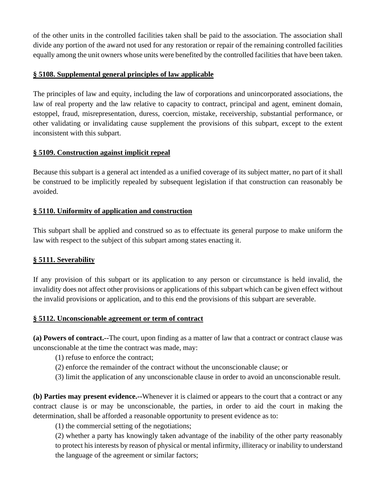of the other units in the controlled facilities taken shall be paid to the association. The association shall divide any portion of the award not used for any restoration or repair of the remaining controlled facilities equally among the unit owners whose units were benefited by the controlled facilities that have been taken.

### **§ 5108. Supplemental general principles of law applicable**

The principles of law and equity, including the law of corporations and unincorporated associations, the law of real property and the law relative to capacity to contract, principal and agent, eminent domain, estoppel, fraud, misrepresentation, duress, coercion, mistake, receivership, substantial performance, or other validating or invalidating cause supplement the provisions of this subpart, except to the extent inconsistent with this subpart.

## **§ 5109. Construction against implicit repeal**

Because this subpart is a general act intended as a unified coverage of its subject matter, no part of it shall be construed to be implicitly repealed by subsequent legislation if that construction can reasonably be avoided.

# **§ 5110. Uniformity of application and construction**

This subpart shall be applied and construed so as to effectuate its general purpose to make uniform the law with respect to the subject of this subpart among states enacting it.

# **§ 5111. Severability**

If any provision of this subpart or its application to any person or circumstance is held invalid, the invalidity does not affect other provisions or applications of this subpart which can be given effect without the invalid provisions or application, and to this end the provisions of this subpart are severable.

#### **§ 5112. Unconscionable agreement or term of contract**

**(a) Powers of contract.--**The court, upon finding as a matter of law that a contract or contract clause was unconscionable at the time the contract was made, may:

- (1) refuse to enforce the contract;
- (2) enforce the remainder of the contract without the unconscionable clause; or
- (3) limit the application of any unconscionable clause in order to avoid an unconscionable result.

**(b) Parties may present evidence.--**Whenever it is claimed or appears to the court that a contract or any contract clause is or may be unconscionable, the parties, in order to aid the court in making the determination, shall be afforded a reasonable opportunity to present evidence as to:

(1) the commercial setting of the negotiations;

(2) whether a party has knowingly taken advantage of the inability of the other party reasonably to protect his interests by reason of physical or mental infirmity, illiteracy or inability to understand the language of the agreement or similar factors;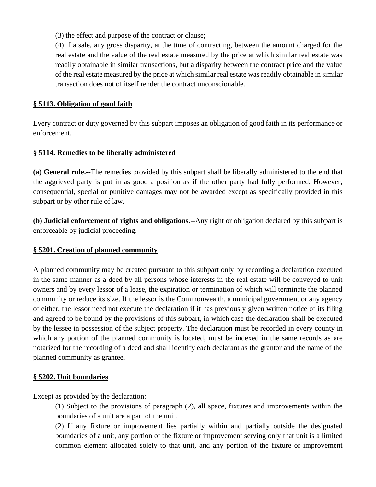(3) the effect and purpose of the contract or clause;

(4) if a sale, any gross disparity, at the time of contracting, between the amount charged for the real estate and the value of the real estate measured by the price at which similar real estate was readily obtainable in similar transactions, but a disparity between the contract price and the value of the real estate measured by the price at which similar real estate was readily obtainable in similar transaction does not of itself render the contract unconscionable.

### **§ 5113. Obligation of good faith**

Every contract or duty governed by this subpart imposes an obligation of good faith in its performance or enforcement.

## **§ 5114. Remedies to be liberally administered**

**(a) General rule.--**The remedies provided by this subpart shall be liberally administered to the end that the aggrieved party is put in as good a position as if the other party had fully performed. However, consequential, special or punitive damages may not be awarded except as specifically provided in this subpart or by other rule of law.

**(b) Judicial enforcement of rights and obligations.--**Any right or obligation declared by this subpart is enforceable by judicial proceeding.

#### **§ 5201. Creation of planned community**

A planned community may be created pursuant to this subpart only by recording a declaration executed in the same manner as a deed by all persons whose interests in the real estate will be conveyed to unit owners and by every lessor of a lease, the expiration or termination of which will terminate the planned community or reduce its size. If the lessor is the Commonwealth, a municipal government or any agency of either, the lessor need not execute the declaration if it has previously given written notice of its filing and agreed to be bound by the provisions of this subpart, in which case the declaration shall be executed by the lessee in possession of the subject property. The declaration must be recorded in every county in which any portion of the planned community is located, must be indexed in the same records as are notarized for the recording of a deed and shall identify each declarant as the grantor and the name of the planned community as grantee.

#### **§ 5202. Unit boundaries**

Except as provided by the declaration:

(1) Subject to the provisions of paragraph (2), all space, fixtures and improvements within the boundaries of a unit are a part of the unit.

(2) If any fixture or improvement lies partially within and partially outside the designated boundaries of a unit, any portion of the fixture or improvement serving only that unit is a limited common element allocated solely to that unit, and any portion of the fixture or improvement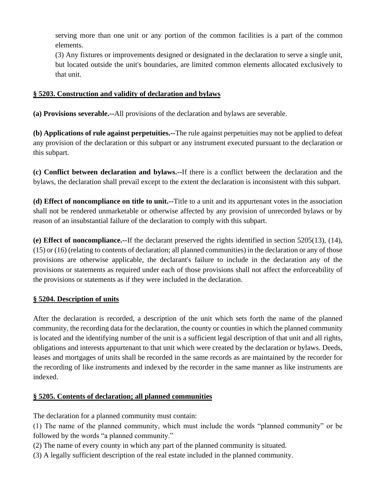serving more than one unit or any portion of the common facilities is a part of the common elements.

(3) Any fixtures or improvements designed or designated in the declaration to serve a single unit, but located outside the unit's boundaries, are limited common elements allocated exclusively to that unit.

## **§ 5203. Construction and validity of declaration and bylaws**

**(a) Provisions severable.--**All provisions of the declaration and bylaws are severable.

**(b) Applications of rule against perpetuities.--**The rule against perpetuities may not be applied to defeat any provision of the declaration or this subpart or any instrument executed pursuant to the declaration or this subpart.

**(c) Conflict between declaration and bylaws.--**If there is a conflict between the declaration and the bylaws, the declaration shall prevail except to the extent the declaration is inconsistent with this subpart.

**(d) Effect of noncompliance on title to unit.--**Title to a unit and its appurtenant votes in the association shall not be rendered unmarketable or otherwise affected by any provision of unrecorded bylaws or by reason of an insubstantial failure of the declaration to comply with this subpart.

**(e) Effect of noncompliance.--**If the declarant preserved the rights identified in section 5205(13), (14), (15) or (16) (relating to contents of declaration; all planned communities) in the declaration or any of those provisions are otherwise applicable, the declarant's failure to include in the declaration any of the provisions or statements as required under each of those provisions shall not affect the enforceability of the provisions or statements as if they were included in the declaration.

#### **§ 5204. Description of units**

After the declaration is recorded, a description of the unit which sets forth the name of the planned community, the recording data for the declaration, the county or counties in which the planned community is located and the identifying number of the unit is a sufficient legal description of that unit and all rights, obligations and interests appurtenant to that unit which were created by the declaration or bylaws. Deeds, leases and mortgages of units shall be recorded in the same records as are maintained by the recorder for the recording of like instruments and indexed by the recorder in the same manner as like instruments are indexed.

# **§ 5205. Contents of declaration; all planned communities**

The declaration for a planned community must contain:

(1) The name of the planned community, which must include the words "planned community" or be followed by the words "a planned community."

- (2) The name of every county in which any part of the planned community is situated.
- (3) A legally sufficient description of the real estate included in the planned community.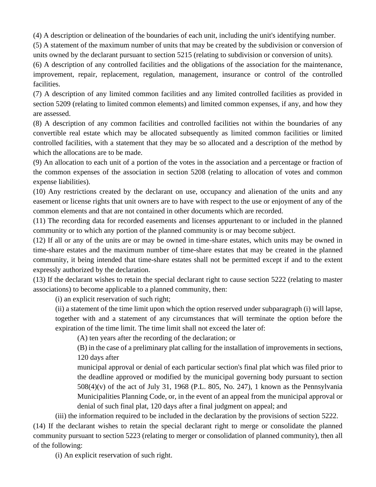(4) A description or delineation of the boundaries of each unit, including the unit's identifying number.

(5) A statement of the maximum number of units that may be created by the subdivision or conversion of units owned by the declarant pursuant to section 5215 (relating to subdivision or conversion of units).

(6) A description of any controlled facilities and the obligations of the association for the maintenance, improvement, repair, replacement, regulation, management, insurance or control of the controlled facilities.

(7) A description of any limited common facilities and any limited controlled facilities as provided in section 5209 (relating to limited common elements) and limited common expenses, if any, and how they are assessed.

(8) A description of any common facilities and controlled facilities not within the boundaries of any convertible real estate which may be allocated subsequently as limited common facilities or limited controlled facilities, with a statement that they may be so allocated and a description of the method by which the allocations are to be made.

(9) An allocation to each unit of a portion of the votes in the association and a percentage or fraction of the common expenses of the association in section 5208 (relating to allocation of votes and common expense liabilities).

(10) Any restrictions created by the declarant on use, occupancy and alienation of the units and any easement or license rights that unit owners are to have with respect to the use or enjoyment of any of the common elements and that are not contained in other documents which are recorded.

(11) The recording data for recorded easements and licenses appurtenant to or included in the planned community or to which any portion of the planned community is or may become subject.

(12) If all or any of the units are or may be owned in time-share estates, which units may be owned in time-share estates and the maximum number of time-share estates that may be created in the planned community, it being intended that time-share estates shall not be permitted except if and to the extent expressly authorized by the declaration.

(13) If the declarant wishes to retain the special declarant right to cause section 5222 (relating to master associations) to become applicable to a planned community, then:

(i) an explicit reservation of such right;

(ii) a statement of the time limit upon which the option reserved under subparagraph (i) will lapse, together with and a statement of any circumstances that will terminate the option before the expiration of the time limit. The time limit shall not exceed the later of:

(A) ten years after the recording of the declaration; or

(B) in the case of a preliminary plat calling for the installation of improvements in sections, 120 days after

municipal approval or denial of each particular section's final plat which was filed prior to the deadline approved or modified by the municipal governing body pursuant to section 508(4)(v) of the act of July 31, 1968 (P.L. 805, No. 247), 1 known as the Pennsylvania Municipalities Planning Code, or, in the event of an appeal from the municipal approval or denial of such final plat, 120 days after a final judgment on appeal; and

(iii) the information required to be included in the declaration by the provisions of section 5222.

(14) If the declarant wishes to retain the special declarant right to merge or consolidate the planned community pursuant to section 5223 (relating to merger or consolidation of planned community), then all of the following:

(i) An explicit reservation of such right.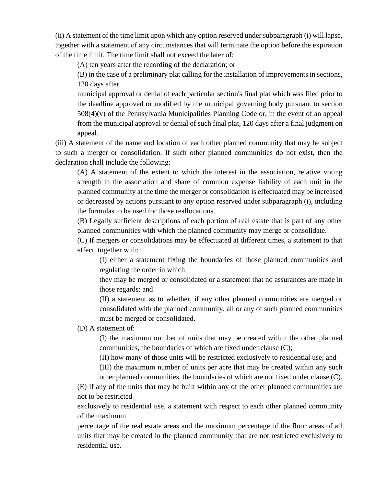(ii) A statement of the time limit upon which any option reserved under subparagraph (i) will lapse, together with a statement of any circumstances that will terminate the option before the expiration of the time limit. The time limit shall not exceed the later of:

(A) ten years after the recording of the declaration; or

(B) in the case of a preliminary plat calling for the installation of improvements in sections, 120 days after

municipal approval or denial of each particular section's final plat which was filed prior to the deadline approved or modified by the municipal governing body pursuant to section 508(4)(v) of the Pennsylvania Municipalities Planning Code or, in the event of an appeal from the municipal approval or denial of such final plat, 120 days after a final judgment on appeal.

(iii) A statement of the name and location of each other planned community that may be subject to such a merger or consolidation. If such other planned communities do not exist, then the declaration shall include the following:

(A) A statement of the extent to which the interest in the association, relative voting strength in the association and share of common expense liability of each unit in the planned community at the time the merger or consolidation is effectuated may be increased or decreased by actions pursuant to any option reserved under subparagraph (i), including the formulas to be used for those reallocations.

(B) Legally sufficient descriptions of each portion of real estate that is part of any other planned communities with which the planned community may merge or consolidate.

(C) If mergers or consolidations may be effectuated at different times, a statement to that effect, together with:

(I) either a statement fixing the boundaries of those planned communities and regulating the order in which

they may be merged or consolidated or a statement that no assurances are made in those regards; and

(II) a statement as to whether, if any other planned communities are merged or consolidated with the planned community, all or any of such planned communities must be merged or consolidated.

(D) A statement of:

(I) the maximum number of units that may be created within the other planned communities, the boundaries of which are fixed under clause (C);

(II) how many of those units will be restricted exclusively to residential use; and

(III) the maximum number of units per acre that may be created within any such other planned communities, the boundaries of which are not fixed under clause (C).

(E) If any of the units that may be built within any of the other planned communities are not to be restricted

exclusively to residential use, a statement with respect to each other planned community of the maximum

percentage of the real estate areas and the maximum percentage of the floor areas of all units that may be created in the planned community that are not restricted exclusively to residential use.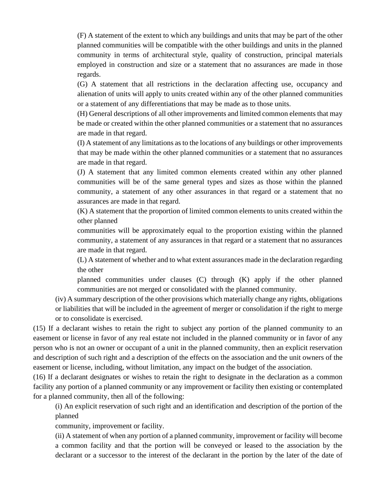(F) A statement of the extent to which any buildings and units that may be part of the other planned communities will be compatible with the other buildings and units in the planned community in terms of architectural style, quality of construction, principal materials employed in construction and size or a statement that no assurances are made in those regards.

(G) A statement that all restrictions in the declaration affecting use, occupancy and alienation of units will apply to units created within any of the other planned communities or a statement of any differentiations that may be made as to those units.

(H) General descriptions of all other improvements and limited common elements that may be made or created within the other planned communities or a statement that no assurances are made in that regard.

(I) A statement of any limitations as to the locations of any buildings or other improvements that may be made within the other planned communities or a statement that no assurances are made in that regard.

(J) A statement that any limited common elements created within any other planned communities will be of the same general types and sizes as those within the planned community, a statement of any other assurances in that regard or a statement that no assurances are made in that regard.

(K) A statement that the proportion of limited common elements to units created within the other planned

communities will be approximately equal to the proportion existing within the planned community, a statement of any assurances in that regard or a statement that no assurances are made in that regard.

(L) A statement of whether and to what extent assurances made in the declaration regarding the other

planned communities under clauses (C) through (K) apply if the other planned communities are not merged or consolidated with the planned community.

(iv) A summary description of the other provisions which materially change any rights, obligations or liabilities that will be included in the agreement of merger or consolidation if the right to merge or to consolidate is exercised.

(15) If a declarant wishes to retain the right to subject any portion of the planned community to an easement or license in favor of any real estate not included in the planned community or in favor of any person who is not an owner or occupant of a unit in the planned community, then an explicit reservation and description of such right and a description of the effects on the association and the unit owners of the easement or license, including, without limitation, any impact on the budget of the association.

(16) If a declarant designates or wishes to retain the right to designate in the declaration as a common facility any portion of a planned community or any improvement or facility then existing or contemplated for a planned community, then all of the following:

(i) An explicit reservation of such right and an identification and description of the portion of the planned

community, improvement or facility.

(ii) A statement of when any portion of a planned community, improvement or facility will become a common facility and that the portion will be conveyed or leased to the association by the declarant or a successor to the interest of the declarant in the portion by the later of the date of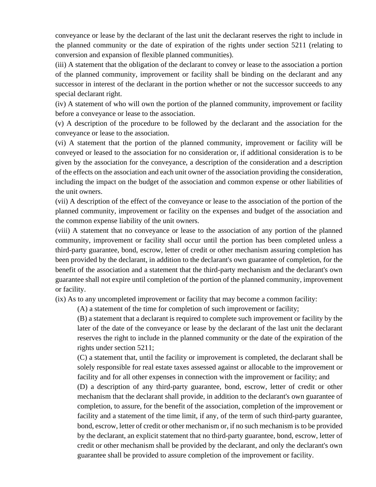conveyance or lease by the declarant of the last unit the declarant reserves the right to include in the planned community or the date of expiration of the rights under section 5211 (relating to conversion and expansion of flexible planned communities).

(iii) A statement that the obligation of the declarant to convey or lease to the association a portion of the planned community, improvement or facility shall be binding on the declarant and any successor in interest of the declarant in the portion whether or not the successor succeeds to any special declarant right.

(iv) A statement of who will own the portion of the planned community, improvement or facility before a conveyance or lease to the association.

(v) A description of the procedure to be followed by the declarant and the association for the conveyance or lease to the association.

(vi) A statement that the portion of the planned community, improvement or facility will be conveyed or leased to the association for no consideration or, if additional consideration is to be given by the association for the conveyance, a description of the consideration and a description of the effects on the association and each unit owner of the association providing the consideration, including the impact on the budget of the association and common expense or other liabilities of the unit owners.

(vii) A description of the effect of the conveyance or lease to the association of the portion of the planned community, improvement or facility on the expenses and budget of the association and the common expense liability of the unit owners.

(viii) A statement that no conveyance or lease to the association of any portion of the planned community, improvement or facility shall occur until the portion has been completed unless a third-party guarantee, bond, escrow, letter of credit or other mechanism assuring completion has been provided by the declarant, in addition to the declarant's own guarantee of completion, for the benefit of the association and a statement that the third-party mechanism and the declarant's own guarantee shall not expire until completion of the portion of the planned community, improvement or facility.

(ix) As to any uncompleted improvement or facility that may become a common facility:

(A) a statement of the time for completion of such improvement or facility;

(B) a statement that a declarant is required to complete such improvement or facility by the later of the date of the conveyance or lease by the declarant of the last unit the declarant reserves the right to include in the planned community or the date of the expiration of the rights under section 5211;

(C) a statement that, until the facility or improvement is completed, the declarant shall be solely responsible for real estate taxes assessed against or allocable to the improvement or facility and for all other expenses in connection with the improvement or facility; and

(D) a description of any third-party guarantee, bond, escrow, letter of credit or other mechanism that the declarant shall provide, in addition to the declarant's own guarantee of completion, to assure, for the benefit of the association, completion of the improvement or facility and a statement of the time limit, if any, of the term of such third-party guarantee, bond, escrow, letter of credit or other mechanism or, if no such mechanism is to be provided by the declarant, an explicit statement that no third-party guarantee, bond, escrow, letter of credit or other mechanism shall be provided by the declarant, and only the declarant's own guarantee shall be provided to assure completion of the improvement or facility.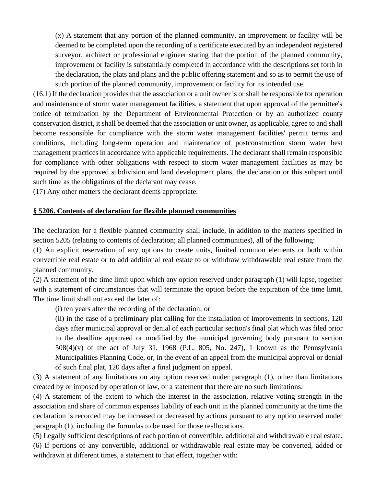(x) A statement that any portion of the planned community, an improvement or facility will be deemed to be completed upon the recording of a certificate executed by an independent registered surveyor, architect or professional engineer stating that the portion of the planned community, improvement or facility is substantially completed in accordance with the descriptions set forth in the declaration, the plats and plans and the public offering statement and so as to permit the use of such portion of the planned community, improvement or facility for its intended use.

(16.1) If the declaration provides that the association or a unit owner is or shall be responsible for operation and maintenance of storm water management facilities, a statement that upon approval of the permittee's notice of termination by the Department of Environmental Protection or by an authorized county conservation district, it shall be deemed that the association or unit owner, as applicable, agree to and shall become responsible for compliance with the storm water management facilities' permit terms and conditions, including long-term operation and maintenance of postconstruction storm water best management practices in accordance with applicable requirements. The declarant shall remain responsible for compliance with other obligations with respect to storm water management facilities as may be required by the approved subdivision and land development plans, the declaration or this subpart until such time as the obligations of the declarant may cease.

(17) Any other matters the declarant deems appropriate.

#### **§ 5206. Contents of declaration for flexible planned communities**

The declaration for a flexible planned community shall include, in addition to the matters specified in section 5205 (relating to contents of declaration; all planned communities), all of the following:

(1) An explicit reservation of any options to create units, limited common elements or both within convertible real estate or to add additional real estate to or withdraw withdrawable real estate from the planned community.

(2) A statement of the time limit upon which any option reserved under paragraph (1) will lapse, together with a statement of circumstances that will terminate the option before the expiration of the time limit. The time limit shall not exceed the later of:

(i) ten years after the recording of the declaration; or

(ii) in the case of a preliminary plat calling for the installation of improvements in sections, 120 days after municipal approval or denial of each particular section's final plat which was filed prior to the deadline approved or modified by the municipal governing body pursuant to section 508(4)(v) of the act of July 31, 1968 (P.L. 805, No. 247), 1 known as the Pennsylvania Municipalities Planning Code, or, in the event of an appeal from the municipal approval or denial of such final plat, 120 days after a final judgment on appeal.

(3) A statement of any limitations on any option reserved under paragraph (1), other than limitations created by or imposed by operation of law, or a statement that there are no such limitations.

(4) A statement of the extent to which the interest in the association, relative voting strength in the association and share of common expenses liability of each unit in the planned community at the time the declaration is recorded may be increased or decreased by actions pursuant to any option reserved under paragraph (1), including the formulas to be used for those reallocations.

(5) Legally sufficient descriptions of each portion of convertible, additional and withdrawable real estate. (6) If portions of any convertible, additional or withdrawable real estate may be converted, added or withdrawn at different times, a statement to that effect, together with: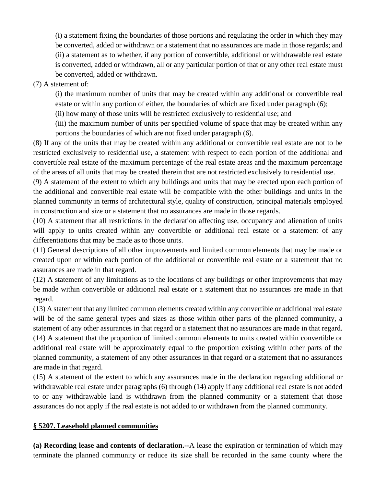(i) a statement fixing the boundaries of those portions and regulating the order in which they may be converted, added or withdrawn or a statement that no assurances are made in those regards; and (ii) a statement as to whether, if any portion of convertible, additional or withdrawable real estate is converted, added or withdrawn, all or any particular portion of that or any other real estate must be converted, added or withdrawn.

### (7) A statement of:

(i) the maximum number of units that may be created within any additional or convertible real estate or within any portion of either, the boundaries of which are fixed under paragraph (6);

(ii) how many of those units will be restricted exclusively to residential use; and

(iii) the maximum number of units per specified volume of space that may be created within any portions the boundaries of which are not fixed under paragraph (6).

(8) If any of the units that may be created within any additional or convertible real estate are not to be restricted exclusively to residential use, a statement with respect to each portion of the additional and convertible real estate of the maximum percentage of the real estate areas and the maximum percentage of the areas of all units that may be created therein that are not restricted exclusively to residential use.

(9) A statement of the extent to which any buildings and units that may be erected upon each portion of the additional and convertible real estate will be compatible with the other buildings and units in the planned community in terms of architectural style, quality of construction, principal materials employed in construction and size or a statement that no assurances are made in those regards.

(10) A statement that all restrictions in the declaration affecting use, occupancy and alienation of units will apply to units created within any convertible or additional real estate or a statement of any differentiations that may be made as to those units.

(11) General descriptions of all other improvements and limited common elements that may be made or created upon or within each portion of the additional or convertible real estate or a statement that no assurances are made in that regard.

(12) A statement of any limitations as to the locations of any buildings or other improvements that may be made within convertible or additional real estate or a statement that no assurances are made in that regard.

(13) A statement that any limited common elements created within any convertible or additional real estate will be of the same general types and sizes as those within other parts of the planned community, a statement of any other assurances in that regard or a statement that no assurances are made in that regard. (14) A statement that the proportion of limited common elements to units created within convertible or additional real estate will be approximately equal to the proportion existing within other parts of the planned community, a statement of any other assurances in that regard or a statement that no assurances are made in that regard.

(15) A statement of the extent to which any assurances made in the declaration regarding additional or withdrawable real estate under paragraphs (6) through (14) apply if any additional real estate is not added to or any withdrawable land is withdrawn from the planned community or a statement that those assurances do not apply if the real estate is not added to or withdrawn from the planned community.

# **§ 5207. Leasehold planned communities**

**(a) Recording lease and contents of declaration.--**A lease the expiration or termination of which may terminate the planned community or reduce its size shall be recorded in the same county where the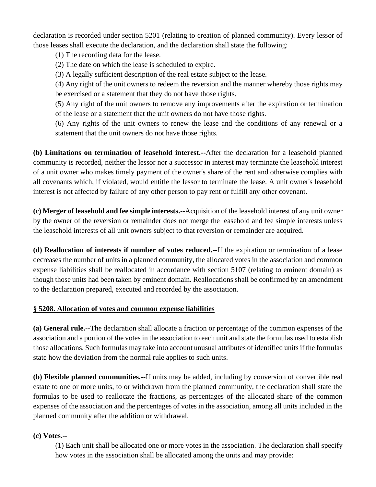declaration is recorded under section 5201 (relating to creation of planned community). Every lessor of those leases shall execute the declaration, and the declaration shall state the following:

(1) The recording data for the lease.

(2) The date on which the lease is scheduled to expire.

(3) A legally sufficient description of the real estate subject to the lease.

(4) Any right of the unit owners to redeem the reversion and the manner whereby those rights may be exercised or a statement that they do not have those rights.

(5) Any right of the unit owners to remove any improvements after the expiration or termination of the lease or a statement that the unit owners do not have those rights.

(6) Any rights of the unit owners to renew the lease and the conditions of any renewal or a statement that the unit owners do not have those rights.

**(b) Limitations on termination of leasehold interest.--**After the declaration for a leasehold planned community is recorded, neither the lessor nor a successor in interest may terminate the leasehold interest of a unit owner who makes timely payment of the owner's share of the rent and otherwise complies with all covenants which, if violated, would entitle the lessor to terminate the lease. A unit owner's leasehold interest is not affected by failure of any other person to pay rent or fulfill any other covenant.

**(c) Merger of leasehold and fee simple interests.--**Acquisition of the leasehold interest of any unit owner by the owner of the reversion or remainder does not merge the leasehold and fee simple interests unless the leasehold interests of all unit owners subject to that reversion or remainder are acquired.

**(d) Reallocation of interests if number of votes reduced.--**If the expiration or termination of a lease decreases the number of units in a planned community, the allocated votes in the association and common expense liabilities shall be reallocated in accordance with section 5107 (relating to eminent domain) as though those units had been taken by eminent domain. Reallocations shall be confirmed by an amendment to the declaration prepared, executed and recorded by the association.

#### **§ 5208. Allocation of votes and common expense liabilities**

**(a) General rule.--**The declaration shall allocate a fraction or percentage of the common expenses of the association and a portion of the votes in the association to each unit and state the formulas used to establish those allocations. Such formulas may take into account unusual attributes of identified units if the formulas state how the deviation from the normal rule applies to such units.

**(b) Flexible planned communities.--**If units may be added, including by conversion of convertible real estate to one or more units, to or withdrawn from the planned community, the declaration shall state the formulas to be used to reallocate the fractions, as percentages of the allocated share of the common expenses of the association and the percentages of votes in the association, among all units included in the planned community after the addition or withdrawal.

#### **(c) Votes.--**

(1) Each unit shall be allocated one or more votes in the association. The declaration shall specify how votes in the association shall be allocated among the units and may provide: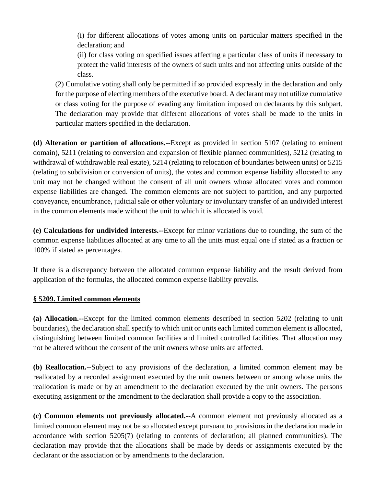(i) for different allocations of votes among units on particular matters specified in the declaration; and

(ii) for class voting on specified issues affecting a particular class of units if necessary to protect the valid interests of the owners of such units and not affecting units outside of the class.

(2) Cumulative voting shall only be permitted if so provided expressly in the declaration and only for the purpose of electing members of the executive board. A declarant may not utilize cumulative or class voting for the purpose of evading any limitation imposed on declarants by this subpart. The declaration may provide that different allocations of votes shall be made to the units in particular matters specified in the declaration.

**(d) Alteration or partition of allocations.--**Except as provided in section 5107 (relating to eminent domain), 5211 (relating to conversion and expansion of flexible planned communities), 5212 (relating to withdrawal of withdrawable real estate), 5214 (relating to relocation of boundaries between units) or 5215 (relating to subdivision or conversion of units), the votes and common expense liability allocated to any unit may not be changed without the consent of all unit owners whose allocated votes and common expense liabilities are changed. The common elements are not subject to partition, and any purported conveyance, encumbrance, judicial sale or other voluntary or involuntary transfer of an undivided interest in the common elements made without the unit to which it is allocated is void.

**(e) Calculations for undivided interests.--**Except for minor variations due to rounding, the sum of the common expense liabilities allocated at any time to all the units must equal one if stated as a fraction or 100% if stated as percentages.

If there is a discrepancy between the allocated common expense liability and the result derived from application of the formulas, the allocated common expense liability prevails.

#### **§ 5209. Limited common elements**

**(a) Allocation.--**Except for the limited common elements described in section 5202 (relating to unit boundaries), the declaration shall specify to which unit or units each limited common element is allocated, distinguishing between limited common facilities and limited controlled facilities. That allocation may not be altered without the consent of the unit owners whose units are affected.

**(b) Reallocation.--**Subject to any provisions of the declaration, a limited common element may be reallocated by a recorded assignment executed by the unit owners between or among whose units the reallocation is made or by an amendment to the declaration executed by the unit owners. The persons executing assignment or the amendment to the declaration shall provide a copy to the association.

**(c) Common elements not previously allocated.--**A common element not previously allocated as a limited common element may not be so allocated except pursuant to provisions in the declaration made in accordance with section 5205(7) (relating to contents of declaration; all planned communities). The declaration may provide that the allocations shall be made by deeds or assignments executed by the declarant or the association or by amendments to the declaration.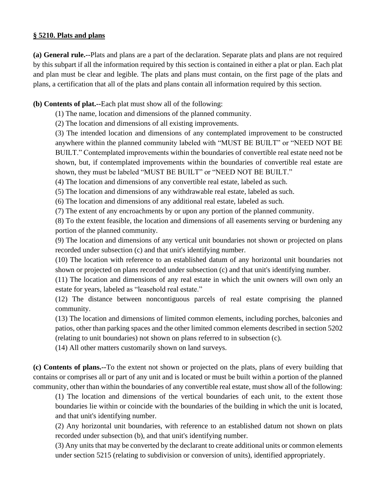#### **§ 5210. Plats and plans**

**(a) General rule.--**Plats and plans are a part of the declaration. Separate plats and plans are not required by this subpart if all the information required by this section is contained in either a plat or plan. Each plat and plan must be clear and legible. The plats and plans must contain, on the first page of the plats and plans, a certification that all of the plats and plans contain all information required by this section.

### **(b) Contents of plat.--**Each plat must show all of the following:

(1) The name, location and dimensions of the planned community.

(2) The location and dimensions of all existing improvements.

(3) The intended location and dimensions of any contemplated improvement to be constructed anywhere within the planned community labeled with "MUST BE BUILT" or "NEED NOT BE BUILT." Contemplated improvements within the boundaries of convertible real estate need not be shown, but, if contemplated improvements within the boundaries of convertible real estate are shown, they must be labeled "MUST BE BUILT" or "NEED NOT BE BUILT."

(4) The location and dimensions of any convertible real estate, labeled as such.

(5) The location and dimensions of any withdrawable real estate, labeled as such.

(6) The location and dimensions of any additional real estate, labeled as such.

(7) The extent of any encroachments by or upon any portion of the planned community.

(8) To the extent feasible, the location and dimensions of all easements serving or burdening any portion of the planned community.

(9) The location and dimensions of any vertical unit boundaries not shown or projected on plans recorded under subsection (c) and that unit's identifying number.

(10) The location with reference to an established datum of any horizontal unit boundaries not shown or projected on plans recorded under subsection (c) and that unit's identifying number.

(11) The location and dimensions of any real estate in which the unit owners will own only an estate for years, labeled as "leasehold real estate."

(12) The distance between noncontiguous parcels of real estate comprising the planned community.

(13) The location and dimensions of limited common elements, including porches, balconies and patios, other than parking spaces and the other limited common elements described in section 5202 (relating to unit boundaries) not shown on plans referred to in subsection (c).

(14) All other matters customarily shown on land surveys.

**(c) Contents of plans.--**To the extent not shown or projected on the plats, plans of every building that contains or comprises all or part of any unit and is located or must be built within a portion of the planned community, other than within the boundaries of any convertible real estate, must show all of the following:

(1) The location and dimensions of the vertical boundaries of each unit, to the extent those boundaries lie within or coincide with the boundaries of the building in which the unit is located, and that unit's identifying number.

(2) Any horizontal unit boundaries, with reference to an established datum not shown on plats recorded under subsection (b), and that unit's identifying number.

(3) Any units that may be converted by the declarant to create additional units or common elements under section 5215 (relating to subdivision or conversion of units), identified appropriately.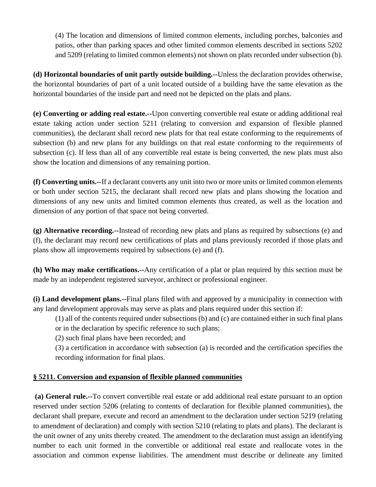(4) The location and dimensions of limited common elements, including porches, balconies and patios, other than parking spaces and other limited common elements described in sections 5202 and 5209 (relating to limited common elements) not shown on plats recorded under subsection (b).

**(d) Horizontal boundaries of unit partly outside building.--**Unless the declaration provides otherwise, the horizontal boundaries of part of a unit located outside of a building have the same elevation as the horizontal boundaries of the inside part and need not be depicted on the plats and plans.

**(e) Converting or adding real estate.--**Upon converting convertible real estate or adding additional real estate taking action under section 5211 (relating to conversion and expansion of flexible planned communities), the declarant shall record new plats for that real estate conforming to the requirements of subsection (b) and new plans for any buildings on that real estate conforming to the requirements of subsection (c). If less than all of any convertible real estate is being converted, the new plats must also show the location and dimensions of any remaining portion.

**(f) Converting units.--**If a declarant converts any unit into two or more units or limited common elements or both under section 5215, the declarant shall record new plats and plans showing the location and dimensions of any new units and limited common elements thus created, as well as the location and dimension of any portion of that space not being converted.

**(g) Alternative recording.--**Instead of recording new plats and plans as required by subsections (e) and (f), the declarant may record new certifications of plats and plans previously recorded if those plats and plans show all improvements required by subsections (e) and (f).

**(h) Who may make certifications.--**Any certification of a plat or plan required by this section must be made by an independent registered surveyor, architect or professional engineer.

**(i) Land development plans.--**Final plans filed with and approved by a municipality in connection with any land development approvals may serve as plats and plans required under this section if:

(1) all of the contents required under subsections (b) and (c) are contained either in such final plans or in the declaration by specific reference to such plans;

(2) such final plans have been recorded; and

(3) a certification in accordance with subsection (a) is recorded and the certification specifies the recording information for final plans.

# **§ 5211. Conversion and expansion of flexible planned communities**

**(a) General rule.--**To convert convertible real estate or add additional real estate pursuant to an option reserved under section 5206 (relating to contents of declaration for flexible planned communities), the declarant shall prepare, execute and record an amendment to the declaration under section 5219 (relating to amendment of declaration) and comply with section 5210 (relating to plats and plans). The declarant is the unit owner of any units thereby created. The amendment to the declaration must assign an identifying number to each unit formed in the convertible or additional real estate and reallocate votes in the association and common expense liabilities. The amendment must describe or delineate any limited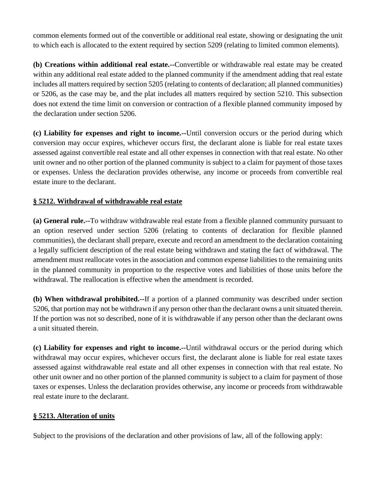common elements formed out of the convertible or additional real estate, showing or designating the unit to which each is allocated to the extent required by section 5209 (relating to limited common elements).

**(b) Creations within additional real estate.--**Convertible or withdrawable real estate may be created within any additional real estate added to the planned community if the amendment adding that real estate includes all matters required by section 5205 (relating to contents of declaration; all planned communities) or 5206, as the case may be, and the plat includes all matters required by section 5210. This subsection does not extend the time limit on conversion or contraction of a flexible planned community imposed by the declaration under section 5206.

**(c) Liability for expenses and right to income.--**Until conversion occurs or the period during which conversion may occur expires, whichever occurs first, the declarant alone is liable for real estate taxes assessed against convertible real estate and all other expenses in connection with that real estate. No other unit owner and no other portion of the planned community is subject to a claim for payment of those taxes or expenses. Unless the declaration provides otherwise, any income or proceeds from convertible real estate inure to the declarant.

## **§ 5212. Withdrawal of withdrawable real estate**

**(a) General rule.--**To withdraw withdrawable real estate from a flexible planned community pursuant to an option reserved under section 5206 (relating to contents of declaration for flexible planned communities), the declarant shall prepare, execute and record an amendment to the declaration containing a legally sufficient description of the real estate being withdrawn and stating the fact of withdrawal. The amendment must reallocate votes in the association and common expense liabilities to the remaining units in the planned community in proportion to the respective votes and liabilities of those units before the withdrawal. The reallocation is effective when the amendment is recorded.

**(b) When withdrawal prohibited.--**If a portion of a planned community was described under section 5206, that portion may not be withdrawn if any person other than the declarant owns a unit situated therein. If the portion was not so described, none of it is withdrawable if any person other than the declarant owns a unit situated therein.

**(c) Liability for expenses and right to income.--**Until withdrawal occurs or the period during which withdrawal may occur expires, whichever occurs first, the declarant alone is liable for real estate taxes assessed against withdrawable real estate and all other expenses in connection with that real estate. No other unit owner and no other portion of the planned community is subject to a claim for payment of those taxes or expenses. Unless the declaration provides otherwise, any income or proceeds from withdrawable real estate inure to the declarant.

#### **§ 5213. Alteration of units**

Subject to the provisions of the declaration and other provisions of law, all of the following apply: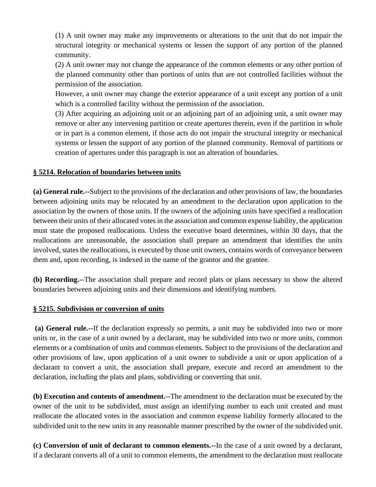(1) A unit owner may make any improvements or alterations to the unit that do not impair the structural integrity or mechanical systems or lessen the support of any portion of the planned community.

(2) A unit owner may not change the appearance of the common elements or any other portion of the planned community other than portions of units that are not controlled facilities without the permission of the association.

However, a unit owner may change the exterior appearance of a unit except any portion of a unit which is a controlled facility without the permission of the association.

(3) After acquiring an adjoining unit or an adjoining part of an adjoining unit, a unit owner may remove or alter any intervening partition or create apertures therein, even if the partition in whole or in part is a common element, if those acts do not impair the structural integrity or mechanical systems or lessen the support of any portion of the planned community. Removal of partitions or creation of apertures under this paragraph is not an alteration of boundaries.

#### **§ 5214. Relocation of boundaries between units**

**(a) General rule.--**Subject to the provisions of the declaration and other provisions of law, the boundaries between adjoining units may be relocated by an amendment to the declaration upon application to the association by the owners of those units. If the owners of the adjoining units have specified a reallocation between their units of their allocated votes in the association and common expense liability, the application must state the proposed reallocations. Unless the executive board determines, within 30 days, that the reallocations are unreasonable, the association shall prepare an amendment that identifies the units involved, states the reallocations, is executed by those unit owners, contains words of conveyance between them and, upon recording, is indexed in the name of the grantor and the grantee.

**(b) Recording.--**The association shall prepare and record plats or plans necessary to show the altered boundaries between adjoining units and their dimensions and identifying numbers.

#### **§ 5215. Subdivision or conversion of units**

**(a) General rule.--**If the declaration expressly so permits, a unit may be subdivided into two or more units or, in the case of a unit owned by a declarant, may be subdivided into two or more units, common elements or a combination of units and common elements. Subject to the provisions of the declaration and other provisions of law, upon application of a unit owner to subdivide a unit or upon application of a declarant to convert a unit, the association shall prepare, execute and record an amendment to the declaration, including the plats and plans, subdividing or converting that unit.

**(b) Execution and contents of amendment.--**The amendment to the declaration must be executed by the owner of the unit to be subdivided, must assign an identifying number to each unit created and must reallocate the allocated votes in the association and common expense liability formerly allocated to the subdivided unit to the new units in any reasonable manner prescribed by the owner of the subdivided unit.

**(c) Conversion of unit of declarant to common elements.--**In the case of a unit owned by a declarant, if a declarant converts all of a unit to common elements, the amendment to the declaration must reallocate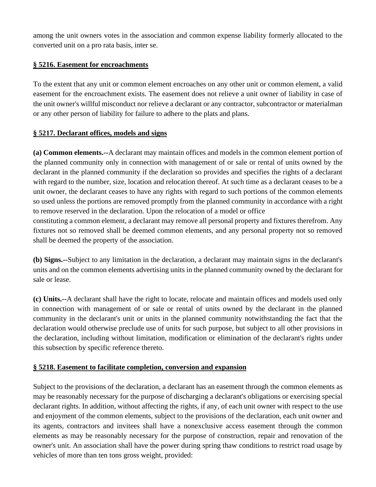among the unit owners votes in the association and common expense liability formerly allocated to the converted unit on a pro rata basis, inter se.

### **§ 5216. Easement for encroachments**

To the extent that any unit or common element encroaches on any other unit or common element, a valid easement for the encroachment exists. The easement does not relieve a unit owner of liability in case of the unit owner's willful misconduct nor relieve a declarant or any contractor, subcontractor or materialman or any other person of liability for failure to adhere to the plats and plans.

## **§ 5217. Declarant offices, models and signs**

**(a) Common elements.--**A declarant may maintain offices and models in the common element portion of the planned community only in connection with management of or sale or rental of units owned by the declarant in the planned community if the declaration so provides and specifies the rights of a declarant with regard to the number, size, location and relocation thereof. At such time as a declarant ceases to be a unit owner, the declarant ceases to have any rights with regard to such portions of the common elements so used unless the portions are removed promptly from the planned community in accordance with a right to remove reserved in the declaration. Upon the relocation of a model or office

constituting a common element, a declarant may remove all personal property and fixtures therefrom. Any fixtures not so removed shall be deemed common elements, and any personal property not so removed shall be deemed the property of the association.

**(b) Signs.--**Subject to any limitation in the declaration, a declarant may maintain signs in the declarant's units and on the common elements advertising units in the planned community owned by the declarant for sale or lease.

**(c) Units.--**A declarant shall have the right to locate, relocate and maintain offices and models used only in connection with management of or sale or rental of units owned by the declarant in the planned community in the declarant's unit or units in the planned community notwithstanding the fact that the declaration would otherwise preclude use of units for such purpose, but subject to all other provisions in the declaration, including without limitation, modification or elimination of the declarant's rights under this subsection by specific reference thereto.

#### **§ 5218. Easement to facilitate completion, conversion and expansion**

Subject to the provisions of the declaration, a declarant has an easement through the common elements as may be reasonably necessary for the purpose of discharging a declarant's obligations or exercising special declarant rights. In addition, without affecting the rights, if any, of each unit owner with respect to the use and enjoyment of the common elements, subject to the provisions of the declaration, each unit owner and its agents, contractors and invitees shall have a nonexclusive access easement through the common elements as may be reasonably necessary for the purpose of construction, repair and renovation of the owner's unit. An association shall have the power during spring thaw conditions to restrict road usage by vehicles of more than ten tons gross weight, provided: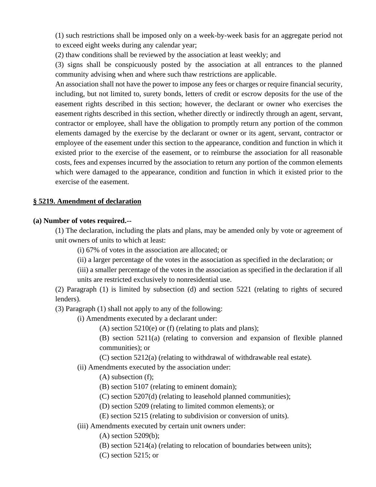(1) such restrictions shall be imposed only on a week-by-week basis for an aggregate period not to exceed eight weeks during any calendar year;

(2) thaw conditions shall be reviewed by the association at least weekly; and

(3) signs shall be conspicuously posted by the association at all entrances to the planned community advising when and where such thaw restrictions are applicable.

An association shall not have the power to impose any fees or charges or require financial security, including, but not limited to, surety bonds, letters of credit or escrow deposits for the use of the easement rights described in this section; however, the declarant or owner who exercises the easement rights described in this section, whether directly or indirectly through an agent, servant, contractor or employee, shall have the obligation to promptly return any portion of the common elements damaged by the exercise by the declarant or owner or its agent, servant, contractor or employee of the easement under this section to the appearance, condition and function in which it existed prior to the exercise of the easement, or to reimburse the association for all reasonable costs, fees and expenses incurred by the association to return any portion of the common elements which were damaged to the appearance, condition and function in which it existed prior to the exercise of the easement.

#### **§ 5219. Amendment of declaration**

#### **(a) Number of votes required.--**

(1) The declaration, including the plats and plans, may be amended only by vote or agreement of unit owners of units to which at least:

- (i) 67% of votes in the association are allocated; or
- (ii) a larger percentage of the votes in the association as specified in the declaration; or
- (iii) a smaller percentage of the votes in the association as specified in the declaration if all units are restricted exclusively to nonresidential use.

(2) Paragraph (1) is limited by subsection (d) and section 5221 (relating to rights of secured lenders).

(3) Paragraph (1) shall not apply to any of the following:

(i) Amendments executed by a declarant under:

(A) section  $5210(e)$  or (f) (relating to plats and plans);

(B) section 5211(a) (relating to conversion and expansion of flexible planned communities); or

- (C) section 5212(a) (relating to withdrawal of withdrawable real estate).
- (ii) Amendments executed by the association under:
	- (A) subsection (f);
	- (B) section 5107 (relating to eminent domain);
	- (C) section 5207(d) (relating to leasehold planned communities);
	- (D) section 5209 (relating to limited common elements); or
	- (E) section 5215 (relating to subdivision or conversion of units).
- (iii) Amendments executed by certain unit owners under:
	- (A) section 5209(b);
	- (B) section 5214(a) (relating to relocation of boundaries between units);
	- (C) section 5215; or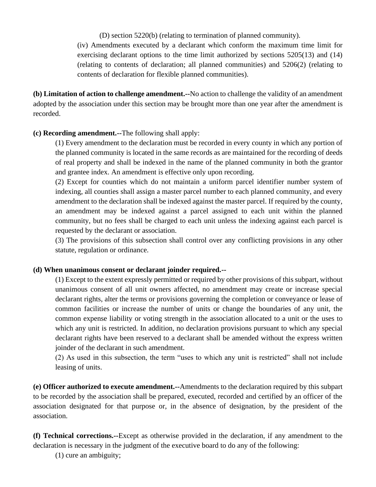(D) section 5220(b) (relating to termination of planned community).

(iv) Amendments executed by a declarant which conform the maximum time limit for exercising declarant options to the time limit authorized by sections 5205(13) and (14) (relating to contents of declaration; all planned communities) and 5206(2) (relating to contents of declaration for flexible planned communities).

**(b) Limitation of action to challenge amendment.--**No action to challenge the validity of an amendment adopted by the association under this section may be brought more than one year after the amendment is recorded.

#### **(c) Recording amendment.--**The following shall apply:

(1) Every amendment to the declaration must be recorded in every county in which any portion of the planned community is located in the same records as are maintained for the recording of deeds of real property and shall be indexed in the name of the planned community in both the grantor and grantee index. An amendment is effective only upon recording.

(2) Except for counties which do not maintain a uniform parcel identifier number system of indexing, all counties shall assign a master parcel number to each planned community, and every amendment to the declaration shall be indexed against the master parcel. If required by the county, an amendment may be indexed against a parcel assigned to each unit within the planned community, but no fees shall be charged to each unit unless the indexing against each parcel is requested by the declarant or association.

(3) The provisions of this subsection shall control over any conflicting provisions in any other statute, regulation or ordinance.

#### **(d) When unanimous consent or declarant joinder required.--**

(1) Except to the extent expressly permitted or required by other provisions of this subpart, without unanimous consent of all unit owners affected, no amendment may create or increase special declarant rights, alter the terms or provisions governing the completion or conveyance or lease of common facilities or increase the number of units or change the boundaries of any unit, the common expense liability or voting strength in the association allocated to a unit or the uses to which any unit is restricted. In addition, no declaration provisions pursuant to which any special declarant rights have been reserved to a declarant shall be amended without the express written joinder of the declarant in such amendment.

(2) As used in this subsection, the term "uses to which any unit is restricted" shall not include leasing of units.

**(e) Officer authorized to execute amendment.--**Amendments to the declaration required by this subpart to be recorded by the association shall be prepared, executed, recorded and certified by an officer of the association designated for that purpose or, in the absence of designation, by the president of the association.

**(f) Technical corrections.--**Except as otherwise provided in the declaration, if any amendment to the declaration is necessary in the judgment of the executive board to do any of the following:

(1) cure an ambiguity;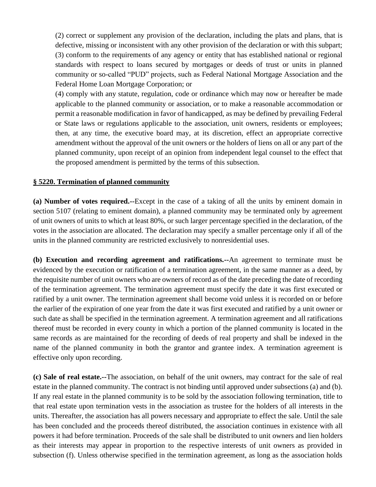(2) correct or supplement any provision of the declaration, including the plats and plans, that is defective, missing or inconsistent with any other provision of the declaration or with this subpart; (3) conform to the requirements of any agency or entity that has established national or regional standards with respect to loans secured by mortgages or deeds of trust or units in planned community or so-called "PUD" projects, such as Federal National Mortgage Association and the Federal Home Loan Mortgage Corporation; or

(4) comply with any statute, regulation, code or ordinance which may now or hereafter be made applicable to the planned community or association, or to make a reasonable accommodation or permit a reasonable modification in favor of handicapped, as may be defined by prevailing Federal or State laws or regulations applicable to the association, unit owners, residents or employees; then, at any time, the executive board may, at its discretion, effect an appropriate corrective amendment without the approval of the unit owners or the holders of liens on all or any part of the planned community, upon receipt of an opinion from independent legal counsel to the effect that the proposed amendment is permitted by the terms of this subsection.

#### **§ 5220. Termination of planned community**

**(a) Number of votes required.--**Except in the case of a taking of all the units by eminent domain in section 5107 (relating to eminent domain), a planned community may be terminated only by agreement of unit owners of units to which at least 80%, or such larger percentage specified in the declaration, of the votes in the association are allocated. The declaration may specify a smaller percentage only if all of the units in the planned community are restricted exclusively to nonresidential uses.

**(b) Execution and recording agreement and ratifications.--**An agreement to terminate must be evidenced by the execution or ratification of a termination agreement, in the same manner as a deed, by the requisite number of unit owners who are owners of record as of the date preceding the date of recording of the termination agreement. The termination agreement must specify the date it was first executed or ratified by a unit owner. The termination agreement shall become void unless it is recorded on or before the earlier of the expiration of one year from the date it was first executed and ratified by a unit owner or such date as shall be specified in the termination agreement. A termination agreement and all ratifications thereof must be recorded in every county in which a portion of the planned community is located in the same records as are maintained for the recording of deeds of real property and shall be indexed in the name of the planned community in both the grantor and grantee index. A termination agreement is effective only upon recording.

**(c) Sale of real estate.--**The association, on behalf of the unit owners, may contract for the sale of real estate in the planned community. The contract is not binding until approved under subsections (a) and (b). If any real estate in the planned community is to be sold by the association following termination, title to that real estate upon termination vests in the association as trustee for the holders of all interests in the units. Thereafter, the association has all powers necessary and appropriate to effect the sale. Until the sale has been concluded and the proceeds thereof distributed, the association continues in existence with all powers it had before termination. Proceeds of the sale shall be distributed to unit owners and lien holders as their interests may appear in proportion to the respective interests of unit owners as provided in subsection (f). Unless otherwise specified in the termination agreement, as long as the association holds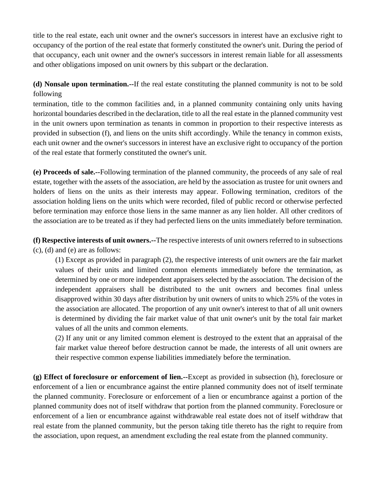title to the real estate, each unit owner and the owner's successors in interest have an exclusive right to occupancy of the portion of the real estate that formerly constituted the owner's unit. During the period of that occupancy, each unit owner and the owner's successors in interest remain liable for all assessments and other obligations imposed on unit owners by this subpart or the declaration.

**(d) Nonsale upon termination.--**If the real estate constituting the planned community is not to be sold following

termination, title to the common facilities and, in a planned community containing only units having horizontal boundaries described in the declaration, title to all the real estate in the planned community vest in the unit owners upon termination as tenants in common in proportion to their respective interests as provided in subsection (f), and liens on the units shift accordingly. While the tenancy in common exists, each unit owner and the owner's successors in interest have an exclusive right to occupancy of the portion of the real estate that formerly constituted the owner's unit.

**(e) Proceeds of sale.--**Following termination of the planned community, the proceeds of any sale of real estate, together with the assets of the association, are held by the association as trustee for unit owners and holders of liens on the units as their interests may appear. Following termination, creditors of the association holding liens on the units which were recorded, filed of public record or otherwise perfected before termination may enforce those liens in the same manner as any lien holder. All other creditors of the association are to be treated as if they had perfected liens on the units immediately before termination.

**(f) Respective interests of unit owners.--**The respective interests of unit owners referred to in subsections (c), (d) and (e) are as follows:

(1) Except as provided in paragraph (2), the respective interests of unit owners are the fair market values of their units and limited common elements immediately before the termination, as determined by one or more independent appraisers selected by the association. The decision of the independent appraisers shall be distributed to the unit owners and becomes final unless disapproved within 30 days after distribution by unit owners of units to which 25% of the votes in the association are allocated. The proportion of any unit owner's interest to that of all unit owners is determined by dividing the fair market value of that unit owner's unit by the total fair market values of all the units and common elements.

(2) If any unit or any limited common element is destroyed to the extent that an appraisal of the fair market value thereof before destruction cannot be made, the interests of all unit owners are their respective common expense liabilities immediately before the termination.

**(g) Effect of foreclosure or enforcement of lien.--**Except as provided in subsection (h), foreclosure or enforcement of a lien or encumbrance against the entire planned community does not of itself terminate the planned community. Foreclosure or enforcement of a lien or encumbrance against a portion of the planned community does not of itself withdraw that portion from the planned community. Foreclosure or enforcement of a lien or encumbrance against withdrawable real estate does not of itself withdraw that real estate from the planned community, but the person taking title thereto has the right to require from the association, upon request, an amendment excluding the real estate from the planned community.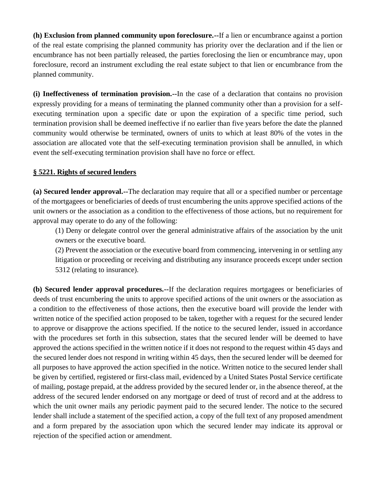**(h) Exclusion from planned community upon foreclosure.--**If a lien or encumbrance against a portion of the real estate comprising the planned community has priority over the declaration and if the lien or encumbrance has not been partially released, the parties foreclosing the lien or encumbrance may, upon foreclosure, record an instrument excluding the real estate subject to that lien or encumbrance from the planned community.

**(i) Ineffectiveness of termination provision.--**In the case of a declaration that contains no provision expressly providing for a means of terminating the planned community other than a provision for a selfexecuting termination upon a specific date or upon the expiration of a specific time period, such termination provision shall be deemed ineffective if no earlier than five years before the date the planned community would otherwise be terminated, owners of units to which at least 80% of the votes in the association are allocated vote that the self-executing termination provision shall be annulled, in which event the self-executing termination provision shall have no force or effect.

## **§ 5221. Rights of secured lenders**

**(a) Secured lender approval.--**The declaration may require that all or a specified number or percentage of the mortgagees or beneficiaries of deeds of trust encumbering the units approve specified actions of the unit owners or the association as a condition to the effectiveness of those actions, but no requirement for approval may operate to do any of the following:

(1) Deny or delegate control over the general administrative affairs of the association by the unit owners or the executive board.

(2) Prevent the association or the executive board from commencing, intervening in or settling any litigation or proceeding or receiving and distributing any insurance proceeds except under section 5312 (relating to insurance).

**(b) Secured lender approval procedures.--**If the declaration requires mortgagees or beneficiaries of deeds of trust encumbering the units to approve specified actions of the unit owners or the association as a condition to the effectiveness of those actions, then the executive board will provide the lender with written notice of the specified action proposed to be taken, together with a request for the secured lender to approve or disapprove the actions specified. If the notice to the secured lender, issued in accordance with the procedures set forth in this subsection, states that the secured lender will be deemed to have approved the actions specified in the written notice if it does not respond to the request within 45 days and the secured lender does not respond in writing within 45 days, then the secured lender will be deemed for all purposes to have approved the action specified in the notice. Written notice to the secured lender shall be given by certified, registered or first-class mail, evidenced by a United States Postal Service certificate of mailing, postage prepaid, at the address provided by the secured lender or, in the absence thereof, at the address of the secured lender endorsed on any mortgage or deed of trust of record and at the address to which the unit owner mails any periodic payment paid to the secured lender. The notice to the secured lender shall include a statement of the specified action, a copy of the full text of any proposed amendment and a form prepared by the association upon which the secured lender may indicate its approval or rejection of the specified action or amendment.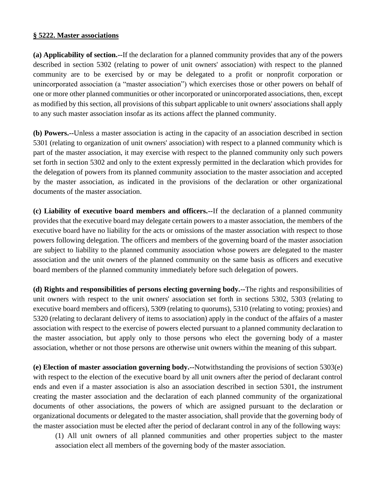#### **§ 5222. Master associations**

**(a) Applicability of section.--**If the declaration for a planned community provides that any of the powers described in section 5302 (relating to power of unit owners' association) with respect to the planned community are to be exercised by or may be delegated to a profit or nonprofit corporation or unincorporated association (a "master association") which exercises those or other powers on behalf of one or more other planned communities or other incorporated or unincorporated associations, then, except as modified by this section, all provisions of this subpart applicable to unit owners' associations shall apply to any such master association insofar as its actions affect the planned community.

**(b) Powers.--**Unless a master association is acting in the capacity of an association described in section 5301 (relating to organization of unit owners' association) with respect to a planned community which is part of the master association, it may exercise with respect to the planned community only such powers set forth in section 5302 and only to the extent expressly permitted in the declaration which provides for the delegation of powers from its planned community association to the master association and accepted by the master association, as indicated in the provisions of the declaration or other organizational documents of the master association.

**(c) Liability of executive board members and officers.--**If the declaration of a planned community provides that the executive board may delegate certain powers to a master association, the members of the executive board have no liability for the acts or omissions of the master association with respect to those powers following delegation. The officers and members of the governing board of the master association are subject to liability to the planned community association whose powers are delegated to the master association and the unit owners of the planned community on the same basis as officers and executive board members of the planned community immediately before such delegation of powers.

**(d) Rights and responsibilities of persons electing governing body.--**The rights and responsibilities of unit owners with respect to the unit owners' association set forth in sections 5302, 5303 (relating to executive board members and officers), 5309 (relating to quorums), 5310 (relating to voting; proxies) and 5320 (relating to declarant delivery of items to association) apply in the conduct of the affairs of a master association with respect to the exercise of powers elected pursuant to a planned community declaration to the master association, but apply only to those persons who elect the governing body of a master association, whether or not those persons are otherwise unit owners within the meaning of this subpart.

**(e) Election of master association governing body.--**Notwithstanding the provisions of section 5303(e) with respect to the election of the executive board by all unit owners after the period of declarant control ends and even if a master association is also an association described in section 5301, the instrument creating the master association and the declaration of each planned community of the organizational documents of other associations, the powers of which are assigned pursuant to the declaration or organizational documents or delegated to the master association, shall provide that the governing body of the master association must be elected after the period of declarant control in any of the following ways:

(1) All unit owners of all planned communities and other properties subject to the master association elect all members of the governing body of the master association.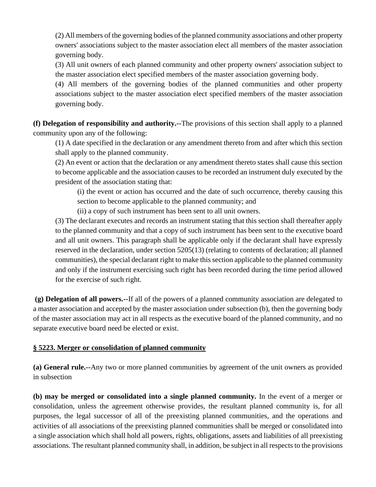(2) All members of the governing bodies of the planned community associations and other property owners' associations subject to the master association elect all members of the master association governing body.

(3) All unit owners of each planned community and other property owners' association subject to the master association elect specified members of the master association governing body.

(4) All members of the governing bodies of the planned communities and other property associations subject to the master association elect specified members of the master association governing body.

**(f) Delegation of responsibility and authority.--**The provisions of this section shall apply to a planned community upon any of the following:

(1) A date specified in the declaration or any amendment thereto from and after which this section shall apply to the planned community.

(2) An event or action that the declaration or any amendment thereto states shall cause this section to become applicable and the association causes to be recorded an instrument duly executed by the president of the association stating that:

(i) the event or action has occurred and the date of such occurrence, thereby causing this section to become applicable to the planned community; and

(ii) a copy of such instrument has been sent to all unit owners.

(3) The declarant executes and records an instrument stating that this section shall thereafter apply to the planned community and that a copy of such instrument has been sent to the executive board and all unit owners. This paragraph shall be applicable only if the declarant shall have expressly reserved in the declaration, under section 5205(13) (relating to contents of declaration; all planned communities), the special declarant right to make this section applicable to the planned community and only if the instrument exercising such right has been recorded during the time period allowed for the exercise of such right.

**(g) Delegation of all powers.--**If all of the powers of a planned community association are delegated to a master association and accepted by the master association under subsection (b), then the governing body of the master association may act in all respects as the executive board of the planned community, and no separate executive board need be elected or exist.

### **§ 5223. Merger or consolidation of planned community**

**(a) General rule.--**Any two or more planned communities by agreement of the unit owners as provided in subsection

**(b) may be merged or consolidated into a single planned community.** In the event of a merger or consolidation, unless the agreement otherwise provides, the resultant planned community is, for all purposes, the legal successor of all of the preexisting planned communities, and the operations and activities of all associations of the preexisting planned communities shall be merged or consolidated into a single association which shall hold all powers, rights, obligations, assets and liabilities of all preexisting associations. The resultant planned community shall, in addition, be subject in all respects to the provisions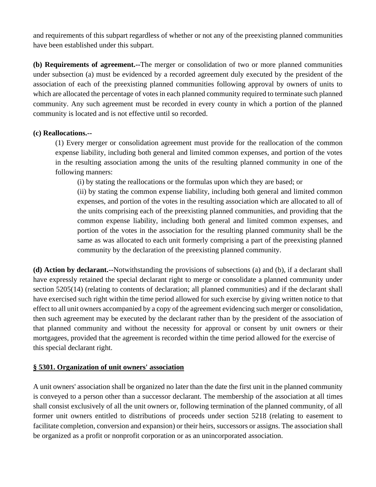and requirements of this subpart regardless of whether or not any of the preexisting planned communities have been established under this subpart.

**(b) Requirements of agreement.--**The merger or consolidation of two or more planned communities under subsection (a) must be evidenced by a recorded agreement duly executed by the president of the association of each of the preexisting planned communities following approval by owners of units to which are allocated the percentage of votes in each planned community required to terminate such planned community. Any such agreement must be recorded in every county in which a portion of the planned community is located and is not effective until so recorded.

#### **(c) Reallocations.--**

(1) Every merger or consolidation agreement must provide for the reallocation of the common expense liability, including both general and limited common expenses, and portion of the votes in the resulting association among the units of the resulting planned community in one of the following manners:

(i) by stating the reallocations or the formulas upon which they are based; or

(ii) by stating the common expense liability, including both general and limited common expenses, and portion of the votes in the resulting association which are allocated to all of the units comprising each of the preexisting planned communities, and providing that the common expense liability, including both general and limited common expenses, and portion of the votes in the association for the resulting planned community shall be the same as was allocated to each unit formerly comprising a part of the preexisting planned community by the declaration of the preexisting planned community.

**(d) Action by declarant.--**Notwithstanding the provisions of subsections (a) and (b), if a declarant shall have expressly retained the special declarant right to merge or consolidate a planned community under section 5205(14) (relating to contents of declaration; all planned communities) and if the declarant shall have exercised such right within the time period allowed for such exercise by giving written notice to that effect to all unit owners accompanied by a copy of the agreement evidencing such merger or consolidation, then such agreement may be executed by the declarant rather than by the president of the association of that planned community and without the necessity for approval or consent by unit owners or their mortgagees, provided that the agreement is recorded within the time period allowed for the exercise of this special declarant right.

### **§ 5301. Organization of unit owners' association**

A unit owners' association shall be organized no later than the date the first unit in the planned community is conveyed to a person other than a successor declarant. The membership of the association at all times shall consist exclusively of all the unit owners or, following termination of the planned community, of all former unit owners entitled to distributions of proceeds under section 5218 (relating to easement to facilitate completion, conversion and expansion) or their heirs, successors or assigns. The association shall be organized as a profit or nonprofit corporation or as an unincorporated association.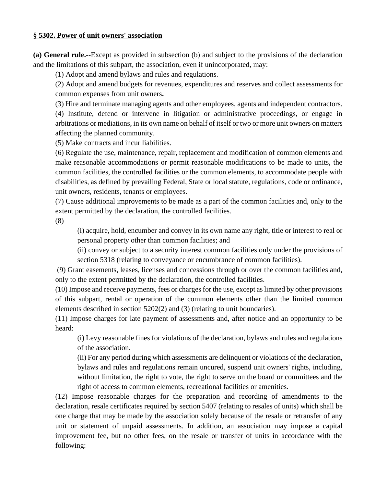#### **§ 5302. Power of unit owners' association**

**(a) General rule.--**Except as provided in subsection (b) and subject to the provisions of the declaration and the limitations of this subpart, the association, even if unincorporated, may:

(1) Adopt and amend bylaws and rules and regulations.

(2) Adopt and amend budgets for revenues, expenditures and reserves and collect assessments for common expenses from unit owners**.**

(3) Hire and terminate managing agents and other employees, agents and independent contractors. (4) Institute, defend or intervene in litigation or administrative proceedings, or engage in arbitrations or mediations, in its own name on behalf of itself or two or more unit owners on matters affecting the planned community.

(5) Make contracts and incur liabilities.

(6) Regulate the use, maintenance, repair, replacement and modification of common elements and make reasonable accommodations or permit reasonable modifications to be made to units, the common facilities, the controlled facilities or the common elements, to accommodate people with disabilities, as defined by prevailing Federal, State or local statute, regulations, code or ordinance, unit owners, residents, tenants or employees.

(7) Cause additional improvements to be made as a part of the common facilities and, only to the extent permitted by the declaration, the controlled facilities.

(8)

(i) acquire, hold, encumber and convey in its own name any right, title or interest to real or personal property other than common facilities; and

(ii) convey or subject to a security interest common facilities only under the provisions of section 5318 (relating to conveyance or encumbrance of common facilities).

(9) Grant easements, leases, licenses and concessions through or over the common facilities and, only to the extent permitted by the declaration, the controlled facilities.

(10) Impose and receive payments, fees or charges for the use, except as limited by other provisions of this subpart, rental or operation of the common elements other than the limited common elements described in section 5202(2) and (3) (relating to unit boundaries).

(11) Impose charges for late payment of assessments and, after notice and an opportunity to be heard:

(i) Levy reasonable fines for violations of the declaration, bylaws and rules and regulations of the association.

(ii) For any period during which assessments are delinquent or violations of the declaration, bylaws and rules and regulations remain uncured, suspend unit owners' rights, including, without limitation, the right to vote, the right to serve on the board or committees and the right of access to common elements, recreational facilities or amenities.

(12) Impose reasonable charges for the preparation and recording of amendments to the declaration, resale certificates required by section 5407 (relating to resales of units) which shall be one charge that may be made by the association solely because of the resale or retransfer of any unit or statement of unpaid assessments. In addition, an association may impose a capital improvement fee, but no other fees, on the resale or transfer of units in accordance with the following: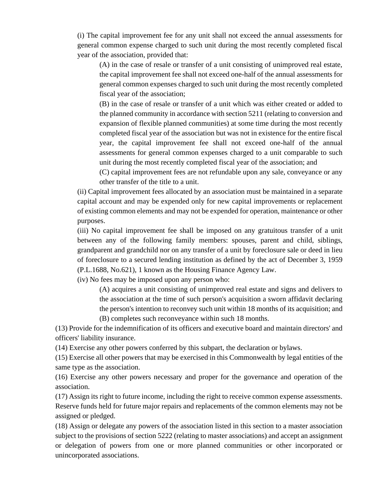(i) The capital improvement fee for any unit shall not exceed the annual assessments for general common expense charged to such unit during the most recently completed fiscal year of the association, provided that:

(A) in the case of resale or transfer of a unit consisting of unimproved real estate, the capital improvement fee shall not exceed one-half of the annual assessments for general common expenses charged to such unit during the most recently completed fiscal year of the association;

(B) in the case of resale or transfer of a unit which was either created or added to the planned community in accordance with section 5211 (relating to conversion and expansion of flexible planned communities) at some time during the most recently completed fiscal year of the association but was not in existence for the entire fiscal year, the capital improvement fee shall not exceed one-half of the annual assessments for general common expenses charged to a unit comparable to such unit during the most recently completed fiscal year of the association; and

(C) capital improvement fees are not refundable upon any sale, conveyance or any other transfer of the title to a unit.

(ii) Capital improvement fees allocated by an association must be maintained in a separate capital account and may be expended only for new capital improvements or replacement of existing common elements and may not be expended for operation, maintenance or other purposes.

(iii) No capital improvement fee shall be imposed on any gratuitous transfer of a unit between any of the following family members: spouses, parent and child, siblings, grandparent and grandchild nor on any transfer of a unit by foreclosure sale or deed in lieu of foreclosure to a secured lending institution as defined by the act of December 3, 1959 (P.L.1688, No.621), 1 known as the Housing Finance Agency Law.

(iv) No fees may be imposed upon any person who:

(A) acquires a unit consisting of unimproved real estate and signs and delivers to the association at the time of such person's acquisition a sworn affidavit declaring the person's intention to reconvey such unit within 18 months of its acquisition; and (B) completes such reconveyance within such 18 months.

(13) Provide for the indemnification of its officers and executive board and maintain directors' and officers' liability insurance.

(14) Exercise any other powers conferred by this subpart, the declaration or bylaws.

(15) Exercise all other powers that may be exercised in this Commonwealth by legal entities of the same type as the association.

(16) Exercise any other powers necessary and proper for the governance and operation of the association.

(17) Assign its right to future income, including the right to receive common expense assessments. Reserve funds held for future major repairs and replacements of the common elements may not be assigned or pledged.

(18) Assign or delegate any powers of the association listed in this section to a master association subject to the provisions of section 5222 (relating to master associations) and accept an assignment or delegation of powers from one or more planned communities or other incorporated or unincorporated associations.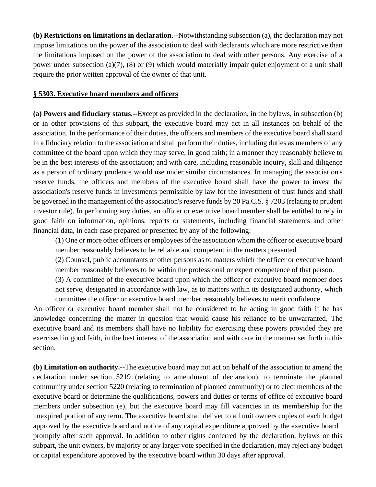**(b) Restrictions on limitations in declaration.--**Notwithstanding subsection (a), the declaration may not impose limitations on the power of the association to deal with declarants which are more restrictive than the limitations imposed on the power of the association to deal with other persons. Any exercise of a power under subsection (a)(7), (8) or (9) which would materially impair quiet enjoyment of a unit shall require the prior written approval of the owner of that unit.

#### **§ 5303. Executive board members and officers**

**(a) Powers and fiduciary status.--**Except as provided in the declaration, in the bylaws, in subsection (b) or in other provisions of this subpart, the executive board may act in all instances on behalf of the association. In the performance of their duties, the officers and members of the executive board shall stand in a fiduciary relation to the association and shall perform their duties, including duties as members of any committee of the board upon which they may serve, in good faith; in a manner they reasonably believe to be in the best interests of the association; and with care, including reasonable inquiry, skill and diligence as a person of ordinary prudence would use under similar circumstances. In managing the association's reserve funds, the officers and members of the executive board shall have the power to invest the association's reserve funds in investments permissible by law for the investment of trust funds and shall be governed in the management of the association's reserve funds by 20 Pa.C.S. § 7203 (relating to prudent investor rule). In performing any duties, an officer or executive board member shall be entitled to rely in good faith on information, opinions, reports or statements, including financial statements and other financial data, in each case prepared or presented by any of the following:

(1) One or more other officers or employees of the association whom the officer or executive board member reasonably believes to be reliable and competent in the matters presented.

(2) Counsel, public accountants or other persons as to matters which the officer or executive board member reasonably believes to be within the professional or expert competence of that person.

(3) A committee of the executive board upon which the officer or executive board member does not serve, designated in accordance with law, as to matters within its designated authority, which committee the officer or executive board member reasonably believes to merit confidence.

An officer or executive board member shall not be considered to be acting in good faith if he has knowledge concerning the matter in question that would cause his reliance to be unwarranted. The executive board and its members shall have no liability for exercising these powers provided they are exercised in good faith, in the best interest of the association and with care in the manner set forth in this section.

**(b) Limitation on authority.--**The executive board may not act on behalf of the association to amend the declaration under section 5219 (relating to amendment of declaration), to terminate the planned community under section 5220 (relating to termination of planned community) or to elect members of the executive board or determine the qualifications, powers and duties or terms of office of executive board members under subsection (e), but the executive board may fill vacancies in its membership for the unexpired portion of any term. The executive board shall deliver to all unit owners copies of each budget approved by the executive board and notice of any capital expenditure approved by the executive board promptly after such approval. In addition to other rights conferred by the declaration, bylaws or this subpart, the unit owners, by majority or any larger vote specified in the declaration, may reject any budget or capital expenditure approved by the executive board within 30 days after approval.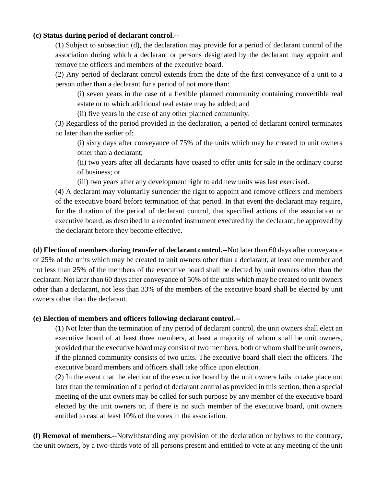#### **(c) Status during period of declarant control.--**

(1) Subject to subsection (d), the declaration may provide for a period of declarant control of the association during which a declarant or persons designated by the declarant may appoint and remove the officers and members of the executive board.

(2) Any period of declarant control extends from the date of the first conveyance of a unit to a person other than a declarant for a period of not more than:

(i) seven years in the case of a flexible planned community containing convertible real estate or to which additional real estate may be added; and

(ii) five years in the case of any other planned community.

(3) Regardless of the period provided in the declaration, a period of declarant control terminates no later than the earlier of:

(i) sixty days after conveyance of 75% of the units which may be created to unit owners other than a declarant;

(ii) two years after all declarants have ceased to offer units for sale in the ordinary course of business; or

(iii) two years after any development right to add new units was last exercised.

(4) A declarant may voluntarily surrender the right to appoint and remove officers and members of the executive board before termination of that period. In that event the declarant may require, for the duration of the period of declarant control, that specified actions of the association or executive board, as described in a recorded instrument executed by the declarant, be approved by the declarant before they become effective.

**(d) Election of members during transfer of declarant control.--**Not later than 60 days after conveyance of 25% of the units which may be created to unit owners other than a declarant, at least one member and not less than 25% of the members of the executive board shall be elected by unit owners other than the declarant. Not later than 60 days after conveyance of 50% of the units which may be created to unit owners other than a declarant, not less than 33% of the members of the executive board shall be elected by unit owners other than the declarant.

### **(e) Election of members and officers following declarant control.--**

(1) Not later than the termination of any period of declarant control, the unit owners shall elect an executive board of at least three members, at least a majority of whom shall be unit owners, provided that the executive board may consist of two members, both of whom shall be unit owners, if the planned community consists of two units. The executive board shall elect the officers. The executive board members and officers shall take office upon election.

(2) In the event that the election of the executive board by the unit owners fails to take place not later than the termination of a period of declarant control as provided in this section, then a special meeting of the unit owners may be called for such purpose by any member of the executive board elected by the unit owners or, if there is no such member of the executive board, unit owners entitled to cast at least 10% of the votes in the association.

**(f) Removal of members.--**Notwithstanding any provision of the declaration or bylaws to the contrary, the unit owners, by a two-thirds vote of all persons present and entitled to vote at any meeting of the unit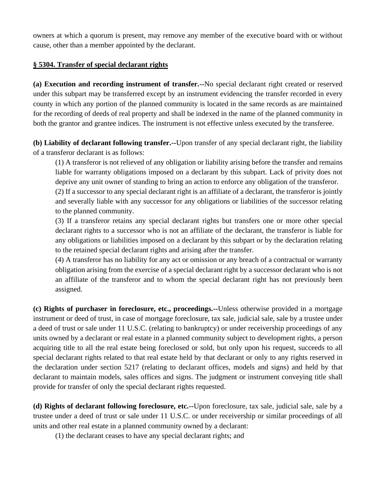owners at which a quorum is present, may remove any member of the executive board with or without cause, other than a member appointed by the declarant.

### **§ 5304. Transfer of special declarant rights**

**(a) Execution and recording instrument of transfer.--**No special declarant right created or reserved under this subpart may be transferred except by an instrument evidencing the transfer recorded in every county in which any portion of the planned community is located in the same records as are maintained for the recording of deeds of real property and shall be indexed in the name of the planned community in both the grantor and grantee indices. The instrument is not effective unless executed by the transferee.

**(b) Liability of declarant following transfer.--**Upon transfer of any special declarant right, the liability of a transferor declarant is as follows:

(1) A transferor is not relieved of any obligation or liability arising before the transfer and remains liable for warranty obligations imposed on a declarant by this subpart. Lack of privity does not deprive any unit owner of standing to bring an action to enforce any obligation of the transferor.

(2) If a successor to any special declarant right is an affiliate of a declarant, the transferor is jointly and severally liable with any successor for any obligations or liabilities of the successor relating to the planned community.

(3) If a transferor retains any special declarant rights but transfers one or more other special declarant rights to a successor who is not an affiliate of the declarant, the transferor is liable for any obligations or liabilities imposed on a declarant by this subpart or by the declaration relating to the retained special declarant rights and arising after the transfer.

(4) A transferor has no liability for any act or omission or any breach of a contractual or warranty obligation arising from the exercise of a special declarant right by a successor declarant who is not an affiliate of the transferor and to whom the special declarant right has not previously been assigned.

**(c) Rights of purchaser in foreclosure, etc., proceedings.--**Unless otherwise provided in a mortgage instrument or deed of trust, in case of mortgage foreclosure, tax sale, judicial sale, sale by a trustee under a deed of trust or sale under 11 U.S.C. (relating to bankruptcy) or under receivership proceedings of any units owned by a declarant or real estate in a planned community subject to development rights, a person acquiring title to all the real estate being foreclosed or sold, but only upon his request, succeeds to all special declarant rights related to that real estate held by that declarant or only to any rights reserved in the declaration under section 5217 (relating to declarant offices, models and signs) and held by that declarant to maintain models, sales offices and signs. The judgment or instrument conveying title shall provide for transfer of only the special declarant rights requested.

**(d) Rights of declarant following foreclosure, etc.--**Upon foreclosure, tax sale, judicial sale, sale by a trustee under a deed of trust or sale under 11 U.S.C. or under receivership or similar proceedings of all units and other real estate in a planned community owned by a declarant:

(1) the declarant ceases to have any special declarant rights; and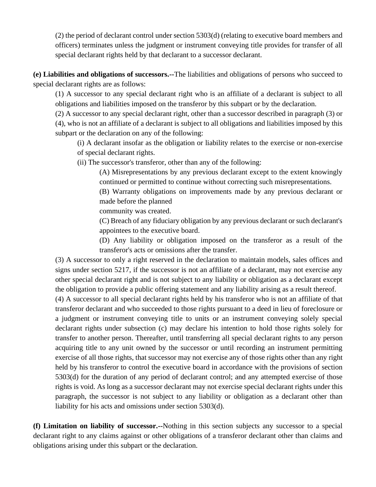(2) the period of declarant control under section 5303(d) (relating to executive board members and officers) terminates unless the judgment or instrument conveying title provides for transfer of all special declarant rights held by that declarant to a successor declarant.

**(e) Liabilities and obligations of successors.--**The liabilities and obligations of persons who succeed to special declarant rights are as follows:

(1) A successor to any special declarant right who is an affiliate of a declarant is subject to all obligations and liabilities imposed on the transferor by this subpart or by the declaration.

(2) A successor to any special declarant right, other than a successor described in paragraph (3) or (4), who is not an affiliate of a declarant is subject to all obligations and liabilities imposed by this subpart or the declaration on any of the following:

(i) A declarant insofar as the obligation or liability relates to the exercise or non-exercise of special declarant rights.

(ii) The successor's transferor, other than any of the following:

(A) Misrepresentations by any previous declarant except to the extent knowingly continued or permitted to continue without correcting such misrepresentations.

(B) Warranty obligations on improvements made by any previous declarant or made before the planned

community was created.

(C) Breach of any fiduciary obligation by any previous declarant or such declarant's appointees to the executive board.

(D) Any liability or obligation imposed on the transferor as a result of the transferor's acts or omissions after the transfer.

(3) A successor to only a right reserved in the declaration to maintain models, sales offices and signs under section 5217, if the successor is not an affiliate of a declarant, may not exercise any other special declarant right and is not subject to any liability or obligation as a declarant except the obligation to provide a public offering statement and any liability arising as a result thereof.

(4) A successor to all special declarant rights held by his transferor who is not an affiliate of that transferor declarant and who succeeded to those rights pursuant to a deed in lieu of foreclosure or a judgment or instrument conveying title to units or an instrument conveying solely special declarant rights under subsection (c) may declare his intention to hold those rights solely for transfer to another person. Thereafter, until transferring all special declarant rights to any person acquiring title to any unit owned by the successor or until recording an instrument permitting exercise of all those rights, that successor may not exercise any of those rights other than any right held by his transferor to control the executive board in accordance with the provisions of section 5303(d) for the duration of any period of declarant control; and any attempted exercise of those rights is void. As long as a successor declarant may not exercise special declarant rights under this paragraph, the successor is not subject to any liability or obligation as a declarant other than liability for his acts and omissions under section 5303(d).

**(f) Limitation on liability of successor.--**Nothing in this section subjects any successor to a special declarant right to any claims against or other obligations of a transferor declarant other than claims and obligations arising under this subpart or the declaration.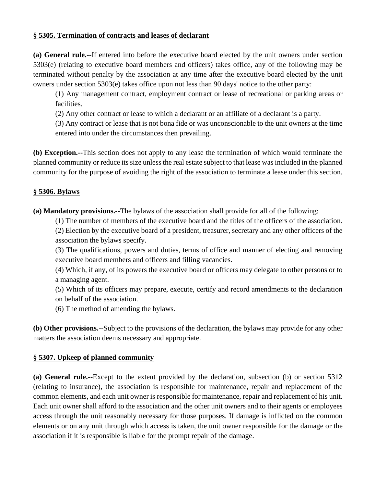### **§ 5305. Termination of contracts and leases of declarant**

**(a) General rule.--**If entered into before the executive board elected by the unit owners under section 5303(e) (relating to executive board members and officers) takes office, any of the following may be terminated without penalty by the association at any time after the executive board elected by the unit owners under section 5303(e) takes office upon not less than 90 days' notice to the other party:

(1) Any management contract, employment contract or lease of recreational or parking areas or facilities.

(2) Any other contract or lease to which a declarant or an affiliate of a declarant is a party.

(3) Any contract or lease that is not bona fide or was unconscionable to the unit owners at the time entered into under the circumstances then prevailing.

**(b) Exception.--**This section does not apply to any lease the termination of which would terminate the planned community or reduce its size unless the real estate subject to that lease was included in the planned community for the purpose of avoiding the right of the association to terminate a lease under this section.

### **§ 5306. Bylaws**

**(a) Mandatory provisions.--**The bylaws of the association shall provide for all of the following:

(1) The number of members of the executive board and the titles of the officers of the association. (2) Election by the executive board of a president, treasurer, secretary and any other officers of the association the bylaws specify.

(3) The qualifications, powers and duties, terms of office and manner of electing and removing executive board members and officers and filling vacancies.

(4) Which, if any, of its powers the executive board or officers may delegate to other persons or to a managing agent.

(5) Which of its officers may prepare, execute, certify and record amendments to the declaration on behalf of the association.

(6) The method of amending the bylaws.

**(b) Other provisions.--**Subject to the provisions of the declaration, the bylaws may provide for any other matters the association deems necessary and appropriate.

# **§ 5307. Upkeep of planned community**

**(a) General rule.--**Except to the extent provided by the declaration, subsection (b) or section 5312 (relating to insurance), the association is responsible for maintenance, repair and replacement of the common elements, and each unit owner is responsible for maintenance, repair and replacement of his unit. Each unit owner shall afford to the association and the other unit owners and to their agents or employees access through the unit reasonably necessary for those purposes. If damage is inflicted on the common elements or on any unit through which access is taken, the unit owner responsible for the damage or the association if it is responsible is liable for the prompt repair of the damage.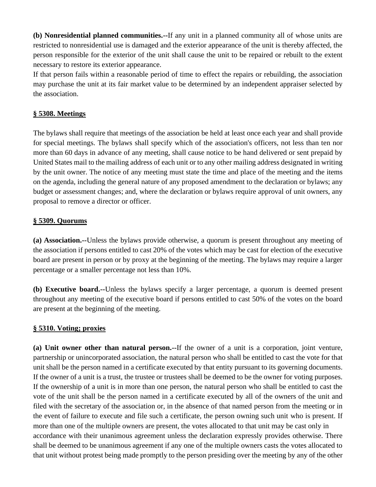**(b) Nonresidential planned communities.--**If any unit in a planned community all of whose units are restricted to nonresidential use is damaged and the exterior appearance of the unit is thereby affected, the person responsible for the exterior of the unit shall cause the unit to be repaired or rebuilt to the extent necessary to restore its exterior appearance.

If that person fails within a reasonable period of time to effect the repairs or rebuilding, the association may purchase the unit at its fair market value to be determined by an independent appraiser selected by the association.

### **§ 5308. Meetings**

The bylaws shall require that meetings of the association be held at least once each year and shall provide for special meetings. The bylaws shall specify which of the association's officers, not less than ten nor more than 60 days in advance of any meeting, shall cause notice to be hand delivered or sent prepaid by United States mail to the mailing address of each unit or to any other mailing address designated in writing by the unit owner. The notice of any meeting must state the time and place of the meeting and the items on the agenda, including the general nature of any proposed amendment to the declaration or bylaws; any budget or assessment changes; and, where the declaration or bylaws require approval of unit owners, any proposal to remove a director or officer.

### **§ 5309. Quorums**

**(a) Association.--**Unless the bylaws provide otherwise, a quorum is present throughout any meeting of the association if persons entitled to cast 20% of the votes which may be cast for election of the executive board are present in person or by proxy at the beginning of the meeting. The bylaws may require a larger percentage or a smaller percentage not less than 10%.

**(b) Executive board.--**Unless the bylaws specify a larger percentage, a quorum is deemed present throughout any meeting of the executive board if persons entitled to cast 50% of the votes on the board are present at the beginning of the meeting.

### **§ 5310. Voting; proxies**

**(a) Unit owner other than natural person.--**If the owner of a unit is a corporation, joint venture, partnership or unincorporated association, the natural person who shall be entitled to cast the vote for that unit shall be the person named in a certificate executed by that entity pursuant to its governing documents. If the owner of a unit is a trust, the trustee or trustees shall be deemed to be the owner for voting purposes. If the ownership of a unit is in more than one person, the natural person who shall be entitled to cast the vote of the unit shall be the person named in a certificate executed by all of the owners of the unit and filed with the secretary of the association or, in the absence of that named person from the meeting or in the event of failure to execute and file such a certificate, the person owning such unit who is present. If more than one of the multiple owners are present, the votes allocated to that unit may be cast only in accordance with their unanimous agreement unless the declaration expressly provides otherwise. There shall be deemed to be unanimous agreement if any one of the multiple owners casts the votes allocated to that unit without protest being made promptly to the person presiding over the meeting by any of the other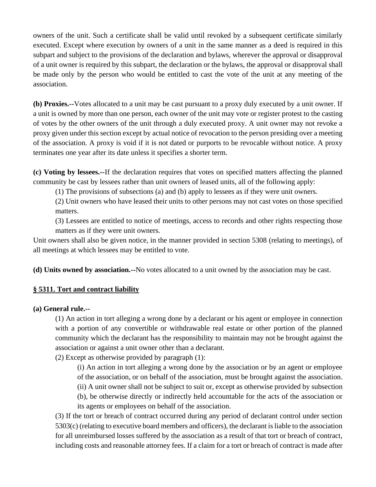owners of the unit. Such a certificate shall be valid until revoked by a subsequent certificate similarly executed. Except where execution by owners of a unit in the same manner as a deed is required in this subpart and subject to the provisions of the declaration and bylaws, wherever the approval or disapproval of a unit owner is required by this subpart, the declaration or the bylaws, the approval or disapproval shall be made only by the person who would be entitled to cast the vote of the unit at any meeting of the association.

**(b) Proxies.--**Votes allocated to a unit may be cast pursuant to a proxy duly executed by a unit owner. If a unit is owned by more than one person, each owner of the unit may vote or register protest to the casting of votes by the other owners of the unit through a duly executed proxy. A unit owner may not revoke a proxy given under this section except by actual notice of revocation to the person presiding over a meeting of the association. A proxy is void if it is not dated or purports to be revocable without notice. A proxy terminates one year after its date unless it specifies a shorter term.

**(c) Voting by lessees.--**If the declaration requires that votes on specified matters affecting the planned community be cast by lessees rather than unit owners of leased units, all of the following apply:

(1) The provisions of subsections (a) and (b) apply to lessees as if they were unit owners.

(2) Unit owners who have leased their units to other persons may not cast votes on those specified matters.

(3) Lessees are entitled to notice of meetings, access to records and other rights respecting those matters as if they were unit owners.

Unit owners shall also be given notice, in the manner provided in section 5308 (relating to meetings), of all meetings at which lessees may be entitled to vote.

**(d) Units owned by association.--**No votes allocated to a unit owned by the association may be cast.

### **§ 5311. Tort and contract liability**

### **(a) General rule.--**

(1) An action in tort alleging a wrong done by a declarant or his agent or employee in connection with a portion of any convertible or withdrawable real estate or other portion of the planned community which the declarant has the responsibility to maintain may not be brought against the association or against a unit owner other than a declarant.

(2) Except as otherwise provided by paragraph (1):

- (i) An action in tort alleging a wrong done by the association or by an agent or employee
- of the association, or on behalf of the association, must be brought against the association.
- (ii) A unit owner shall not be subject to suit or, except as otherwise provided by subsection
- (b), be otherwise directly or indirectly held accountable for the acts of the association or its agents or employees on behalf of the association.

(3) If the tort or breach of contract occurred during any period of declarant control under section 5303(c) (relating to executive board members and officers), the declarant is liable to the association for all unreimbursed losses suffered by the association as a result of that tort or breach of contract, including costs and reasonable attorney fees. If a claim for a tort or breach of contract is made after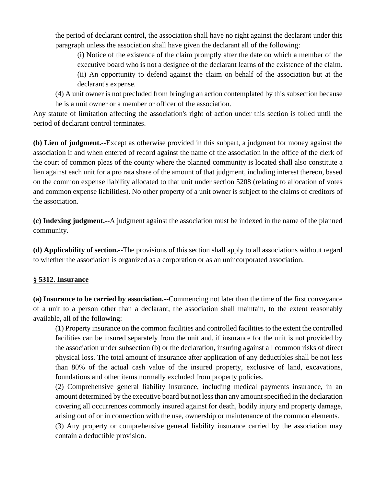the period of declarant control, the association shall have no right against the declarant under this paragraph unless the association shall have given the declarant all of the following:

(i) Notice of the existence of the claim promptly after the date on which a member of the executive board who is not a designee of the declarant learns of the existence of the claim. (ii) An opportunity to defend against the claim on behalf of the association but at the declarant's expense.

(4) A unit owner is not precluded from bringing an action contemplated by this subsection because he is a unit owner or a member or officer of the association.

Any statute of limitation affecting the association's right of action under this section is tolled until the period of declarant control terminates.

**(b) Lien of judgment.--**Except as otherwise provided in this subpart, a judgment for money against the association if and when entered of record against the name of the association in the office of the clerk of the court of common pleas of the county where the planned community is located shall also constitute a lien against each unit for a pro rata share of the amount of that judgment, including interest thereon, based on the common expense liability allocated to that unit under section 5208 (relating to allocation of votes and common expense liabilities). No other property of a unit owner is subject to the claims of creditors of the association.

**(c) Indexing judgment.--**A judgment against the association must be indexed in the name of the planned community.

**(d) Applicability of section.--**The provisions of this section shall apply to all associations without regard to whether the association is organized as a corporation or as an unincorporated association.

# **§ 5312. Insurance**

**(a) Insurance to be carried by association.--**Commencing not later than the time of the first conveyance of a unit to a person other than a declarant, the association shall maintain, to the extent reasonably available, all of the following:

(1) Property insurance on the common facilities and controlled facilities to the extent the controlled facilities can be insured separately from the unit and, if insurance for the unit is not provided by the association under subsection (b) or the declaration, insuring against all common risks of direct physical loss. The total amount of insurance after application of any deductibles shall be not less than 80% of the actual cash value of the insured property, exclusive of land, excavations, foundations and other items normally excluded from property policies.

(2) Comprehensive general liability insurance, including medical payments insurance, in an amount determined by the executive board but not less than any amount specified in the declaration covering all occurrences commonly insured against for death, bodily injury and property damage, arising out of or in connection with the use, ownership or maintenance of the common elements.

(3) Any property or comprehensive general liability insurance carried by the association may contain a deductible provision.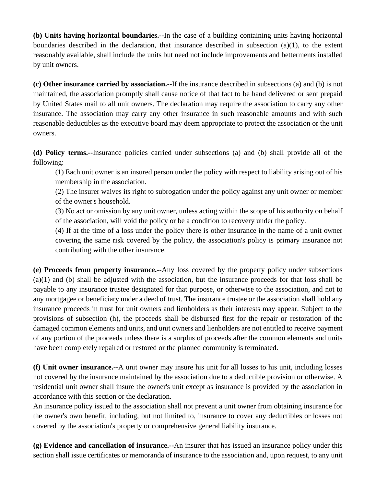**(b) Units having horizontal boundaries.--**In the case of a building containing units having horizontal boundaries described in the declaration, that insurance described in subsection (a)(1), to the extent reasonably available, shall include the units but need not include improvements and betterments installed by unit owners.

**(c) Other insurance carried by association.--**If the insurance described in subsections (a) and (b) is not maintained, the association promptly shall cause notice of that fact to be hand delivered or sent prepaid by United States mail to all unit owners. The declaration may require the association to carry any other insurance. The association may carry any other insurance in such reasonable amounts and with such reasonable deductibles as the executive board may deem appropriate to protect the association or the unit owners.

**(d) Policy terms.--**Insurance policies carried under subsections (a) and (b) shall provide all of the following:

(1) Each unit owner is an insured person under the policy with respect to liability arising out of his membership in the association.

(2) The insurer waives its right to subrogation under the policy against any unit owner or member of the owner's household.

(3) No act or omission by any unit owner, unless acting within the scope of his authority on behalf of the association, will void the policy or be a condition to recovery under the policy.

(4) If at the time of a loss under the policy there is other insurance in the name of a unit owner covering the same risk covered by the policy, the association's policy is primary insurance not contributing with the other insurance.

**(e) Proceeds from property insurance.--**Any loss covered by the property policy under subsections (a)(1) and (b) shall be adjusted with the association, but the insurance proceeds for that loss shall be payable to any insurance trustee designated for that purpose, or otherwise to the association, and not to any mortgagee or beneficiary under a deed of trust. The insurance trustee or the association shall hold any insurance proceeds in trust for unit owners and lienholders as their interests may appear. Subject to the provisions of subsection (h), the proceeds shall be disbursed first for the repair or restoration of the damaged common elements and units, and unit owners and lienholders are not entitled to receive payment of any portion of the proceeds unless there is a surplus of proceeds after the common elements and units have been completely repaired or restored or the planned community is terminated.

**(f) Unit owner insurance.--**A unit owner may insure his unit for all losses to his unit, including losses not covered by the insurance maintained by the association due to a deductible provision or otherwise. A residential unit owner shall insure the owner's unit except as insurance is provided by the association in accordance with this section or the declaration.

An insurance policy issued to the association shall not prevent a unit owner from obtaining insurance for the owner's own benefit, including, but not limited to, insurance to cover any deductibles or losses not covered by the association's property or comprehensive general liability insurance.

**(g) Evidence and cancellation of insurance.--**An insurer that has issued an insurance policy under this section shall issue certificates or memoranda of insurance to the association and, upon request, to any unit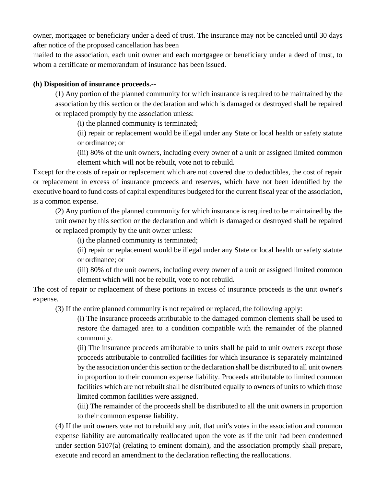owner, mortgagee or beneficiary under a deed of trust. The insurance may not be canceled until 30 days after notice of the proposed cancellation has been

mailed to the association, each unit owner and each mortgagee or beneficiary under a deed of trust, to whom a certificate or memorandum of insurance has been issued.

### **(h) Disposition of insurance proceeds.--**

(1) Any portion of the planned community for which insurance is required to be maintained by the association by this section or the declaration and which is damaged or destroyed shall be repaired or replaced promptly by the association unless:

(i) the planned community is terminated;

(ii) repair or replacement would be illegal under any State or local health or safety statute or ordinance; or

(iii) 80% of the unit owners, including every owner of a unit or assigned limited common element which will not be rebuilt, vote not to rebuild.

Except for the costs of repair or replacement which are not covered due to deductibles, the cost of repair or replacement in excess of insurance proceeds and reserves, which have not been identified by the executive board to fund costs of capital expenditures budgeted for the current fiscal year of the association, is a common expense.

(2) Any portion of the planned community for which insurance is required to be maintained by the unit owner by this section or the declaration and which is damaged or destroyed shall be repaired or replaced promptly by the unit owner unless:

(i) the planned community is terminated;

(ii) repair or replacement would be illegal under any State or local health or safety statute or ordinance; or

(iii) 80% of the unit owners, including every owner of a unit or assigned limited common element which will not be rebuilt, vote to not rebuild.

The cost of repair or replacement of these portions in excess of insurance proceeds is the unit owner's expense.

(3) If the entire planned community is not repaired or replaced, the following apply:

(i) The insurance proceeds attributable to the damaged common elements shall be used to restore the damaged area to a condition compatible with the remainder of the planned community.

(ii) The insurance proceeds attributable to units shall be paid to unit owners except those proceeds attributable to controlled facilities for which insurance is separately maintained by the association under this section or the declaration shall be distributed to all unit owners in proportion to their common expense liability. Proceeds attributable to limited common facilities which are not rebuilt shall be distributed equally to owners of units to which those limited common facilities were assigned.

(iii) The remainder of the proceeds shall be distributed to all the unit owners in proportion to their common expense liability.

(4) If the unit owners vote not to rebuild any unit, that unit's votes in the association and common expense liability are automatically reallocated upon the vote as if the unit had been condemned under section 5107(a) (relating to eminent domain), and the association promptly shall prepare, execute and record an amendment to the declaration reflecting the reallocations.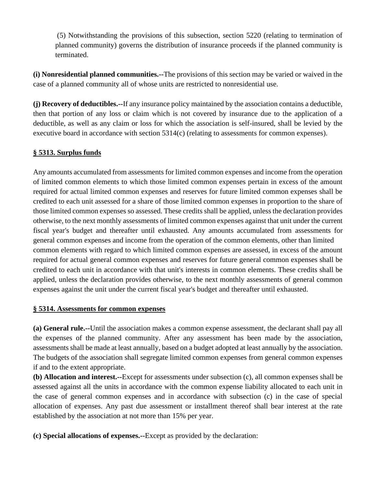(5) Notwithstanding the provisions of this subsection, section 5220 (relating to termination of planned community) governs the distribution of insurance proceeds if the planned community is terminated.

**(i) Nonresidential planned communities.--**The provisions of this section may be varied or waived in the case of a planned community all of whose units are restricted to nonresidential use.

**(j) Recovery of deductibles.--**If any insurance policy maintained by the association contains a deductible, then that portion of any loss or claim which is not covered by insurance due to the application of a deductible, as well as any claim or loss for which the association is self-insured, shall be levied by the executive board in accordance with section 5314(c) (relating to assessments for common expenses).

# **§ 5313. Surplus funds**

Any amounts accumulated from assessments for limited common expenses and income from the operation of limited common elements to which those limited common expenses pertain in excess of the amount required for actual limited common expenses and reserves for future limited common expenses shall be credited to each unit assessed for a share of those limited common expenses in proportion to the share of those limited common expenses so assessed. These credits shall be applied, unless the declaration provides otherwise, to the next monthly assessments of limited common expenses against that unit under the current fiscal year's budget and thereafter until exhausted. Any amounts accumulated from assessments for general common expenses and income from the operation of the common elements, other than limited common elements with regard to which limited common expenses are assessed, in excess of the amount required for actual general common expenses and reserves for future general common expenses shall be credited to each unit in accordance with that unit's interests in common elements. These credits shall be applied, unless the declaration provides otherwise, to the next monthly assessments of general common expenses against the unit under the current fiscal year's budget and thereafter until exhausted.

### **§ 5314. Assessments for common expenses**

**(a) General rule.--**Until the association makes a common expense assessment, the declarant shall pay all the expenses of the planned community. After any assessment has been made by the association, assessments shall be made at least annually, based on a budget adopted at least annually by the association. The budgets of the association shall segregate limited common expenses from general common expenses if and to the extent appropriate.

**(b) Allocation and interest.--**Except for assessments under subsection (c), all common expenses shall be assessed against all the units in accordance with the common expense liability allocated to each unit in the case of general common expenses and in accordance with subsection (c) in the case of special allocation of expenses. Any past due assessment or installment thereof shall bear interest at the rate established by the association at not more than 15% per year.

**(c) Special allocations of expenses.--**Except as provided by the declaration: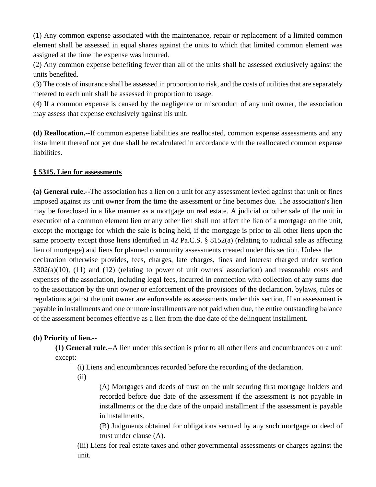(1) Any common expense associated with the maintenance, repair or replacement of a limited common element shall be assessed in equal shares against the units to which that limited common element was assigned at the time the expense was incurred.

(2) Any common expense benefiting fewer than all of the units shall be assessed exclusively against the units benefited.

(3) The costs of insurance shall be assessed in proportion to risk, and the costs of utilities that are separately metered to each unit shall be assessed in proportion to usage.

(4) If a common expense is caused by the negligence or misconduct of any unit owner, the association may assess that expense exclusively against his unit.

**(d) Reallocation.--**If common expense liabilities are reallocated, common expense assessments and any installment thereof not yet due shall be recalculated in accordance with the reallocated common expense liabilities.

### **§ 5315. Lien for assessments**

**(a) General rule.--**The association has a lien on a unit for any assessment levied against that unit or fines imposed against its unit owner from the time the assessment or fine becomes due. The association's lien may be foreclosed in a like manner as a mortgage on real estate. A judicial or other sale of the unit in execution of a common element lien or any other lien shall not affect the lien of a mortgage on the unit, except the mortgage for which the sale is being held, if the mortgage is prior to all other liens upon the same property except those liens identified in 42 Pa.C.S. § 8152(a) (relating to judicial sale as affecting lien of mortgage) and liens for planned community assessments created under this section. Unless the declaration otherwise provides, fees, charges, late charges, fines and interest charged under section 5302(a)(10), (11) and (12) (relating to power of unit owners' association) and reasonable costs and expenses of the association, including legal fees, incurred in connection with collection of any sums due to the association by the unit owner or enforcement of the provisions of the declaration, bylaws, rules or regulations against the unit owner are enforceable as assessments under this section. If an assessment is payable in installments and one or more installments are not paid when due, the entire outstanding balance of the assessment becomes effective as a lien from the due date of the delinquent installment.

### **(b) Priority of lien.--**

**(1) General rule.--**A lien under this section is prior to all other liens and encumbrances on a unit except:

(i) Liens and encumbrances recorded before the recording of the declaration.

(ii)

(A) Mortgages and deeds of trust on the unit securing first mortgage holders and recorded before due date of the assessment if the assessment is not payable in installments or the due date of the unpaid installment if the assessment is payable in installments.

(B) Judgments obtained for obligations secured by any such mortgage or deed of trust under clause (A).

(iii) Liens for real estate taxes and other governmental assessments or charges against the unit.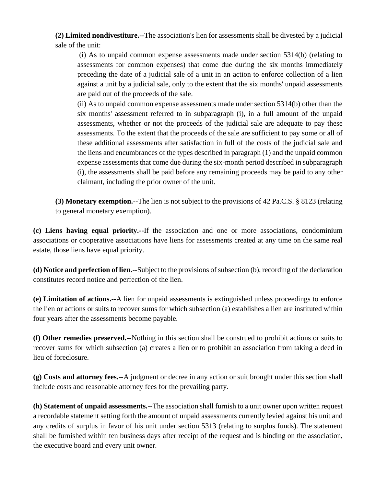**(2) Limited nondivestiture.--**The association's lien for assessments shall be divested by a judicial sale of the unit:

(i) As to unpaid common expense assessments made under section 5314(b) (relating to assessments for common expenses) that come due during the six months immediately preceding the date of a judicial sale of a unit in an action to enforce collection of a lien against a unit by a judicial sale, only to the extent that the six months' unpaid assessments are paid out of the proceeds of the sale.

(ii) As to unpaid common expense assessments made under section 5314(b) other than the six months' assessment referred to in subparagraph (i), in a full amount of the unpaid assessments, whether or not the proceeds of the judicial sale are adequate to pay these assessments. To the extent that the proceeds of the sale are sufficient to pay some or all of these additional assessments after satisfaction in full of the costs of the judicial sale and the liens and encumbrances of the types described in paragraph (1) and the unpaid common expense assessments that come due during the six-month period described in subparagraph (i), the assessments shall be paid before any remaining proceeds may be paid to any other claimant, including the prior owner of the unit.

**(3) Monetary exemption.--**The lien is not subject to the provisions of 42 Pa.C.S. § 8123 (relating to general monetary exemption).

**(c) Liens having equal priority.--**If the association and one or more associations, condominium associations or cooperative associations have liens for assessments created at any time on the same real estate, those liens have equal priority.

**(d) Notice and perfection of lien.--**Subject to the provisions of subsection (b), recording of the declaration constitutes record notice and perfection of the lien.

**(e) Limitation of actions.--**A lien for unpaid assessments is extinguished unless proceedings to enforce the lien or actions or suits to recover sums for which subsection (a) establishes a lien are instituted within four years after the assessments become payable.

**(f) Other remedies preserved.--**Nothing in this section shall be construed to prohibit actions or suits to recover sums for which subsection (a) creates a lien or to prohibit an association from taking a deed in lieu of foreclosure.

**(g) Costs and attorney fees.--**A judgment or decree in any action or suit brought under this section shall include costs and reasonable attorney fees for the prevailing party.

**(h) Statement of unpaid assessments.--**The association shall furnish to a unit owner upon written request a recordable statement setting forth the amount of unpaid assessments currently levied against his unit and any credits of surplus in favor of his unit under section 5313 (relating to surplus funds). The statement shall be furnished within ten business days after receipt of the request and is binding on the association, the executive board and every unit owner.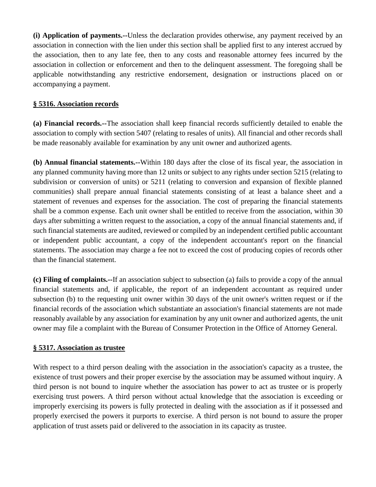**(i) Application of payments.--**Unless the declaration provides otherwise, any payment received by an association in connection with the lien under this section shall be applied first to any interest accrued by the association, then to any late fee, then to any costs and reasonable attorney fees incurred by the association in collection or enforcement and then to the delinquent assessment. The foregoing shall be applicable notwithstanding any restrictive endorsement, designation or instructions placed on or accompanying a payment.

# **§ 5316. Association records**

**(a) Financial records.--**The association shall keep financial records sufficiently detailed to enable the association to comply with section 5407 (relating to resales of units). All financial and other records shall be made reasonably available for examination by any unit owner and authorized agents.

**(b) Annual financial statements.--**Within 180 days after the close of its fiscal year, the association in any planned community having more than 12 units or subject to any rights under section 5215 (relating to subdivision or conversion of units) or 5211 (relating to conversion and expansion of flexible planned communities) shall prepare annual financial statements consisting of at least a balance sheet and a statement of revenues and expenses for the association. The cost of preparing the financial statements shall be a common expense. Each unit owner shall be entitled to receive from the association, within 30 days after submitting a written request to the association, a copy of the annual financial statements and, if such financial statements are audited, reviewed or compiled by an independent certified public accountant or independent public accountant, a copy of the independent accountant's report on the financial statements. The association may charge a fee not to exceed the cost of producing copies of records other than the financial statement.

**(c) Filing of complaints.--**If an association subject to subsection (a) fails to provide a copy of the annual financial statements and, if applicable, the report of an independent accountant as required under subsection (b) to the requesting unit owner within 30 days of the unit owner's written request or if the financial records of the association which substantiate an association's financial statements are not made reasonably available by any association for examination by any unit owner and authorized agents, the unit owner may file a complaint with the Bureau of Consumer Protection in the Office of Attorney General.

# **§ 5317. Association as trustee**

With respect to a third person dealing with the association in the association's capacity as a trustee, the existence of trust powers and their proper exercise by the association may be assumed without inquiry. A third person is not bound to inquire whether the association has power to act as trustee or is properly exercising trust powers. A third person without actual knowledge that the association is exceeding or improperly exercising its powers is fully protected in dealing with the association as if it possessed and properly exercised the powers it purports to exercise. A third person is not bound to assure the proper application of trust assets paid or delivered to the association in its capacity as trustee.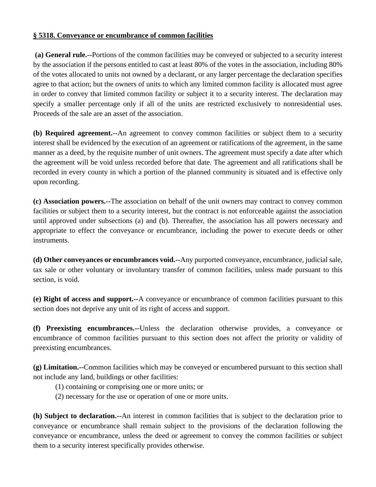#### **§ 5318. Conveyance or encumbrance of common facilities**

**(a) General rule.--**Portions of the common facilities may be conveyed or subjected to a security interest by the association if the persons entitled to cast at least 80% of the votes in the association, including 80% of the votes allocated to units not owned by a declarant, or any larger percentage the declaration specifies agree to that action; but the owners of units to which any limited common facility is allocated must agree in order to convey that limited common facility or subject it to a security interest. The declaration may specify a smaller percentage only if all of the units are restricted exclusively to nonresidential uses. Proceeds of the sale are an asset of the association.

**(b) Required agreement.--**An agreement to convey common facilities or subject them to a security interest shall be evidenced by the execution of an agreement or ratifications of the agreement, in the same manner as a deed, by the requisite number of unit owners. The agreement must specify a date after which the agreement will be void unless recorded before that date. The agreement and all ratifications shall be recorded in every county in which a portion of the planned community is situated and is effective only upon recording.

**(c) Association powers.--**The association on behalf of the unit owners may contract to convey common facilities or subject them to a security interest, but the contract is not enforceable against the association until approved under subsections (a) and (b). Thereafter, the association has all powers necessary and appropriate to effect the conveyance or encumbrance, including the power to execute deeds or other instruments.

**(d) Other conveyances or encumbrances void.--**Any purported conveyance, encumbrance, judicial sale, tax sale or other voluntary or involuntary transfer of common facilities, unless made pursuant to this section, is void.

**(e) Right of access and support.--**A conveyance or encumbrance of common facilities pursuant to this section does not deprive any unit of its right of access and support.

**(f) Preexisting encumbrances.--**Unless the declaration otherwise provides, a conveyance or encumbrance of common facilities pursuant to this section does not affect the priority or validity of preexisting encumbrances.

**(g) Limitation.--**Common facilities which may be conveyed or encumbered pursuant to this section shall not include any land, buildings or other facilities:

(1) containing or comprising one or more units; or

(2) necessary for the use or operation of one or more units.

**(h) Subject to declaration.--**An interest in common facilities that is subject to the declaration prior to conveyance or encumbrance shall remain subject to the provisions of the declaration following the conveyance or encumbrance, unless the deed or agreement to convey the common facilities or subject them to a security interest specifically provides otherwise.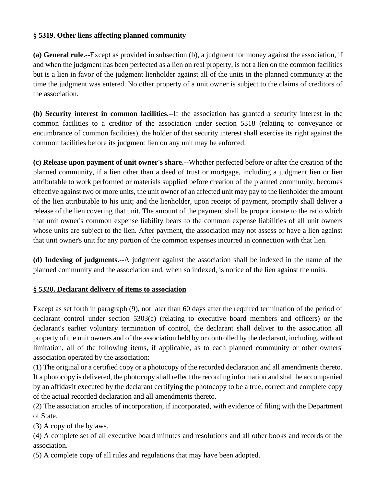### **§ 5319. Other liens affecting planned community**

**(a) General rule.--**Except as provided in subsection (b), a judgment for money against the association, if and when the judgment has been perfected as a lien on real property, is not a lien on the common facilities but is a lien in favor of the judgment lienholder against all of the units in the planned community at the time the judgment was entered. No other property of a unit owner is subject to the claims of creditors of the association.

**(b) Security interest in common facilities.--**If the association has granted a security interest in the common facilities to a creditor of the association under section 5318 (relating to conveyance or encumbrance of common facilities), the holder of that security interest shall exercise its right against the common facilities before its judgment lien on any unit may be enforced.

**(c) Release upon payment of unit owner's share.--**Whether perfected before or after the creation of the planned community, if a lien other than a deed of trust or mortgage, including a judgment lien or lien attributable to work performed or materials supplied before creation of the planned community, becomes effective against two or more units, the unit owner of an affected unit may pay to the lienholder the amount of the lien attributable to his unit; and the lienholder, upon receipt of payment, promptly shall deliver a release of the lien covering that unit. The amount of the payment shall be proportionate to the ratio which that unit owner's common expense liability bears to the common expense liabilities of all unit owners whose units are subject to the lien. After payment, the association may not assess or have a lien against that unit owner's unit for any portion of the common expenses incurred in connection with that lien.

**(d) Indexing of judgments.--**A judgment against the association shall be indexed in the name of the planned community and the association and, when so indexed, is notice of the lien against the units.

### **§ 5320. Declarant delivery of items to association**

Except as set forth in paragraph (9), not later than 60 days after the required termination of the period of declarant control under section 5303(c) (relating to executive board members and officers) or the declarant's earlier voluntary termination of control, the declarant shall deliver to the association all property of the unit owners and of the association held by or controlled by the declarant, including, without limitation, all of the following items, if applicable, as to each planned community or other owners' association operated by the association:

(1) The original or a certified copy or a photocopy of the recorded declaration and all amendments thereto. If a photocopy is delivered, the photocopy shall reflect the recording information and shall be accompanied by an affidavit executed by the declarant certifying the photocopy to be a true, correct and complete copy of the actual recorded declaration and all amendments thereto.

(2) The association articles of incorporation, if incorporated, with evidence of filing with the Department of State.

(3) A copy of the bylaws.

(4) A complete set of all executive board minutes and resolutions and all other books and records of the association.

(5) A complete copy of all rules and regulations that may have been adopted.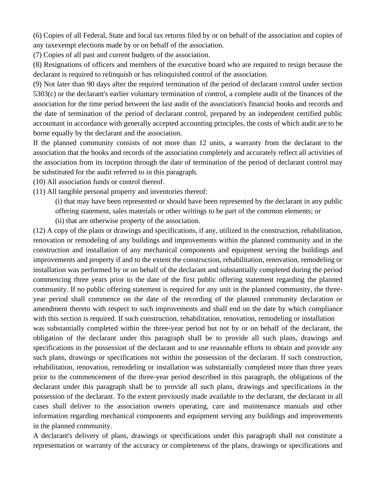(6) Copies of all Federal, State and local tax returns filed by or on behalf of the association and copies of any taxexempt elections made by or on behalf of the association.

(7) Copies of all past and current budgets of the association.

(8) Resignations of officers and members of the executive board who are required to resign because the declarant is required to relinquish or has relinquished control of the association.

(9) Not later than 90 days after the required termination of the period of declarant control under section 5303(c) or the declarant's earlier voluntary termination of control, a complete audit of the finances of the association for the time period between the last audit of the association's financial books and records and the date of termination of the period of declarant control, prepared by an independent certified public accountant in accordance with generally accepted accounting principles, the costs of which audit are to be borne equally by the declarant and the association.

If the planned community consists of not more than 12 units, a warranty from the declarant to the association that the books and records of the association completely and accurately reflect all activities of the association from its inception through the date of termination of the period of declarant control may be substituted for the audit referred to in this paragraph.

(10) All association funds or control thereof.

(11) All tangible personal property and inventories thereof:

(i) that may have been represented or should have been represented by the declarant in any public

offering statement, sales materials or other writings to be part of the common elements; or

(ii) that are otherwise property of the association.

(12) A copy of the plans or drawings and specifications, if any, utilized in the construction, rehabilitation, renovation or remodeling of any buildings and improvements within the planned community and in the construction and installation of any mechanical components and equipment serving the buildings and improvements and property if and to the extent the construction, rehabilitation, renovation, remodeling or installation was performed by or on behalf of the declarant and substantially completed during the period commencing three years prior to the date of the first public offering statement regarding the planned community. If no public offering statement is required for any unit in the planned community, the threeyear period shall commence on the date of the recording of the planned community declaration or amendment thereto with respect to such improvements and shall end on the date by which compliance with this section is required. If such construction, rehabilitation, renovation, remodeling or installation was substantially completed within the three-year period but not by or on behalf of the declarant, the obligation of the declarant under this paragraph shall be to provide all such plans, drawings and specifications in the possession of the declarant and to use reasonable efforts to obtain and provide any such plans, drawings or specifications not within the possession of the declarant. If such construction, rehabilitation, renovation, remodeling or installation was substantially completed more than three years prior to the commencement of the three-year period described in this paragraph, the obligations of the declarant under this paragraph shall be to provide all such plans, drawings and specifications in the possession of the declarant. To the extent previously made available to the declarant, the declarant in all cases shall deliver to the association owners operating, care and maintenance manuals and other information regarding mechanical components and equipment serving any buildings and improvements in the planned community.

A declarant's delivery of plans, drawings or specifications under this paragraph shall not constitute a representation or warranty of the accuracy or completeness of the plans, drawings or specifications and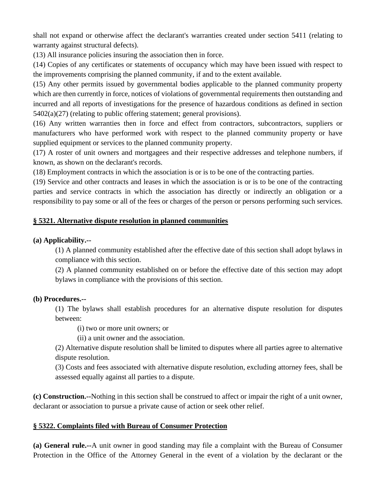shall not expand or otherwise affect the declarant's warranties created under section 5411 (relating to warranty against structural defects).

(13) All insurance policies insuring the association then in force.

(14) Copies of any certificates or statements of occupancy which may have been issued with respect to the improvements comprising the planned community, if and to the extent available.

(15) Any other permits issued by governmental bodies applicable to the planned community property which are then currently in force, notices of violations of governmental requirements then outstanding and incurred and all reports of investigations for the presence of hazardous conditions as defined in section 5402(a)(27) (relating to public offering statement; general provisions).

(16) Any written warranties then in force and effect from contractors, subcontractors, suppliers or manufacturers who have performed work with respect to the planned community property or have supplied equipment or services to the planned community property.

(17) A roster of unit owners and mortgagees and their respective addresses and telephone numbers, if known, as shown on the declarant's records.

(18) Employment contracts in which the association is or is to be one of the contracting parties.

(19) Service and other contracts and leases in which the association is or is to be one of the contracting parties and service contracts in which the association has directly or indirectly an obligation or a responsibility to pay some or all of the fees or charges of the person or persons performing such services.

# **§ 5321. Alternative dispute resolution in planned communities**

#### **(a) Applicability.--**

(1) A planned community established after the effective date of this section shall adopt bylaws in compliance with this section.

(2) A planned community established on or before the effective date of this section may adopt bylaws in compliance with the provisions of this section.

#### **(b) Procedures.--**

(1) The bylaws shall establish procedures for an alternative dispute resolution for disputes between:

(i) two or more unit owners; or

(ii) a unit owner and the association.

(2) Alternative dispute resolution shall be limited to disputes where all parties agree to alternative dispute resolution.

(3) Costs and fees associated with alternative dispute resolution, excluding attorney fees, shall be assessed equally against all parties to a dispute.

**(c) Construction.--**Nothing in this section shall be construed to affect or impair the right of a unit owner, declarant or association to pursue a private cause of action or seek other relief.

### **§ 5322. Complaints filed with Bureau of Consumer Protection**

**(a) General rule.--**A unit owner in good standing may file a complaint with the Bureau of Consumer Protection in the Office of the Attorney General in the event of a violation by the declarant or the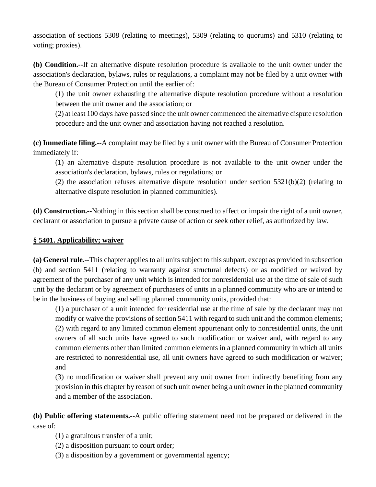association of sections 5308 (relating to meetings), 5309 (relating to quorums) and 5310 (relating to voting; proxies).

**(b) Condition.--**If an alternative dispute resolution procedure is available to the unit owner under the association's declaration, bylaws, rules or regulations, a complaint may not be filed by a unit owner with the Bureau of Consumer Protection until the earlier of:

(1) the unit owner exhausting the alternative dispute resolution procedure without a resolution between the unit owner and the association; or

(2) at least 100 days have passed since the unit owner commenced the alternative dispute resolution procedure and the unit owner and association having not reached a resolution.

**(c) Immediate filing.--**A complaint may be filed by a unit owner with the Bureau of Consumer Protection immediately if:

(1) an alternative dispute resolution procedure is not available to the unit owner under the association's declaration, bylaws, rules or regulations; or

(2) the association refuses alternative dispute resolution under section 5321(b)(2) (relating to alternative dispute resolution in planned communities).

**(d) Construction.--**Nothing in this section shall be construed to affect or impair the right of a unit owner, declarant or association to pursue a private cause of action or seek other relief, as authorized by law.

### **§ 5401. Applicability; waiver**

**(a) General rule.--**This chapter applies to all units subject to this subpart, except as provided in subsection (b) and section 5411 (relating to warranty against structural defects) or as modified or waived by agreement of the purchaser of any unit which is intended for nonresidential use at the time of sale of such unit by the declarant or by agreement of purchasers of units in a planned community who are or intend to be in the business of buying and selling planned community units, provided that:

(1) a purchaser of a unit intended for residential use at the time of sale by the declarant may not modify or waive the provisions of section 5411 with regard to such unit and the common elements; (2) with regard to any limited common element appurtenant only to nonresidential units, the unit owners of all such units have agreed to such modification or waiver and, with regard to any common elements other than limited common elements in a planned community in which all units are restricted to nonresidential use, all unit owners have agreed to such modification or waiver; and

(3) no modification or waiver shall prevent any unit owner from indirectly benefiting from any provision in this chapter by reason of such unit owner being a unit owner in the planned community and a member of the association.

**(b) Public offering statements.--**A public offering statement need not be prepared or delivered in the case of:

- (1) a gratuitous transfer of a unit;
- (2) a disposition pursuant to court order;
- (3) a disposition by a government or governmental agency;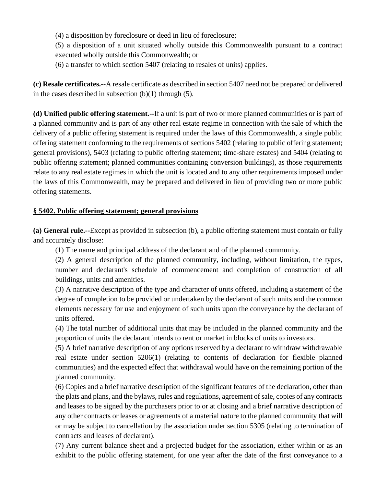(4) a disposition by foreclosure or deed in lieu of foreclosure;

(5) a disposition of a unit situated wholly outside this Commonwealth pursuant to a contract executed wholly outside this Commonwealth; or

(6) a transfer to which section 5407 (relating to resales of units) applies.

**(c) Resale certificates.--**A resale certificate as described in section 5407 need not be prepared or delivered in the cases described in subsection  $(b)(1)$  through  $(5)$ .

**(d) Unified public offering statement.--**If a unit is part of two or more planned communities or is part of a planned community and is part of any other real estate regime in connection with the sale of which the delivery of a public offering statement is required under the laws of this Commonwealth, a single public offering statement conforming to the requirements of sections 5402 (relating to public offering statement; general provisions), 5403 (relating to public offering statement; time-share estates) and 5404 (relating to public offering statement; planned communities containing conversion buildings), as those requirements relate to any real estate regimes in which the unit is located and to any other requirements imposed under the laws of this Commonwealth, may be prepared and delivered in lieu of providing two or more public offering statements.

### **§ 5402. Public offering statement; general provisions**

**(a) General rule.--**Except as provided in subsection (b), a public offering statement must contain or fully and accurately disclose:

(1) The name and principal address of the declarant and of the planned community.

(2) A general description of the planned community, including, without limitation, the types, number and declarant's schedule of commencement and completion of construction of all buildings, units and amenities.

(3) A narrative description of the type and character of units offered, including a statement of the degree of completion to be provided or undertaken by the declarant of such units and the common elements necessary for use and enjoyment of such units upon the conveyance by the declarant of units offered.

(4) The total number of additional units that may be included in the planned community and the proportion of units the declarant intends to rent or market in blocks of units to investors.

(5) A brief narrative description of any options reserved by a declarant to withdraw withdrawable real estate under section 5206(1) (relating to contents of declaration for flexible planned communities) and the expected effect that withdrawal would have on the remaining portion of the planned community.

(6) Copies and a brief narrative description of the significant features of the declaration, other than the plats and plans, and the bylaws, rules and regulations, agreement of sale, copies of any contracts and leases to be signed by the purchasers prior to or at closing and a brief narrative description of any other contracts or leases or agreements of a material nature to the planned community that will or may be subject to cancellation by the association under section 5305 (relating to termination of contracts and leases of declarant).

(7) Any current balance sheet and a projected budget for the association, either within or as an exhibit to the public offering statement, for one year after the date of the first conveyance to a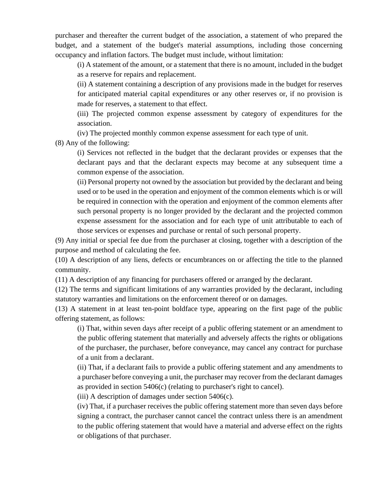purchaser and thereafter the current budget of the association, a statement of who prepared the budget, and a statement of the budget's material assumptions, including those concerning occupancy and inflation factors. The budget must include, without limitation:

(i) A statement of the amount, or a statement that there is no amount, included in the budget as a reserve for repairs and replacement.

(ii) A statement containing a description of any provisions made in the budget for reserves for anticipated material capital expenditures or any other reserves or, if no provision is made for reserves, a statement to that effect.

(iii) The projected common expense assessment by category of expenditures for the association.

(iv) The projected monthly common expense assessment for each type of unit.

(8) Any of the following:

(i) Services not reflected in the budget that the declarant provides or expenses that the declarant pays and that the declarant expects may become at any subsequent time a common expense of the association.

(ii) Personal property not owned by the association but provided by the declarant and being used or to be used in the operation and enjoyment of the common elements which is or will be required in connection with the operation and enjoyment of the common elements after such personal property is no longer provided by the declarant and the projected common expense assessment for the association and for each type of unit attributable to each of those services or expenses and purchase or rental of such personal property.

(9) Any initial or special fee due from the purchaser at closing, together with a description of the purpose and method of calculating the fee.

(10) A description of any liens, defects or encumbrances on or affecting the title to the planned community.

(11) A description of any financing for purchasers offered or arranged by the declarant.

(12) The terms and significant limitations of any warranties provided by the declarant, including statutory warranties and limitations on the enforcement thereof or on damages.

(13) A statement in at least ten-point boldface type, appearing on the first page of the public offering statement, as follows:

(i) That, within seven days after receipt of a public offering statement or an amendment to the public offering statement that materially and adversely affects the rights or obligations of the purchaser, the purchaser, before conveyance, may cancel any contract for purchase of a unit from a declarant.

(ii) That, if a declarant fails to provide a public offering statement and any amendments to a purchaser before conveying a unit, the purchaser may recover from the declarant damages as provided in section 5406(c) (relating to purchaser's right to cancel).

(iii) A description of damages under section 5406(c).

(iv) That, if a purchaser receives the public offering statement more than seven days before signing a contract, the purchaser cannot cancel the contract unless there is an amendment to the public offering statement that would have a material and adverse effect on the rights or obligations of that purchaser.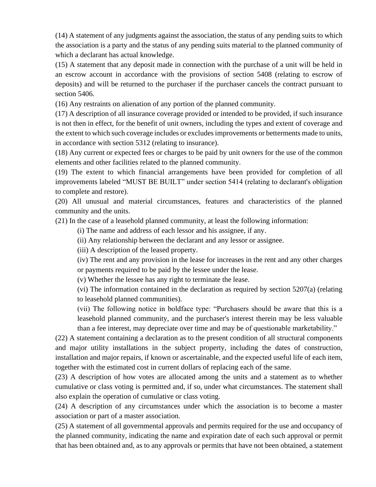(14) A statement of any judgments against the association, the status of any pending suits to which the association is a party and the status of any pending suits material to the planned community of which a declarant has actual knowledge.

(15) A statement that any deposit made in connection with the purchase of a unit will be held in an escrow account in accordance with the provisions of section 5408 (relating to escrow of deposits) and will be returned to the purchaser if the purchaser cancels the contract pursuant to section 5406.

(16) Any restraints on alienation of any portion of the planned community.

(17) A description of all insurance coverage provided or intended to be provided, if such insurance is not then in effect, for the benefit of unit owners, including the types and extent of coverage and the extent to which such coverage includes or excludes improvements or betterments made to units, in accordance with section 5312 (relating to insurance).

(18) Any current or expected fees or charges to be paid by unit owners for the use of the common elements and other facilities related to the planned community.

(19) The extent to which financial arrangements have been provided for completion of all improvements labeled "MUST BE BUILT" under section 5414 (relating to declarant's obligation to complete and restore).

(20) All unusual and material circumstances, features and characteristics of the planned community and the units.

(21) In the case of a leasehold planned community, at least the following information:

(i) The name and address of each lessor and his assignee, if any.

(ii) Any relationship between the declarant and any lessor or assignee.

(iii) A description of the leased property.

(iv) The rent and any provision in the lease for increases in the rent and any other charges or payments required to be paid by the lessee under the lease.

(v) Whether the lessee has any right to terminate the lease.

(vi) The information contained in the declaration as required by section 5207(a) (relating to leasehold planned communities).

(vii) The following notice in boldface type: "Purchasers should be aware that this is a leasehold planned community, and the purchaser's interest therein may be less valuable than a fee interest, may depreciate over time and may be of questionable marketability."

(22) A statement containing a declaration as to the present condition of all structural components and major utility installations in the subject property, including the dates of construction, installation and major repairs, if known or ascertainable, and the expected useful life of each item, together with the estimated cost in current dollars of replacing each of the same.

(23) A description of how votes are allocated among the units and a statement as to whether cumulative or class voting is permitted and, if so, under what circumstances. The statement shall also explain the operation of cumulative or class voting.

(24) A description of any circumstances under which the association is to become a master association or part of a master association.

(25) A statement of all governmental approvals and permits required for the use and occupancy of the planned community, indicating the name and expiration date of each such approval or permit that has been obtained and, as to any approvals or permits that have not been obtained, a statement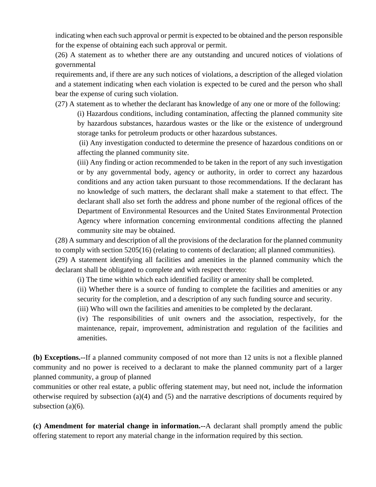indicating when each such approval or permit is expected to be obtained and the person responsible for the expense of obtaining each such approval or permit.

(26) A statement as to whether there are any outstanding and uncured notices of violations of governmental

requirements and, if there are any such notices of violations, a description of the alleged violation and a statement indicating when each violation is expected to be cured and the person who shall bear the expense of curing such violation.

(27) A statement as to whether the declarant has knowledge of any one or more of the following:

(i) Hazardous conditions, including contamination, affecting the planned community site by hazardous substances, hazardous wastes or the like or the existence of underground storage tanks for petroleum products or other hazardous substances.

(ii) Any investigation conducted to determine the presence of hazardous conditions on or affecting the planned community site.

(iii) Any finding or action recommended to be taken in the report of any such investigation or by any governmental body, agency or authority, in order to correct any hazardous conditions and any action taken pursuant to those recommendations. If the declarant has no knowledge of such matters, the declarant shall make a statement to that effect. The declarant shall also set forth the address and phone number of the regional offices of the Department of Environmental Resources and the United States Environmental Protection Agency where information concerning environmental conditions affecting the planned community site may be obtained.

(28) A summary and description of all the provisions of the declaration for the planned community to comply with section 5205(16) (relating to contents of declaration; all planned communities).

(29) A statement identifying all facilities and amenities in the planned community which the declarant shall be obligated to complete and with respect thereto:

(i) The time within which each identified facility or amenity shall be completed.

(ii) Whether there is a source of funding to complete the facilities and amenities or any security for the completion, and a description of any such funding source and security.

(iii) Who will own the facilities and amenities to be completed by the declarant.

(iv) The responsibilities of unit owners and the association, respectively, for the maintenance, repair, improvement, administration and regulation of the facilities and amenities.

**(b) Exceptions.--**If a planned community composed of not more than 12 units is not a flexible planned community and no power is received to a declarant to make the planned community part of a larger planned community, a group of planned

communities or other real estate, a public offering statement may, but need not, include the information otherwise required by subsection (a)(4) and (5) and the narrative descriptions of documents required by subsection (a)(6).

**(c) Amendment for material change in information.--**A declarant shall promptly amend the public offering statement to report any material change in the information required by this section.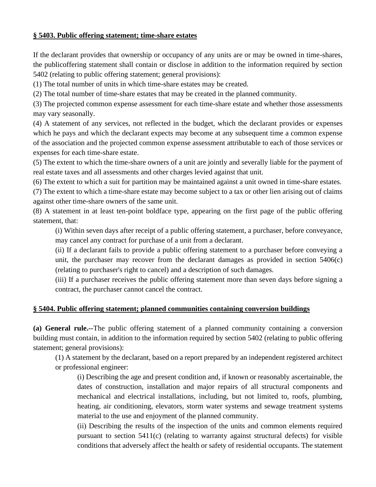#### **§ 5403. Public offering statement; time-share estates**

If the declarant provides that ownership or occupancy of any units are or may be owned in time-shares, the publicoffering statement shall contain or disclose in addition to the information required by section 5402 (relating to public offering statement; general provisions):

(1) The total number of units in which time-share estates may be created.

(2) The total number of time-share estates that may be created in the planned community.

(3) The projected common expense assessment for each time-share estate and whether those assessments may vary seasonally.

(4) A statement of any services, not reflected in the budget, which the declarant provides or expenses which he pays and which the declarant expects may become at any subsequent time a common expense of the association and the projected common expense assessment attributable to each of those services or expenses for each time-share estate.

(5) The extent to which the time-share owners of a unit are jointly and severally liable for the payment of real estate taxes and all assessments and other charges levied against that unit.

(6) The extent to which a suit for partition may be maintained against a unit owned in time-share estates.

(7) The extent to which a time-share estate may become subject to a tax or other lien arising out of claims against other time-share owners of the same unit.

(8) A statement in at least ten-point boldface type, appearing on the first page of the public offering statement, that:

(i) Within seven days after receipt of a public offering statement, a purchaser, before conveyance, may cancel any contract for purchase of a unit from a declarant.

(ii) If a declarant fails to provide a public offering statement to a purchaser before conveying a unit, the purchaser may recover from the declarant damages as provided in section 5406(c) (relating to purchaser's right to cancel) and a description of such damages.

(iii) If a purchaser receives the public offering statement more than seven days before signing a contract, the purchaser cannot cancel the contract.

### **§ 5404. Public offering statement; planned communities containing conversion buildings**

**(a) General rule.--**The public offering statement of a planned community containing a conversion building must contain, in addition to the information required by section 5402 (relating to public offering statement; general provisions):

(1) A statement by the declarant, based on a report prepared by an independent registered architect or professional engineer:

(i) Describing the age and present condition and, if known or reasonably ascertainable, the dates of construction, installation and major repairs of all structural components and mechanical and electrical installations, including, but not limited to, roofs, plumbing, heating, air conditioning, elevators, storm water systems and sewage treatment systems material to the use and enjoyment of the planned community.

(ii) Describing the results of the inspection of the units and common elements required pursuant to section 5411(c) (relating to warranty against structural defects) for visible conditions that adversely affect the health or safety of residential occupants. The statement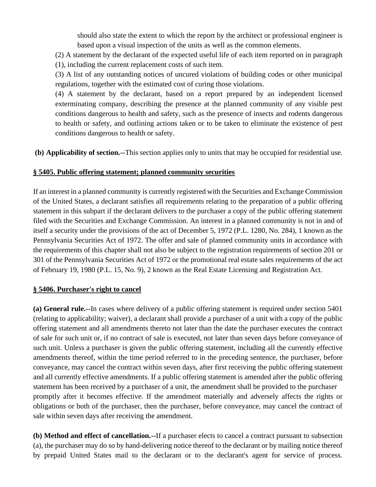should also state the extent to which the report by the architect or professional engineer is based upon a visual inspection of the units as well as the common elements.

(2) A statement by the declarant of the expected useful life of each item reported on in paragraph (1), including the current replacement costs of such item.

(3) A list of any outstanding notices of uncured violations of building codes or other municipal regulations, together with the estimated cost of curing those violations.

(4) A statement by the declarant, based on a report prepared by an independent licensed exterminating company, describing the presence at the planned community of any visible pest conditions dangerous to health and safety, such as the presence of insects and rodents dangerous to health or safety, and outlining actions taken or to be taken to eliminate the existence of pest conditions dangerous to health or safety.

**(b) Applicability of section.--**This section applies only to units that may be occupied for residential use.

### **§ 5405. Public offering statement; planned community securities**

If an interest in a planned community is currently registered with the Securities and Exchange Commission of the United States, a declarant satisfies all requirements relating to the preparation of a public offering statement in this subpart if the declarant delivers to the purchaser a copy of the public offering statement filed with the Securities and Exchange Commission. An interest in a planned community is not in and of itself a security under the provisions of the act of December 5, 1972 (P.L. 1280, No. 284), 1 known as the Pennsylvania Securities Act of 1972. The offer and sale of planned community units in accordance with the requirements of this chapter shall not also be subject to the registration requirements of section 201 or 301 of the Pennsylvania Securities Act of 1972 or the promotional real estate sales requirements of the act of February 19, 1980 (P.L. 15, No. 9), 2 known as the Real Estate Licensing and Registration Act.

### **§ 5406. Purchaser's right to cancel**

**(a) General rule.--**In cases where delivery of a public offering statement is required under section 5401 (relating to applicability; waiver), a declarant shall provide a purchaser of a unit with a copy of the public offering statement and all amendments thereto not later than the date the purchaser executes the contract of sale for such unit or, if no contract of sale is executed, not later than seven days before conveyance of such unit. Unless a purchaser is given the public offering statement, including all the currently effective amendments thereof, within the time period referred to in the preceding sentence, the purchaser, before conveyance, may cancel the contract within seven days, after first receiving the public offering statement and all currently effective amendments. If a public offering statement is amended after the public offering statement has been received by a purchaser of a unit, the amendment shall be provided to the purchaser promptly after it becomes effective. If the amendment materially and adversely affects the rights or obligations or both of the purchaser, then the purchaser, before conveyance, may cancel the contract of sale within seven days after receiving the amendment.

**(b) Method and effect of cancellation.--**If a purchaser elects to cancel a contract pursuant to subsection (a), the purchaser may do so by hand-delivering notice thereof to the declarant or by mailing notice thereof by prepaid United States mail to the declarant or to the declarant's agent for service of process.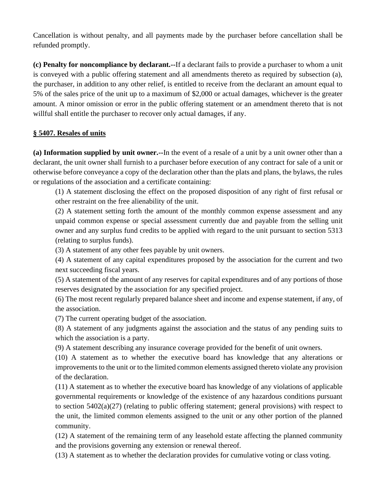Cancellation is without penalty, and all payments made by the purchaser before cancellation shall be refunded promptly.

**(c) Penalty for noncompliance by declarant.--**If a declarant fails to provide a purchaser to whom a unit is conveyed with a public offering statement and all amendments thereto as required by subsection (a), the purchaser, in addition to any other relief, is entitled to receive from the declarant an amount equal to 5% of the sales price of the unit up to a maximum of \$2,000 or actual damages, whichever is the greater amount. A minor omission or error in the public offering statement or an amendment thereto that is not willful shall entitle the purchaser to recover only actual damages, if any.

### **§ 5407. Resales of units**

**(a) Information supplied by unit owner.--**In the event of a resale of a unit by a unit owner other than a declarant, the unit owner shall furnish to a purchaser before execution of any contract for sale of a unit or otherwise before conveyance a copy of the declaration other than the plats and plans, the bylaws, the rules or regulations of the association and a certificate containing:

(1) A statement disclosing the effect on the proposed disposition of any right of first refusal or other restraint on the free alienability of the unit.

(2) A statement setting forth the amount of the monthly common expense assessment and any unpaid common expense or special assessment currently due and payable from the selling unit owner and any surplus fund credits to be applied with regard to the unit pursuant to section 5313 (relating to surplus funds).

(3) A statement of any other fees payable by unit owners.

(4) A statement of any capital expenditures proposed by the association for the current and two next succeeding fiscal years.

(5) A statement of the amount of any reserves for capital expenditures and of any portions of those reserves designated by the association for any specified project.

(6) The most recent regularly prepared balance sheet and income and expense statement, if any, of the association.

(7) The current operating budget of the association.

(8) A statement of any judgments against the association and the status of any pending suits to which the association is a party.

(9) A statement describing any insurance coverage provided for the benefit of unit owners.

(10) A statement as to whether the executive board has knowledge that any alterations or improvements to the unit or to the limited common elements assigned thereto violate any provision of the declaration.

(11) A statement as to whether the executive board has knowledge of any violations of applicable governmental requirements or knowledge of the existence of any hazardous conditions pursuant to section 5402(a)(27) (relating to public offering statement; general provisions) with respect to the unit, the limited common elements assigned to the unit or any other portion of the planned community.

(12) A statement of the remaining term of any leasehold estate affecting the planned community and the provisions governing any extension or renewal thereof.

(13) A statement as to whether the declaration provides for cumulative voting or class voting.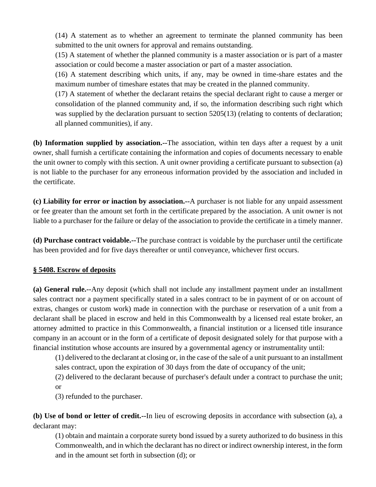(14) A statement as to whether an agreement to terminate the planned community has been submitted to the unit owners for approval and remains outstanding.

(15) A statement of whether the planned community is a master association or is part of a master association or could become a master association or part of a master association.

(16) A statement describing which units, if any, may be owned in time-share estates and the maximum number of timeshare estates that may be created in the planned community.

(17) A statement of whether the declarant retains the special declarant right to cause a merger or consolidation of the planned community and, if so, the information describing such right which was supplied by the declaration pursuant to section 5205(13) (relating to contents of declaration; all planned communities), if any.

**(b) Information supplied by association.--**The association, within ten days after a request by a unit owner, shall furnish a certificate containing the information and copies of documents necessary to enable the unit owner to comply with this section. A unit owner providing a certificate pursuant to subsection (a) is not liable to the purchaser for any erroneous information provided by the association and included in the certificate.

**(c) Liability for error or inaction by association.--**A purchaser is not liable for any unpaid assessment or fee greater than the amount set forth in the certificate prepared by the association. A unit owner is not liable to a purchaser for the failure or delay of the association to provide the certificate in a timely manner.

**(d) Purchase contract voidable.--**The purchase contract is voidable by the purchaser until the certificate has been provided and for five days thereafter or until conveyance, whichever first occurs.

### **§ 5408. Escrow of deposits**

**(a) General rule.--**Any deposit (which shall not include any installment payment under an installment sales contract nor a payment specifically stated in a sales contract to be in payment of or on account of extras, changes or custom work) made in connection with the purchase or reservation of a unit from a declarant shall be placed in escrow and held in this Commonwealth by a licensed real estate broker, an attorney admitted to practice in this Commonwealth, a financial institution or a licensed title insurance company in an account or in the form of a certificate of deposit designated solely for that purpose with a financial institution whose accounts are insured by a governmental agency or instrumentality until:

(1) delivered to the declarant at closing or, in the case of the sale of a unit pursuant to an installment sales contract, upon the expiration of 30 days from the date of occupancy of the unit;

(2) delivered to the declarant because of purchaser's default under a contract to purchase the unit; or

(3) refunded to the purchaser.

**(b) Use of bond or letter of credit.--**In lieu of escrowing deposits in accordance with subsection (a), a declarant may:

(1) obtain and maintain a corporate surety bond issued by a surety authorized to do business in this Commonwealth, and in which the declarant has no direct or indirect ownership interest, in the form and in the amount set forth in subsection (d); or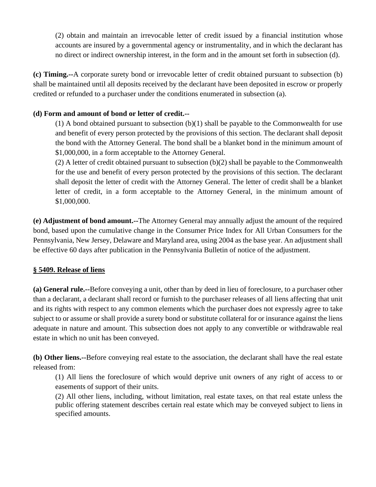(2) obtain and maintain an irrevocable letter of credit issued by a financial institution whose accounts are insured by a governmental agency or instrumentality, and in which the declarant has no direct or indirect ownership interest, in the form and in the amount set forth in subsection (d).

**(c) Timing.--**A corporate surety bond or irrevocable letter of credit obtained pursuant to subsection (b) shall be maintained until all deposits received by the declarant have been deposited in escrow or properly credited or refunded to a purchaser under the conditions enumerated in subsection (a).

# **(d) Form and amount of bond or letter of credit.--**

 $(1)$  A bond obtained pursuant to subsection  $(b)(1)$  shall be payable to the Commonwealth for use and benefit of every person protected by the provisions of this section. The declarant shall deposit the bond with the Attorney General. The bond shall be a blanket bond in the minimum amount of \$1,000,000, in a form acceptable to the Attorney General.

(2) A letter of credit obtained pursuant to subsection (b)(2) shall be payable to the Commonwealth for the use and benefit of every person protected by the provisions of this section. The declarant shall deposit the letter of credit with the Attorney General. The letter of credit shall be a blanket letter of credit, in a form acceptable to the Attorney General, in the minimum amount of \$1,000,000.

**(e) Adjustment of bond amount.--**The Attorney General may annually adjust the amount of the required bond, based upon the cumulative change in the Consumer Price Index for All Urban Consumers for the Pennsylvania, New Jersey, Delaware and Maryland area, using 2004 as the base year. An adjustment shall be effective 60 days after publication in the Pennsylvania Bulletin of notice of the adjustment.

### **§ 5409. Release of liens**

**(a) General rule.--**Before conveying a unit, other than by deed in lieu of foreclosure, to a purchaser other than a declarant, a declarant shall record or furnish to the purchaser releases of all liens affecting that unit and its rights with respect to any common elements which the purchaser does not expressly agree to take subject to or assume or shall provide a surety bond or substitute collateral for or insurance against the liens adequate in nature and amount. This subsection does not apply to any convertible or withdrawable real estate in which no unit has been conveyed.

**(b) Other liens.--**Before conveying real estate to the association, the declarant shall have the real estate released from:

(1) All liens the foreclosure of which would deprive unit owners of any right of access to or easements of support of their units.

(2) All other liens, including, without limitation, real estate taxes, on that real estate unless the public offering statement describes certain real estate which may be conveyed subject to liens in specified amounts.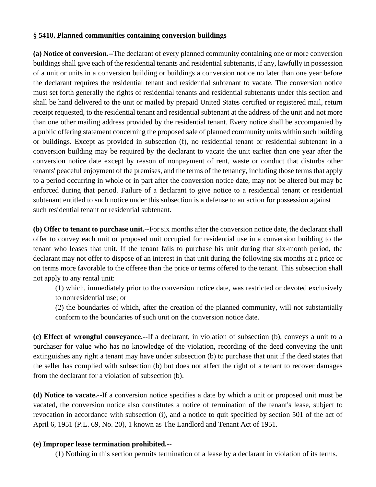#### **§ 5410. Planned communities containing conversion buildings**

**(a) Notice of conversion.--**The declarant of every planned community containing one or more conversion buildings shall give each of the residential tenants and residential subtenants, if any, lawfully in possession of a unit or units in a conversion building or buildings a conversion notice no later than one year before the declarant requires the residential tenant and residential subtenant to vacate. The conversion notice must set forth generally the rights of residential tenants and residential subtenants under this section and shall be hand delivered to the unit or mailed by prepaid United States certified or registered mail, return receipt requested, to the residential tenant and residential subtenant at the address of the unit and not more than one other mailing address provided by the residential tenant. Every notice shall be accompanied by a public offering statement concerning the proposed sale of planned community units within such building or buildings. Except as provided in subsection (f), no residential tenant or residential subtenant in a conversion building may be required by the declarant to vacate the unit earlier than one year after the conversion notice date except by reason of nonpayment of rent, waste or conduct that disturbs other tenants' peaceful enjoyment of the premises, and the terms of the tenancy, including those terms that apply to a period occurring in whole or in part after the conversion notice date, may not be altered but may be enforced during that period. Failure of a declarant to give notice to a residential tenant or residential subtenant entitled to such notice under this subsection is a defense to an action for possession against such residential tenant or residential subtenant.

**(b) Offer to tenant to purchase unit.--**For six months after the conversion notice date, the declarant shall offer to convey each unit or proposed unit occupied for residential use in a conversion building to the tenant who leases that unit. If the tenant fails to purchase his unit during that six-month period, the declarant may not offer to dispose of an interest in that unit during the following six months at a price or on terms more favorable to the offeree than the price or terms offered to the tenant. This subsection shall not apply to any rental unit:

(1) which, immediately prior to the conversion notice date, was restricted or devoted exclusively to nonresidential use; or

(2) the boundaries of which, after the creation of the planned community, will not substantially conform to the boundaries of such unit on the conversion notice date.

**(c) Effect of wrongful conveyance.--**If a declarant, in violation of subsection (b), conveys a unit to a purchaser for value who has no knowledge of the violation, recording of the deed conveying the unit extinguishes any right a tenant may have under subsection (b) to purchase that unit if the deed states that the seller has complied with subsection (b) but does not affect the right of a tenant to recover damages from the declarant for a violation of subsection (b).

**(d) Notice to vacate.--**If a conversion notice specifies a date by which a unit or proposed unit must be vacated, the conversion notice also constitutes a notice of termination of the tenant's lease, subject to revocation in accordance with subsection (i), and a notice to quit specified by section 501 of the act of April 6, 1951 (P.L. 69, No. 20), 1 known as The Landlord and Tenant Act of 1951.

### **(e) Improper lease termination prohibited.--**

(1) Nothing in this section permits termination of a lease by a declarant in violation of its terms.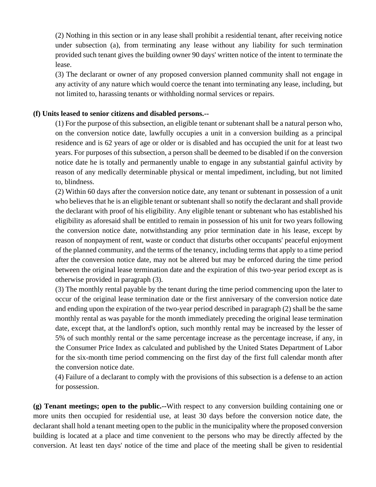(2) Nothing in this section or in any lease shall prohibit a residential tenant, after receiving notice under subsection (a), from terminating any lease without any liability for such termination provided such tenant gives the building owner 90 days' written notice of the intent to terminate the lease.

(3) The declarant or owner of any proposed conversion planned community shall not engage in any activity of any nature which would coerce the tenant into terminating any lease, including, but not limited to, harassing tenants or withholding normal services or repairs.

#### **(f) Units leased to senior citizens and disabled persons.--**

(1) For the purpose of this subsection, an eligible tenant or subtenant shall be a natural person who, on the conversion notice date, lawfully occupies a unit in a conversion building as a principal residence and is 62 years of age or older or is disabled and has occupied the unit for at least two years. For purposes of this subsection, a person shall be deemed to be disabled if on the conversion notice date he is totally and permanently unable to engage in any substantial gainful activity by reason of any medically determinable physical or mental impediment, including, but not limited to, blindness.

(2) Within 60 days after the conversion notice date, any tenant or subtenant in possession of a unit who believes that he is an eligible tenant or subtenant shall so notify the declarant and shall provide the declarant with proof of his eligibility. Any eligible tenant or subtenant who has established his eligibility as aforesaid shall be entitled to remain in possession of his unit for two years following the conversion notice date, notwithstanding any prior termination date in his lease, except by reason of nonpayment of rent, waste or conduct that disturbs other occupants' peaceful enjoyment of the planned community, and the terms of the tenancy, including terms that apply to a time period after the conversion notice date, may not be altered but may be enforced during the time period between the original lease termination date and the expiration of this two-year period except as is otherwise provided in paragraph (3).

(3) The monthly rental payable by the tenant during the time period commencing upon the later to occur of the original lease termination date or the first anniversary of the conversion notice date and ending upon the expiration of the two-year period described in paragraph (2) shall be the same monthly rental as was payable for the month immediately preceding the original lease termination date, except that, at the landlord's option, such monthly rental may be increased by the lesser of 5% of such monthly rental or the same percentage increase as the percentage increase, if any, in the Consumer Price Index as calculated and published by the United States Department of Labor for the six-month time period commencing on the first day of the first full calendar month after the conversion notice date.

(4) Failure of a declarant to comply with the provisions of this subsection is a defense to an action for possession.

**(g) Tenant meetings; open to the public.--**With respect to any conversion building containing one or more units then occupied for residential use, at least 30 days before the conversion notice date, the declarant shall hold a tenant meeting open to the public in the municipality where the proposed conversion building is located at a place and time convenient to the persons who may be directly affected by the conversion. At least ten days' notice of the time and place of the meeting shall be given to residential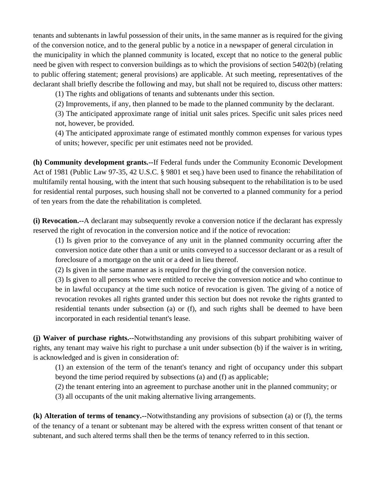tenants and subtenants in lawful possession of their units, in the same manner as is required for the giving of the conversion notice, and to the general public by a notice in a newspaper of general circulation in the municipality in which the planned community is located, except that no notice to the general public need be given with respect to conversion buildings as to which the provisions of section 5402(b) (relating to public offering statement; general provisions) are applicable. At such meeting, representatives of the declarant shall briefly describe the following and may, but shall not be required to, discuss other matters:

(1) The rights and obligations of tenants and subtenants under this section.

(2) Improvements, if any, then planned to be made to the planned community by the declarant.

(3) The anticipated approximate range of initial unit sales prices. Specific unit sales prices need not, however, be provided.

(4) The anticipated approximate range of estimated monthly common expenses for various types of units; however, specific per unit estimates need not be provided.

**(h) Community development grants.--**If Federal funds under the Community Economic Development Act of 1981 (Public Law 97-35, 42 U.S.C. § 9801 et seq.) have been used to finance the rehabilitation of multifamily rental housing, with the intent that such housing subsequent to the rehabilitation is to be used for residential rental purposes, such housing shall not be converted to a planned community for a period of ten years from the date the rehabilitation is completed.

**(i) Revocation.--**A declarant may subsequently revoke a conversion notice if the declarant has expressly reserved the right of revocation in the conversion notice and if the notice of revocation:

(1) Is given prior to the conveyance of any unit in the planned community occurring after the conversion notice date other than a unit or units conveyed to a successor declarant or as a result of foreclosure of a mortgage on the unit or a deed in lieu thereof.

(2) Is given in the same manner as is required for the giving of the conversion notice.

(3) Is given to all persons who were entitled to receive the conversion notice and who continue to be in lawful occupancy at the time such notice of revocation is given. The giving of a notice of revocation revokes all rights granted under this section but does not revoke the rights granted to residential tenants under subsection (a) or (f), and such rights shall be deemed to have been incorporated in each residential tenant's lease.

**(j) Waiver of purchase rights.--**Notwithstanding any provisions of this subpart prohibiting waiver of rights, any tenant may waive his right to purchase a unit under subsection (b) if the waiver is in writing, is acknowledged and is given in consideration of:

(1) an extension of the term of the tenant's tenancy and right of occupancy under this subpart beyond the time period required by subsections (a) and (f) as applicable;

(2) the tenant entering into an agreement to purchase another unit in the planned community; or

(3) all occupants of the unit making alternative living arrangements.

**(k) Alteration of terms of tenancy.--**Notwithstanding any provisions of subsection (a) or (f), the terms of the tenancy of a tenant or subtenant may be altered with the express written consent of that tenant or subtenant, and such altered terms shall then be the terms of tenancy referred to in this section.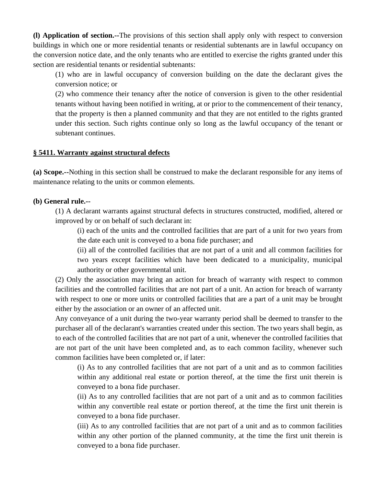**(l) Application of section.--**The provisions of this section shall apply only with respect to conversion buildings in which one or more residential tenants or residential subtenants are in lawful occupancy on the conversion notice date, and the only tenants who are entitled to exercise the rights granted under this section are residential tenants or residential subtenants:

(1) who are in lawful occupancy of conversion building on the date the declarant gives the conversion notice; or

(2) who commence their tenancy after the notice of conversion is given to the other residential tenants without having been notified in writing, at or prior to the commencement of their tenancy, that the property is then a planned community and that they are not entitled to the rights granted under this section. Such rights continue only so long as the lawful occupancy of the tenant or subtenant continues.

#### **§ 5411. Warranty against structural defects**

**(a) Scope.--**Nothing in this section shall be construed to make the declarant responsible for any items of maintenance relating to the units or common elements.

#### **(b) General rule.--**

(1) A declarant warrants against structural defects in structures constructed, modified, altered or improved by or on behalf of such declarant in:

(i) each of the units and the controlled facilities that are part of a unit for two years from the date each unit is conveyed to a bona fide purchaser; and

(ii) all of the controlled facilities that are not part of a unit and all common facilities for two years except facilities which have been dedicated to a municipality, municipal authority or other governmental unit.

(2) Only the association may bring an action for breach of warranty with respect to common facilities and the controlled facilities that are not part of a unit. An action for breach of warranty with respect to one or more units or controlled facilities that are a part of a unit may be brought either by the association or an owner of an affected unit.

Any conveyance of a unit during the two-year warranty period shall be deemed to transfer to the purchaser all of the declarant's warranties created under this section. The two years shall begin, as to each of the controlled facilities that are not part of a unit, whenever the controlled facilities that are not part of the unit have been completed and, as to each common facility, whenever such common facilities have been completed or, if later:

(i) As to any controlled facilities that are not part of a unit and as to common facilities within any additional real estate or portion thereof, at the time the first unit therein is conveyed to a bona fide purchaser.

(ii) As to any controlled facilities that are not part of a unit and as to common facilities within any convertible real estate or portion thereof, at the time the first unit therein is conveyed to a bona fide purchaser.

(iii) As to any controlled facilities that are not part of a unit and as to common facilities within any other portion of the planned community, at the time the first unit therein is conveyed to a bona fide purchaser.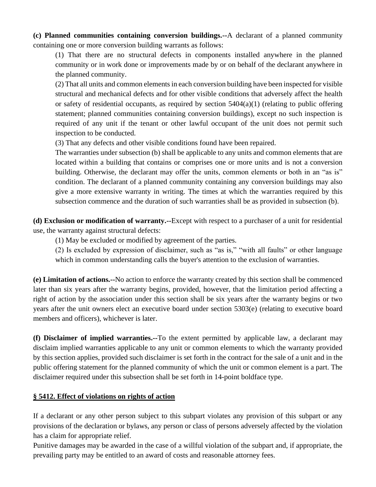**(c) Planned communities containing conversion buildings.--**A declarant of a planned community containing one or more conversion building warrants as follows:

(1) That there are no structural defects in components installed anywhere in the planned community or in work done or improvements made by or on behalf of the declarant anywhere in the planned community.

(2) That all units and common elements in each conversion building have been inspected for visible structural and mechanical defects and for other visible conditions that adversely affect the health or safety of residential occupants, as required by section  $5404(a)(1)$  (relating to public offering statement; planned communities containing conversion buildings), except no such inspection is required of any unit if the tenant or other lawful occupant of the unit does not permit such inspection to be conducted.

(3) That any defects and other visible conditions found have been repaired.

The warranties under subsection (b) shall be applicable to any units and common elements that are located within a building that contains or comprises one or more units and is not a conversion building. Otherwise, the declarant may offer the units, common elements or both in an "as is" condition. The declarant of a planned community containing any conversion buildings may also give a more extensive warranty in writing. The times at which the warranties required by this subsection commence and the duration of such warranties shall be as provided in subsection (b).

**(d) Exclusion or modification of warranty.--**Except with respect to a purchaser of a unit for residential use, the warranty against structural defects:

(1) May be excluded or modified by agreement of the parties.

(2) Is excluded by expression of disclaimer, such as "as is," "with all faults" or other language which in common understanding calls the buyer's attention to the exclusion of warranties.

**(e) Limitation of actions.--**No action to enforce the warranty created by this section shall be commenced later than six years after the warranty begins, provided, however, that the limitation period affecting a right of action by the association under this section shall be six years after the warranty begins or two years after the unit owners elect an executive board under section 5303(e) (relating to executive board members and officers), whichever is later.

**(f) Disclaimer of implied warranties.--**To the extent permitted by applicable law, a declarant may disclaim implied warranties applicable to any unit or common elements to which the warranty provided by this section applies, provided such disclaimer is set forth in the contract for the sale of a unit and in the public offering statement for the planned community of which the unit or common element is a part. The disclaimer required under this subsection shall be set forth in 14-point boldface type.

## **§ 5412. Effect of violations on rights of action**

If a declarant or any other person subject to this subpart violates any provision of this subpart or any provisions of the declaration or bylaws, any person or class of persons adversely affected by the violation has a claim for appropriate relief.

Punitive damages may be awarded in the case of a willful violation of the subpart and, if appropriate, the prevailing party may be entitled to an award of costs and reasonable attorney fees.